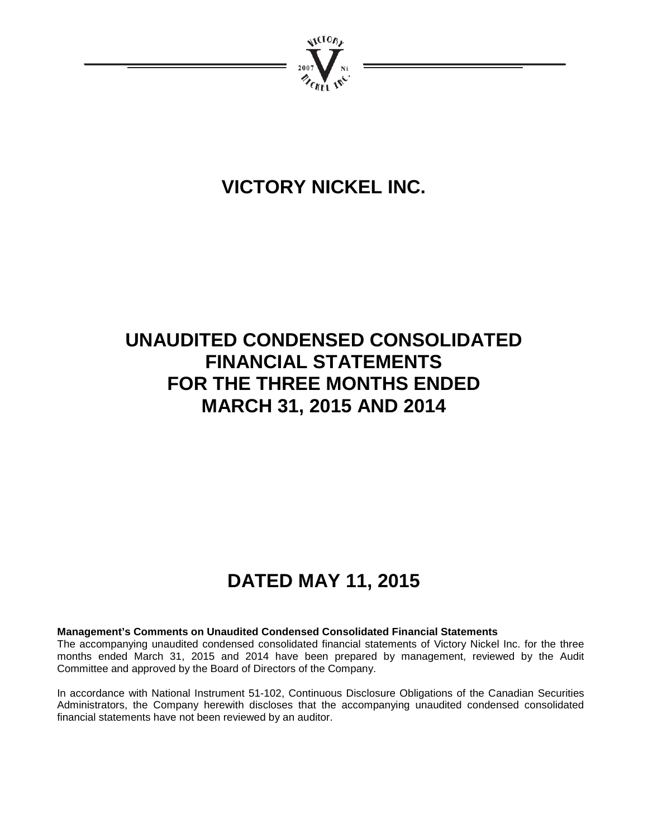

# **VICTORY NICKEL INC.**

# **UNAUDITED CONDENSED CONSOLIDATED FINANCIAL STATEMENTS FOR THE THREE MONTHS ENDED MARCH 31, 2015 AND 2014**

# **DATED MAY 11, 2015**

### **Management's Comments on Unaudited Condensed Consolidated Financial Statements**

The accompanying unaudited condensed consolidated financial statements of Victory Nickel Inc. for the three months ended March 31, 2015 and 2014 have been prepared by management, reviewed by the Audit Committee and approved by the Board of Directors of the Company.

In accordance with National Instrument 51-102, Continuous Disclosure Obligations of the Canadian Securities Administrators, the Company herewith discloses that the accompanying unaudited condensed consolidated financial statements have not been reviewed by an auditor.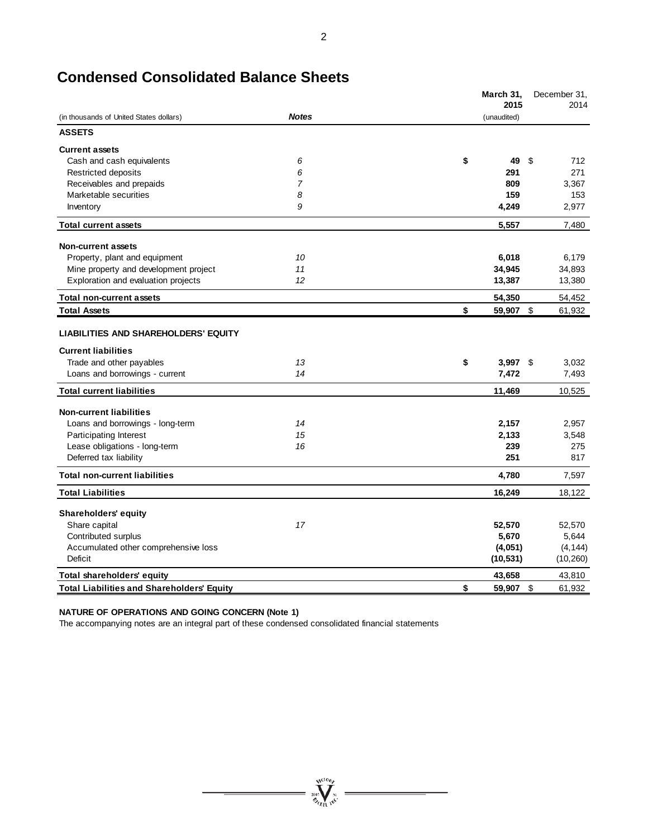|                                                                                                       |                | March 31,    | 2015       |               | December 31,<br>2014 |
|-------------------------------------------------------------------------------------------------------|----------------|--------------|------------|---------------|----------------------|
| (in thousands of United States dollars)                                                               | <b>Notes</b>   | (unaudited)  |            |               |                      |
| <b>ASSETS</b>                                                                                         |                |              |            |               |                      |
| <b>Current assets</b>                                                                                 |                |              |            |               |                      |
| Cash and cash equivalents                                                                             | 6              | \$           | 49         | \$            | 712                  |
| Restricted deposits                                                                                   | 6              |              | 291        |               | 271                  |
| Receivables and prepaids                                                                              | $\overline{7}$ |              | 809        |               | 3,367                |
| Marketable securities                                                                                 | 8              |              | 159        |               | 153                  |
| Inventory                                                                                             | 9              | 4,249        |            |               | 2,977                |
| <b>Total current assets</b>                                                                           |                | 5,557        |            |               | 7,480                |
| <b>Non-current assets</b>                                                                             |                |              |            |               |                      |
| Property, plant and equipment                                                                         | 10             | 6,018        |            |               | 6,179                |
| Mine property and development project                                                                 | 11             | 34,945       |            |               | 34,893               |
| Exploration and evaluation projects                                                                   | 12             | 13,387       |            |               | 13,380               |
| <b>Total non-current assets</b>                                                                       |                | 54,350       |            |               | 54,452               |
| <b>Total Assets</b>                                                                                   |                | \$<br>59,907 |            | $\sqrt[6]{3}$ | 61,932               |
| <b>LIABILITIES AND SHAREHOLDERS' EQUITY</b><br><b>Current liabilities</b><br>Trade and other payables | 13             | \$           | $3,997$ \$ |               | 3,032                |
| Loans and borrowings - current                                                                        | 14             | 7,472        |            |               | 7,493                |
| <b>Total current liabilities</b>                                                                      |                | 11,469       |            |               | 10,525               |
| <b>Non-current liabilities</b>                                                                        |                |              |            |               |                      |
| Loans and borrowings - long-term                                                                      | 14             | 2,157        |            |               | 2,957                |
| Participating Interest                                                                                | 15             | 2,133        |            |               | 3,548                |
| Lease obligations - long-term                                                                         | 16             |              | 239        |               | 275                  |
| Deferred tax liability                                                                                |                |              | 251        |               | 817                  |
| <b>Total non-current liabilities</b>                                                                  |                | 4,780        |            |               | 7,597                |
| <b>Total Liabilities</b>                                                                              |                | 16,249       |            |               | 18,122               |
| <b>Shareholders' equity</b>                                                                           |                |              |            |               |                      |
| Share capital                                                                                         | 17             | 52,570       |            |               | 52,570               |
| Contributed surplus                                                                                   |                | 5,670        |            |               | 5,644                |
| Accumulated other comprehensive loss                                                                  |                | (4,051)      |            |               | (4, 144)             |
| <b>Deficit</b>                                                                                        |                | (10, 531)    |            |               | (10, 260)            |
| Total shareholders' equity                                                                            |                | 43,658       |            |               | 43,810               |
| <b>Total Liabilities and Shareholders' Equity</b>                                                     |                | \$<br>59,907 |            | \$            | 61,932               |

**WELL WELL** 

# **Condensed Consolidated Balance Sheets**

### **NATURE OF OPERATIONS AND GOING CONCERN (Note 1)**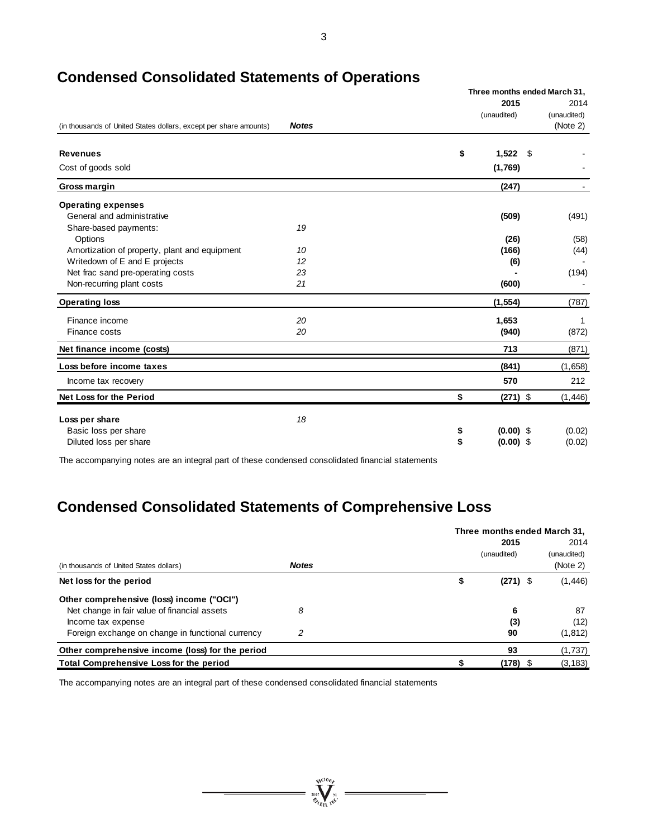|                                                                   |              | Three months ended March 31, |                     |                                 |  |  |
|-------------------------------------------------------------------|--------------|------------------------------|---------------------|---------------------------------|--|--|
| (in thousands of United States dollars, except per share amounts) | <b>Notes</b> |                              | 2015<br>(unaudited) | 2014<br>(unaudited)<br>(Note 2) |  |  |
| <b>Revenues</b>                                                   |              | \$                           | $1,522$ \$          |                                 |  |  |
| Cost of goods sold                                                |              |                              | (1,769)             |                                 |  |  |
| Gross margin                                                      |              |                              | (247)               |                                 |  |  |
| <b>Operating expenses</b>                                         |              |                              |                     |                                 |  |  |
| General and administrative                                        |              |                              | (509)               | (491)                           |  |  |
| Share-based payments:                                             | 19           |                              |                     |                                 |  |  |
| Options                                                           |              |                              | (26)                | (58)                            |  |  |
| Amortization of property, plant and equipment                     | 10           |                              | (166)               | (44)                            |  |  |
| Writedown of E and E projects                                     | 12           |                              | (6)                 |                                 |  |  |
| Net frac sand pre-operating costs                                 | 23           |                              |                     | (194)                           |  |  |
| Non-recurring plant costs                                         | 21           |                              | (600)               |                                 |  |  |
| <b>Operating loss</b>                                             |              |                              | (1, 554)            | (787)                           |  |  |
| Finance income                                                    | 20           |                              | 1,653               | 1                               |  |  |
| Finance costs                                                     | 20           |                              | (940)               | (872)                           |  |  |
| Net finance income (costs)                                        |              |                              | 713                 | (871)                           |  |  |
| Loss before income taxes                                          |              |                              | (841)               | (1,658)                         |  |  |
| Income tax recovery                                               |              |                              | 570                 | 212                             |  |  |
| <b>Net Loss for the Period</b>                                    |              | \$                           | $(271)$ \$          | (1, 446)                        |  |  |
| Loss per share                                                    | 18           |                              |                     |                                 |  |  |
| Basic loss per share                                              |              | \$                           | $(0.00)$ \$         | (0.02)                          |  |  |
| Diluted loss per share                                            |              | \$                           | $(0.00)$ \$         | (0.02)                          |  |  |
|                                                                   |              |                              |                     |                                 |  |  |

# **Condensed Consolidated Statements of Operations**

The accompanying notes are an integral part of these condensed consolidated financial statements

# **Condensed Consolidated Statements of Comprehensive Loss**

|                                                   |              | Three months ended March 31, |             |
|---------------------------------------------------|--------------|------------------------------|-------------|
|                                                   |              | 2015                         | 2014        |
|                                                   |              | (unaudited)                  | (unaudited) |
| (in thousands of United States dollars)           | <b>Notes</b> |                              | (Note 2)    |
| Net loss for the period                           |              | \$<br>$(271)$ \$             | (1, 446)    |
| Other comprehensive (loss) income ("OCI")         |              |                              |             |
| Net change in fair value of financial assets      | 8            | 6                            | 87          |
| Income tax expense                                |              | (3)                          | (12)        |
| Foreign exchange on change in functional currency | 2            | 90                           | (1, 812)    |
| Other comprehensive income (loss) for the period  |              | 93                           | (1,737)     |
| Total Comprehensive Loss for the period           |              | (178) \$                     | (3, 183)    |

 $\sum_{i=1}^{N^{(10)}h_{i}}$ 

 $\frac{1}{\sqrt{2\pi}}\left( \frac{1}{\sqrt{2\pi}}\right) \left( \frac{1}{\sqrt{2\pi}}\right) \left( \frac{1}{\sqrt{2\pi}}\right) \left( \frac{1}{\sqrt{2\pi}}\right) \left( \frac{1}{\sqrt{2\pi}}\right) \left( \frac{1}{\sqrt{2\pi}}\right) \left( \frac{1}{\sqrt{2\pi}}\right) \left( \frac{1}{\sqrt{2\pi}}\right) \left( \frac{1}{\sqrt{2\pi}}\right) \left( \frac{1}{\sqrt{2\pi}}\right) \left( \frac{1}{\sqrt{2\pi}}\right) \left( \frac{1}{\sqrt$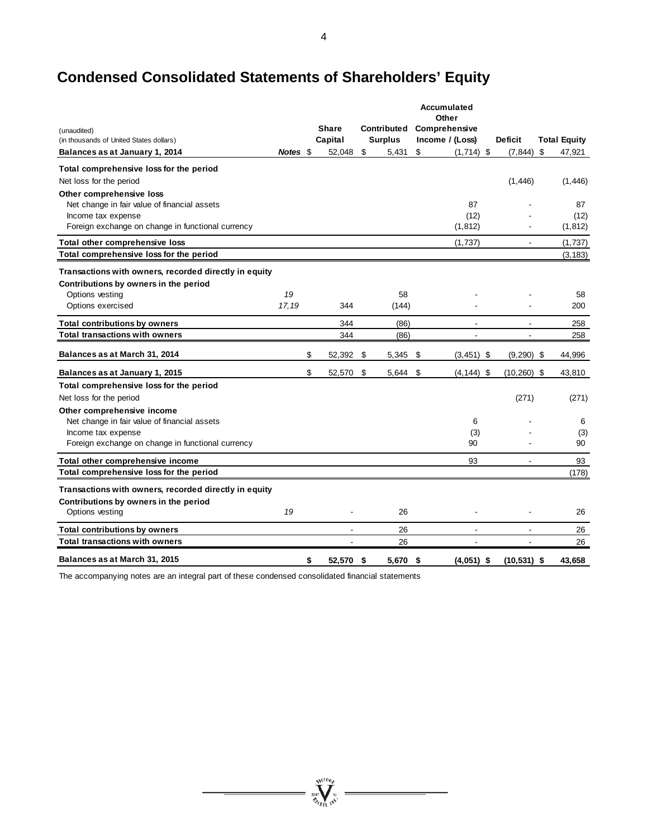# **Condensed Consolidated Statements of Shareholders' Equity**

|                                                                           |          |                 |                    | Accumulated<br>Other |                |                     |           |
|---------------------------------------------------------------------------|----------|-----------------|--------------------|----------------------|----------------|---------------------|-----------|
| (unaudited)                                                               |          | <b>Share</b>    | <b>Contributed</b> | Comprehensive        |                |                     |           |
| (in thousands of United States dollars)                                   |          | Capital         | <b>Surplus</b>     | Income / (Loss)      | <b>Deficit</b> | <b>Total Equity</b> |           |
| Balances as at January 1, 2014                                            | Notes \$ | 52,048          | \$<br>5,431        | \$<br>$(1,714)$ \$   | (7, 844)       | \$<br>47,921        |           |
| Total comprehensive loss for the period                                   |          |                 |                    |                      |                |                     |           |
| Net loss for the period                                                   |          |                 |                    |                      | (1, 446)       | (1, 446)            |           |
| Other comprehensive loss                                                  |          |                 |                    |                      |                |                     |           |
| Net change in fair value of financial assets<br>Income tax expense        |          |                 |                    | 87<br>(12)           |                | 87                  | (12)      |
| Foreign exchange on change in functional currency                         |          |                 |                    | (1, 812)             |                | (1, 812)            |           |
|                                                                           |          |                 |                    |                      |                |                     |           |
| Total other comprehensive loss<br>Total comprehensive loss for the period |          |                 |                    | (1,737)              | $\blacksquare$ | (1,737)             |           |
|                                                                           |          |                 |                    |                      |                | (3, 183)            |           |
| Transactions with owners, recorded directly in equity                     |          |                 |                    |                      |                |                     |           |
| Contributions by owners in the period                                     |          |                 |                    |                      |                |                     |           |
| Options vesting                                                           | 19       |                 | 58                 |                      |                | 58                  |           |
| Options exercised                                                         | 17,19    | 344             | (144)              |                      |                | 200                 |           |
| <b>Total contributions by owners</b>                                      |          | 344             | (86)               |                      |                | 258                 |           |
| <b>Total transactions with owners</b>                                     |          | 344             | (86)               |                      |                | 258                 |           |
| Balances as at March 31, 2014                                             |          | \$<br>52,392    | \$<br>5,345        | \$<br>$(3,451)$ \$   | $(9,290)$ \$   | 44,996              |           |
| Balances as at January 1, 2015                                            |          | \$<br>52,570    | \$<br>5,644        | \$<br>$(4, 144)$ \$  | $(10, 260)$ \$ | 43,810              |           |
| Total comprehensive loss for the period                                   |          |                 |                    |                      |                |                     |           |
| Net loss for the period                                                   |          |                 |                    |                      | (271)          | (271)               |           |
| Other comprehensive income                                                |          |                 |                    |                      |                |                     |           |
| Net change in fair value of financial assets                              |          |                 |                    | 6                    |                |                     | 6         |
| Income tax expense<br>Foreign exchange on change in functional currency   |          |                 |                    | (3)<br>90            |                |                     | (3)<br>90 |
|                                                                           |          |                 |                    |                      |                |                     |           |
| Total other comprehensive income                                          |          |                 |                    | 93                   | ٠              |                     | 93        |
| Total comprehensive loss for the period                                   |          |                 |                    |                      |                | (178)               |           |
| Transactions with owners, recorded directly in equity                     |          |                 |                    |                      |                |                     |           |
| Contributions by owners in the period                                     |          |                 |                    |                      |                |                     |           |
| Options vesting                                                           | 19       |                 | 26                 |                      |                |                     | 26        |
| <b>Total contributions by owners</b>                                      |          |                 | 26                 |                      |                |                     | 26        |
| <b>Total transactions with owners</b>                                     |          |                 | 26                 |                      |                |                     | 26        |
| Balances as at March 31, 2015                                             |          | \$<br>52,570 \$ | 5,670              | \$<br>$(4,051)$ \$   | $(10, 531)$ \$ | 43,658              |           |

**Wellon** 

 $\equiv$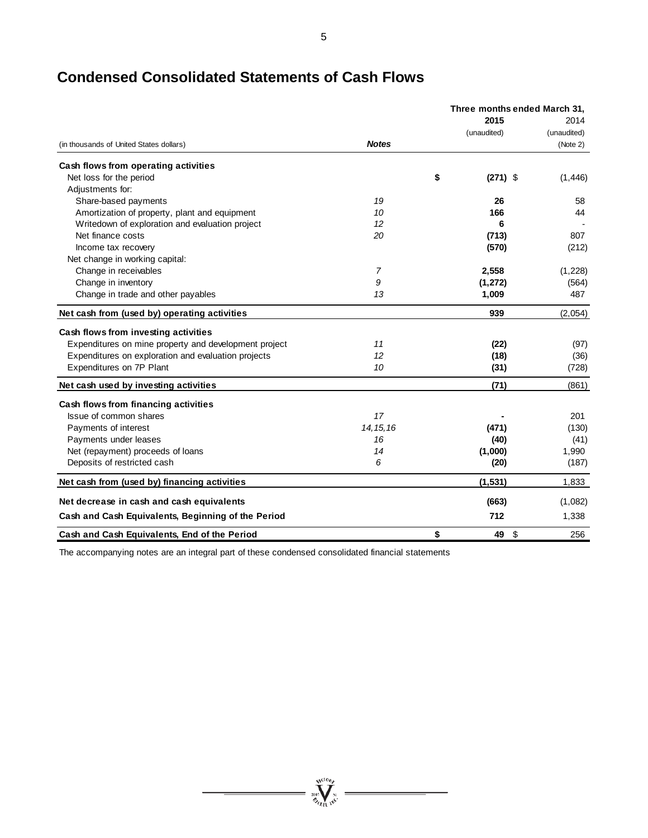|                                                       |                | Three months ended March 31, |             |  |  |
|-------------------------------------------------------|----------------|------------------------------|-------------|--|--|
|                                                       |                | 2015                         | 2014        |  |  |
|                                                       |                | (unaudited)                  | (unaudited) |  |  |
| (in thousands of United States dollars)               | <b>Notes</b>   |                              | (Note 2)    |  |  |
| Cash flows from operating activities                  |                |                              |             |  |  |
| Net loss for the period                               |                | \$<br>$(271)$ \$             | (1, 446)    |  |  |
| Adjustments for:                                      |                |                              |             |  |  |
| Share-based payments                                  | 19             | 26                           | 58          |  |  |
| Amortization of property, plant and equipment         | 10             | 166                          | 44          |  |  |
| Writedown of exploration and evaluation project       | 12             | 6                            |             |  |  |
| Net finance costs                                     | 20             | (713)                        | 807         |  |  |
| Income tax recovery                                   |                | (570)                        | (212)       |  |  |
| Net change in working capital:                        |                |                              |             |  |  |
| Change in receivables                                 | $\overline{7}$ | 2,558                        | (1,228)     |  |  |
| Change in inventory                                   | 9              | (1, 272)                     | (564)       |  |  |
| Change in trade and other payables                    | 13             | 1,009                        | 487         |  |  |
| Net cash from (used by) operating activities          |                | 939                          | (2,054)     |  |  |
| Cash flows from investing activities                  |                |                              |             |  |  |
| Expenditures on mine property and development project | 11             | (22)                         | (97)        |  |  |
| Expenditures on exploration and evaluation projects   | 12             | (18)                         | (36)        |  |  |
| Expenditures on 7P Plant                              | 10             | (31)                         | (728)       |  |  |
| Net cash used by investing activities                 |                | (71)                         | (861)       |  |  |
| Cash flows from financing activities                  |                |                              |             |  |  |
| Issue of common shares                                | 17             |                              | 201         |  |  |
| Payments of interest                                  | 14, 15, 16     | (471)                        | (130)       |  |  |
| Payments under leases                                 | 16             | (40)                         | (41)        |  |  |
| Net (repayment) proceeds of loans                     | 14             | (1,000)                      | 1,990       |  |  |
| Deposits of restricted cash                           | 6              | (20)                         | (187)       |  |  |
| Net cash from (used by) financing activities          |                | (1, 531)                     | 1,833       |  |  |
| Net decrease in cash and cash equivalents             |                | (663)                        | (1,082)     |  |  |
| Cash and Cash Equivalents, Beginning of the Period    |                | 712                          | 1,338       |  |  |
| Cash and Cash Equivalents, End of the Period          |                | \$<br>\$<br>49               | 256         |  |  |

**WELL WELL** 

# **Condensed Consolidated Statements of Cash Flows**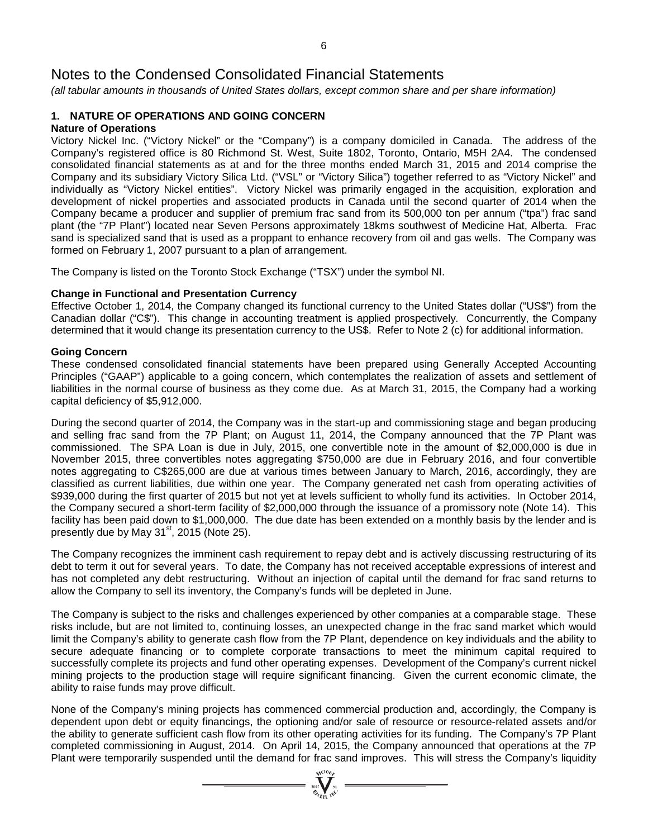*(all tabular amounts in thousands of United States dollars, except common share and per share information)*

#### **1. NATURE OF OPERATIONS AND GOING CONCERN Nature of Operations**

Victory Nickel Inc. ("Victory Nickel" or the "Company") is a company domiciled in Canada. The address of the Company's registered office is 80 Richmond St. West, Suite 1802, Toronto, Ontario, M5H 2A4. The condensed consolidated financial statements as at and for the three months ended March 31, 2015 and 2014 comprise the Company and its subsidiary Victory Silica Ltd. ("VSL" or "Victory Silica") together referred to as "Victory Nickel" and individually as "Victory Nickel entities". Victory Nickel was primarily engaged in the acquisition, exploration and development of nickel properties and associated products in Canada until the second quarter of 2014 when the Company became a producer and supplier of premium frac sand from its 500,000 ton per annum ("tpa") frac sand plant (the "7P Plant") located near Seven Persons approximately 18kms southwest of Medicine Hat, Alberta. Frac sand is specialized sand that is used as a proppant to enhance recovery from oil and gas wells. The Company was formed on February 1, 2007 pursuant to a plan of arrangement.

The Company is listed on the Toronto Stock Exchange ("TSX") under the symbol NI.

#### **Change in Functional and Presentation Currency**

Effective October 1, 2014, the Company changed its functional currency to the United States dollar ("US\$") from the Canadian dollar ("C\$"). This change in accounting treatment is applied prospectively. Concurrently, the Company determined that it would change its presentation currency to the US\$. Refer to Note 2 (c) for additional information.

#### **Going Concern**

These condensed consolidated financial statements have been prepared using Generally Accepted Accounting Principles ("GAAP") applicable to a going concern, which contemplates the realization of assets and settlement of liabilities in the normal course of business as they come due. As at March 31, 2015, the Company had a working capital deficiency of \$5,912,000.

During the second quarter of 2014, the Company was in the start-up and commissioning stage and began producing and selling frac sand from the 7P Plant; on August 11, 2014, the Company announced that the 7P Plant was commissioned. The SPA Loan is due in July, 2015, one convertible note in the amount of \$2,000,000 is due in November 2015, three convertibles notes aggregating \$750,000 are due in February 2016, and four convertible notes aggregating to C\$265,000 are due at various times between January to March, 2016, accordingly, they are classified as current liabilities, due within one year. The Company generated net cash from operating activities of \$939,000 during the first quarter of 2015 but not yet at levels sufficient to wholly fund its activities. In October 2014, the Company secured a short-term facility of \$2,000,000 through the issuance of a promissory note (Note 14). This facility has been paid down to \$1,000,000. The due date has been extended on a monthly basis by the lender and is presently due by May 31<sup>st</sup>, 2015 (Note 25).

The Company recognizes the imminent cash requirement to repay debt and is actively discussing restructuring of its debt to term it out for several years. To date, the Company has not received acceptable expressions of interest and has not completed any debt restructuring. Without an injection of capital until the demand for frac sand returns to allow the Company to sell its inventory, the Company's funds will be depleted in June.

The Company is subject to the risks and challenges experienced by other companies at a comparable stage. These risks include, but are not limited to, continuing losses, an unexpected change in the frac sand market which would limit the Company's ability to generate cash flow from the 7P Plant, dependence on key individuals and the ability to secure adequate financing or to complete corporate transactions to meet the minimum capital required to successfully complete its projects and fund other operating expenses. Development of the Company's current nickel mining projects to the production stage will require significant financing. Given the current economic climate, the ability to raise funds may prove difficult.

None of the Company's mining projects has commenced commercial production and, accordingly, the Company is dependent upon debt or equity financings, the optioning and/or sale of resource or resource-related assets and/or the ability to generate sufficient cash flow from its other operating activities for its funding. The Company's 7P Plant completed commissioning in August, 2014. On April 14, 2015, the Company announced that operations at the 7P Plant were temporarily suspended until the demand for frac sand improves. This will stress the Company's liquidity

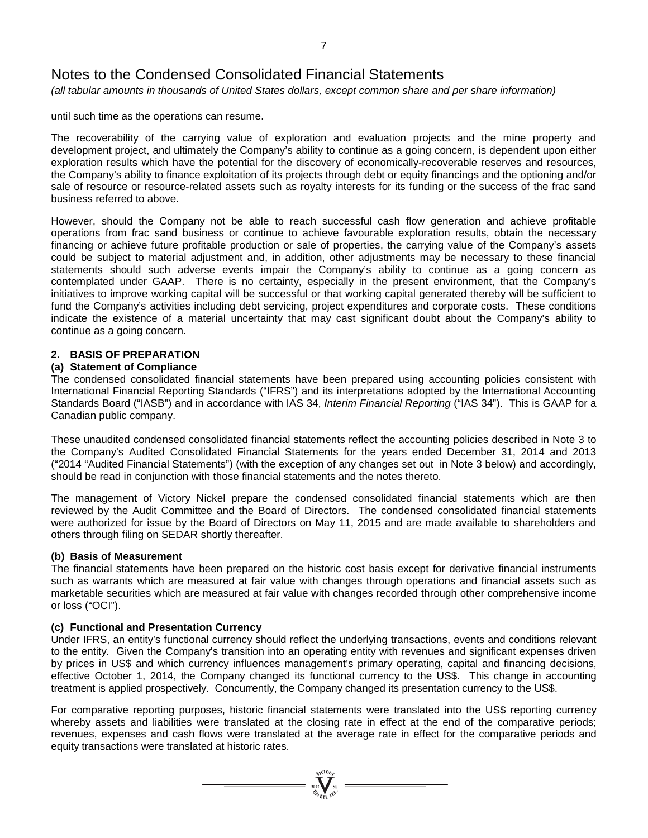*(all tabular amounts in thousands of United States dollars, except common share and per share information)*

until such time as the operations can resume.

The recoverability of the carrying value of exploration and evaluation projects and the mine property and development project, and ultimately the Company's ability to continue as a going concern, is dependent upon either exploration results which have the potential for the discovery of economically-recoverable reserves and resources, the Company's ability to finance exploitation of its projects through debt or equity financings and the optioning and/or sale of resource or resource-related assets such as royalty interests for its funding or the success of the frac sand business referred to above.

However, should the Company not be able to reach successful cash flow generation and achieve profitable operations from frac sand business or continue to achieve favourable exploration results, obtain the necessary financing or achieve future profitable production or sale of properties, the carrying value of the Company's assets could be subject to material adjustment and, in addition, other adjustments may be necessary to these financial statements should such adverse events impair the Company's ability to continue as a going concern as contemplated under GAAP. There is no certainty, especially in the present environment, that the Company's initiatives to improve working capital will be successful or that working capital generated thereby will be sufficient to fund the Company's activities including debt servicing, project expenditures and corporate costs. These conditions indicate the existence of a material uncertainty that may cast significant doubt about the Company's ability to continue as a going concern.

### **2. BASIS OF PREPARATION**

#### **(a) Statement of Compliance**

The condensed consolidated financial statements have been prepared using accounting policies consistent with International Financial Reporting Standards ("IFRS") and its interpretations adopted by the International Accounting Standards Board ("IASB") and in accordance with IAS 34, *Interim Financial Reporting* ("IAS 34"). This is GAAP for a Canadian public company.

These unaudited condensed consolidated financial statements reflect the accounting policies described in Note 3 to the Company's Audited Consolidated Financial Statements for the years ended December 31, 2014 and 2013 ("2014 "Audited Financial Statements") (with the exception of any changes set out in Note 3 below) and accordingly, should be read in conjunction with those financial statements and the notes thereto.

The management of Victory Nickel prepare the condensed consolidated financial statements which are then reviewed by the Audit Committee and the Board of Directors. The condensed consolidated financial statements were authorized for issue by the Board of Directors on May 11, 2015 and are made available to shareholders and others through filing on SEDAR shortly thereafter.

#### **(b) Basis of Measurement**

The financial statements have been prepared on the historic cost basis except for derivative financial instruments such as warrants which are measured at fair value with changes through operations and financial assets such as marketable securities which are measured at fair value with changes recorded through other comprehensive income or loss ("OCI").

#### **(c) Functional and Presentation Currency**

Under IFRS, an entity's functional currency should reflect the underlying transactions, events and conditions relevant to the entity. Given the Company's transition into an operating entity with revenues and significant expenses driven by prices in US\$ and which currency influences management's primary operating, capital and financing decisions, effective October 1, 2014, the Company changed its functional currency to the US\$. This change in accounting treatment is applied prospectively. Concurrently, the Company changed its presentation currency to the US\$.

For comparative reporting purposes, historic financial statements were translated into the US\$ reporting currency whereby assets and liabilities were translated at the closing rate in effect at the end of the comparative periods; revenues, expenses and cash flows were translated at the average rate in effect for the comparative periods and equity transactions were translated at historic rates.

 $\sum_{n=1}^{\infty} \sum_{n=1}^{\infty}$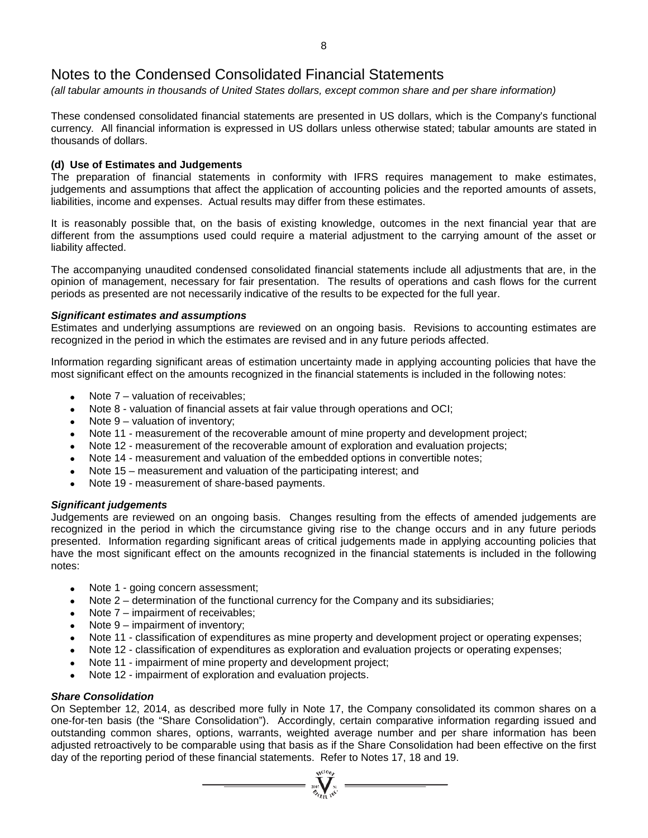*(all tabular amounts in thousands of United States dollars, except common share and per share information)*

These condensed consolidated financial statements are presented in US dollars, which is the Company's functional currency. All financial information is expressed in US dollars unless otherwise stated; tabular amounts are stated in thousands of dollars.

#### **(d) Use of Estimates and Judgements**

The preparation of financial statements in conformity with IFRS requires management to make estimates, judgements and assumptions that affect the application of accounting policies and the reported amounts of assets, liabilities, income and expenses. Actual results may differ from these estimates.

It is reasonably possible that, on the basis of existing knowledge, outcomes in the next financial year that are different from the assumptions used could require a material adjustment to the carrying amount of the asset or liability affected.

The accompanying unaudited condensed consolidated financial statements include all adjustments that are, in the opinion of management, necessary for fair presentation. The results of operations and cash flows for the current periods as presented are not necessarily indicative of the results to be expected for the full year.

#### *Significant estimates and assumptions*

Estimates and underlying assumptions are reviewed on an ongoing basis. Revisions to accounting estimates are recognized in the period in which the estimates are revised and in any future periods affected.

Information regarding significant areas of estimation uncertainty made in applying accounting policies that have the most significant effect on the amounts recognized in the financial statements is included in the following notes:

- Note  $7$  valuation of receivables;
- Note 8 valuation of financial assets at fair value through operations and OCI;
- Note  $9$  valuation of inventory:
- Note 11 measurement of the recoverable amount of mine property and development project;
- Note 12 measurement of the recoverable amount of exploration and evaluation projects;
- Note 14 measurement and valuation of the embedded options in convertible notes;
- Note 15 measurement and valuation of the participating interest; and
- Note 19 measurement of share-based payments.

#### *Significant judgements*

Judgements are reviewed on an ongoing basis. Changes resulting from the effects of amended judgements are recognized in the period in which the circumstance giving rise to the change occurs and in any future periods presented. Information regarding significant areas of critical judgements made in applying accounting policies that have the most significant effect on the amounts recognized in the financial statements is included in the following notes:

- Note 1 going concern assessment;
- Note 2 determination of the functional currency for the Company and its subsidiaries;
- Note 7 impairment of receivables;
- Note  $9$  impairment of inventory;
- Note 11 classification of expenditures as mine property and development project or operating expenses;
- Note 12 classification of expenditures as exploration and evaluation projects or operating expenses;
- Note 11 impairment of mine property and development project;
- Note 12 impairment of exploration and evaluation projects.

#### *Share Consolidation*

On September 12, 2014, as described more fully in Note 17, the Company consolidated its common shares on a one-for-ten basis (the "Share Consolidation"). Accordingly, certain comparative information regarding issued and outstanding common shares, options, warrants, weighted average number and per share information has been adjusted retroactively to be comparable using that basis as if the Share Consolidation had been effective on the first day of the reporting period of these financial statements. Refer to Notes 17, 18 and 19.

 $\sum_{n=1}^{\infty} \sum_{k=1}^{\infty}$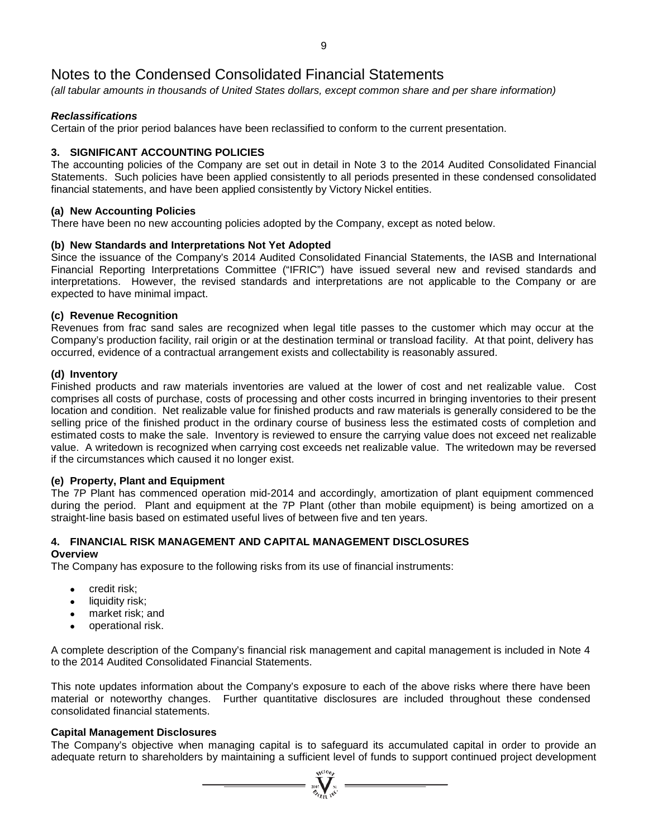*(all tabular amounts in thousands of United States dollars, except common share and per share information)*

### *Reclassifications*

Certain of the prior period balances have been reclassified to conform to the current presentation.

### **3. SIGNIFICANT ACCOUNTING POLICIES**

The accounting policies of the Company are set out in detail in Note 3 to the 2014 Audited Consolidated Financial Statements. Such policies have been applied consistently to all periods presented in these condensed consolidated financial statements, and have been applied consistently by Victory Nickel entities.

#### **(a) New Accounting Policies**

There have been no new accounting policies adopted by the Company, except as noted below.

#### **(b) New Standards and Interpretations Not Yet Adopted**

Since the issuance of the Company's 2014 Audited Consolidated Financial Statements, the IASB and International Financial Reporting Interpretations Committee ("IFRIC") have issued several new and revised standards and interpretations. However, the revised standards and interpretations are not applicable to the Company or are expected to have minimal impact.

#### **(c) Revenue Recognition**

Revenues from frac sand sales are recognized when legal title passes to the customer which may occur at the Company's production facility, rail origin or at the destination terminal or transload facility. At that point, delivery has occurred, evidence of a contractual arrangement exists and collectability is reasonably assured.

#### **(d) Inventory**

Finished products and raw materials inventories are valued at the lower of cost and net realizable value. Cost comprises all costs of purchase, costs of processing and other costs incurred in bringing inventories to their present location and condition. Net realizable value for finished products and raw materials is generally considered to be the selling price of the finished product in the ordinary course of business less the estimated costs of completion and estimated costs to make the sale. Inventory is reviewed to ensure the carrying value does not exceed net realizable value. A writedown is recognized when carrying cost exceeds net realizable value. The writedown may be reversed if the circumstances which caused it no longer exist.

#### **(e) Property, Plant and Equipment**

The 7P Plant has commenced operation mid-2014 and accordingly, amortization of plant equipment commenced during the period. Plant and equipment at the 7P Plant (other than mobile equipment) is being amortized on a straight-line basis based on estimated useful lives of between five and ten years.

### **4. FINANCIAL RISK MANAGEMENT AND CAPITAL MANAGEMENT DISCLOSURES**

#### **Overview**

The Company has exposure to the following risks from its use of financial instruments:

- credit risk;
- liquidity risk:
- market risk; and
- operational risk.

A complete description of the Company's financial risk management and capital management is included in Note 4 to the 2014 Audited Consolidated Financial Statements.

This note updates information about the Company's exposure to each of the above risks where there have been material or noteworthy changes. Further quantitative disclosures are included throughout these condensed consolidated financial statements.

#### **Capital Management Disclosures**

The Company's objective when managing capital is to safeguard its accumulated capital in order to provide an adequate return to shareholders by maintaining a sufficient level of funds to support continued project development

 $\sum_{n=1}^{\infty} \sum_{k=1}^{\infty}$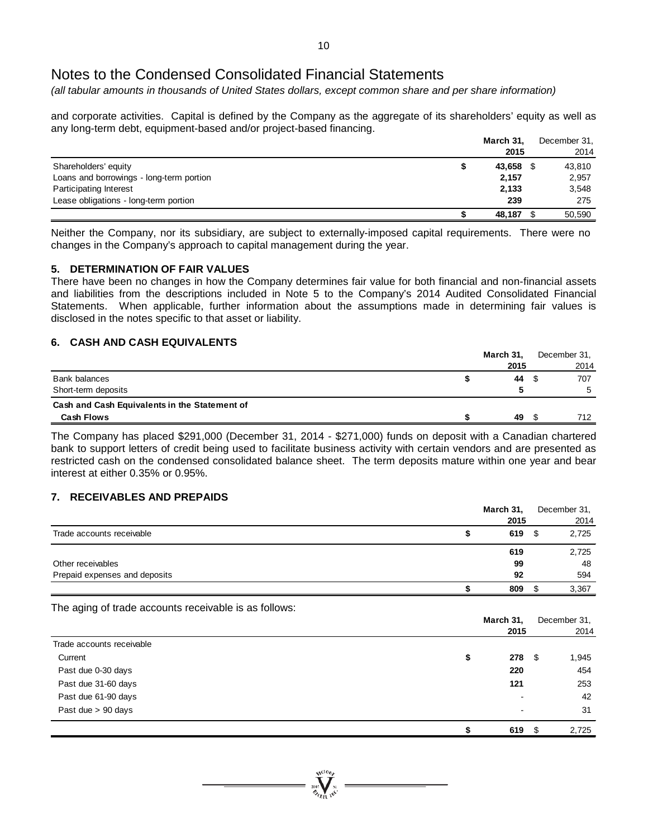*(all tabular amounts in thousands of United States dollars, except common share and per share information)*

and corporate activities. Capital is defined by the Company as the aggregate of its shareholders' equity as well as any long-term debt, equipment-based and/or project-based financing.

|                                          | March 31, | December 31, |
|------------------------------------------|-----------|--------------|
|                                          | 2015      | 2014         |
| Shareholders' equity                     | 43,658    | 43,810       |
| Loans and borrowings - long-term portion | 2,157     | 2,957        |
| Participating Interest                   | 2,133     | 3,548        |
| Lease obligations - long-term portion    | 239       | 275          |
|                                          | 48,187    | 50,590       |

Neither the Company, nor its subsidiary, are subject to externally-imposed capital requirements. There were no changes in the Company's approach to capital management during the year.

#### **5. DETERMINATION OF FAIR VALUES**

There have been no changes in how the Company determines fair value for both financial and non-financial assets and liabilities from the descriptions included in Note 5 to the Company's 2014 Audited Consolidated Financial Statements. When applicable, further information about the assumptions made in determining fair values is disclosed in the notes specific to that asset or liability.

#### **6. CASH AND CASH EQUIVALENTS**

|                                               | March 31, | December 31, |
|-----------------------------------------------|-----------|--------------|
|                                               | 2015      | 2014         |
| Bank balances                                 | 44        | 707          |
| Short-term deposits                           |           |              |
| Cash and Cash Equivalents in the Statement of |           |              |
| <b>Cash Flows</b>                             | 49        | 712          |

The Company has placed \$291,000 (December 31, 2014 - \$271,000) funds on deposit with a Canadian chartered bank to support letters of credit being used to facilitate business activity with certain vendors and are presented as restricted cash on the condensed consolidated balance sheet. The term deposits mature within one year and bear interest at either 0.35% or 0.95%.

#### **7. RECEIVABLES AND PREPAIDS**

|                               | March 31, | December 31. |
|-------------------------------|-----------|--------------|
|                               | 2015      | 2014         |
| Trade accounts receivable     | 619       | 2,725        |
|                               | 619       | 2,725        |
| Other receivables             | 99        | 48           |
| Prepaid expenses and deposits | 92        | 594          |
|                               | 809       | 3,367        |

The aging of trade accounts receivable is as follows:

|                           | March 31,                |      | December 31, |
|---------------------------|--------------------------|------|--------------|
|                           | 2015                     |      | 2014         |
| Trade accounts receivable |                          |      |              |
| Current                   | \$<br>278                | - \$ | 1,945        |
| Past due 0-30 days        | 220                      |      | 454          |
| Past due 31-60 days       | 121                      |      | 253          |
| Past due 61-90 days       | $\overline{\phantom{a}}$ |      | 42           |
| Past due > 90 days        | $\overline{\phantom{0}}$ |      | 31           |
|                           | 619                      | - \$ | 2,725        |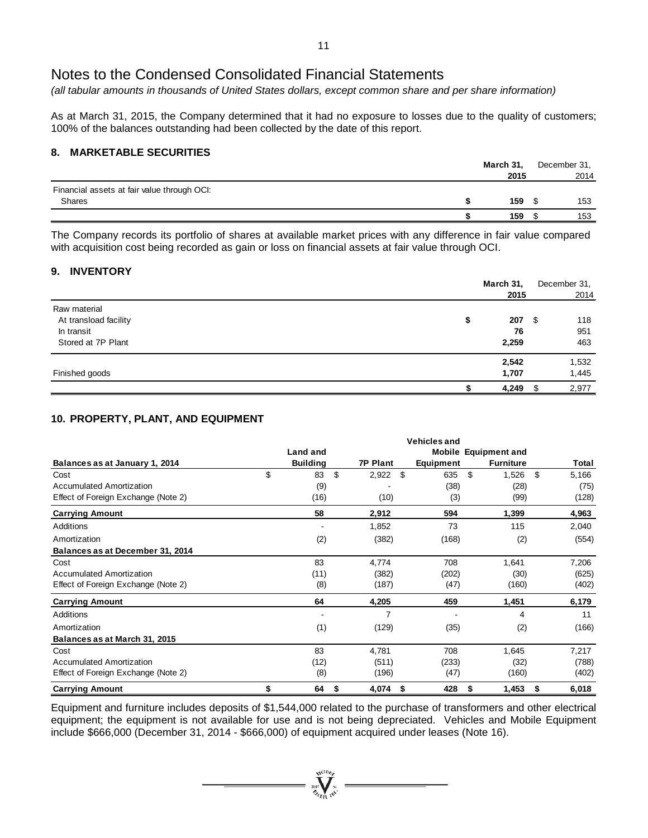*(all tabular amounts in thousands of United States dollars, except common share and per share information)*

As at March 31, 2015, the Company determined that it had no exposure to losses due to the quality of customers; 100% of the balances outstanding had been collected by the date of this report.

#### **8. MARKETABLE SECURITIES**

|                                             | March 31, | December 31, |      |
|---------------------------------------------|-----------|--------------|------|
|                                             | 2015      |              | 2014 |
| Financial assets at fair value through OCI: |           |              |      |
| Shares                                      | 159       |              | 153  |
|                                             | 159       |              | 153  |

The Company records its portfolio of shares at available market prices with any difference in fair value compared with acquisition cost being recorded as gain or loss on financial assets at fair value through OCI.

#### **9. INVENTORY**

|                             | March 31, | December 31, |
|-----------------------------|-----------|--------------|
|                             | 2015      | 2014         |
| Raw material                |           |              |
| At transload facility<br>\$ | 207       | 118<br>- \$  |
| In transit                  | 76        | 951          |
| Stored at 7P Plant          | 2,259     | 463          |
|                             | 2,542     | 1,532        |
| Finished goods              | 1,707     | 1,445        |
|                             | 4,249     | 2,977        |

### **10. PROPERTY, PLANT, AND EQUIPMENT**

|                                     |                 |                 | <b>Vehicles and</b> |                             |             |
|-------------------------------------|-----------------|-----------------|---------------------|-----------------------------|-------------|
|                                     | <b>Land and</b> |                 |                     | <b>Mobile Equipment and</b> |             |
| Balances as at January 1, 2014      | <b>Building</b> | <b>7P Plant</b> | Equipment           | <b>Furniture</b>            | Total       |
| Cost                                | \$<br>83        | \$<br>2,922     | \$<br>635           | \$<br>1,526                 | \$<br>5,166 |
| <b>Accumulated Amortization</b>     | (9)             |                 | (38)                | (28)                        | (75)        |
| Effect of Foreign Exchange (Note 2) | (16)            | (10)            | (3)                 | (99)                        | (128)       |
| <b>Carrying Amount</b>              | 58              | 2,912           | 594                 | 1,399                       | 4,963       |
| Additions                           |                 | 1,852           | 73                  | 115                         | 2,040       |
| Amortization                        | (2)             | (382)           | (168)               | (2)                         | (554)       |
| Balances as at December 31, 2014    |                 |                 |                     |                             |             |
| Cost                                | 83              | 4,774           | 708                 | 1,641                       | 7,206       |
| <b>Accumulated Amortization</b>     | (11)            | (382)           | (202)               | (30)                        | (625)       |
| Effect of Foreign Exchange (Note 2) | (8)             | (187)           | (47)                | (160)                       | (402)       |
| <b>Carrying Amount</b>              | 64              | 4,205           | 459                 | 1,451                       | 6,179       |
| Additions                           |                 | 7               |                     | 4                           | 11          |
| Amortization                        | (1)             | (129)           | (35)                | (2)                         | (166)       |
| Balances as at March 31, 2015       |                 |                 |                     |                             |             |
| Cost                                | 83              | 4,781           | 708                 | 1,645                       | 7,217       |
| <b>Accumulated Amortization</b>     | (12)            | (511)           | (233)               | (32)                        | (788)       |
| Effect of Foreign Exchange (Note 2) | (8)             | (196)           | (47)                | (160)                       | (402)       |
| <b>Carrying Amount</b>              | \$<br>64        | \$<br>4,074     | \$<br>428           | 1,453<br>\$                 | \$<br>6,018 |

Equipment and furniture includes deposits of \$1,544,000 related to the purchase of transformers and other electrical equipment; the equipment is not available for use and is not being depreciated. Vehicles and Mobile Equipment include \$666,000 (December 31, 2014 - \$666,000) of equipment acquired under leases (Note 16).

 $\sum_{i=1}^{N^{(10)}h}$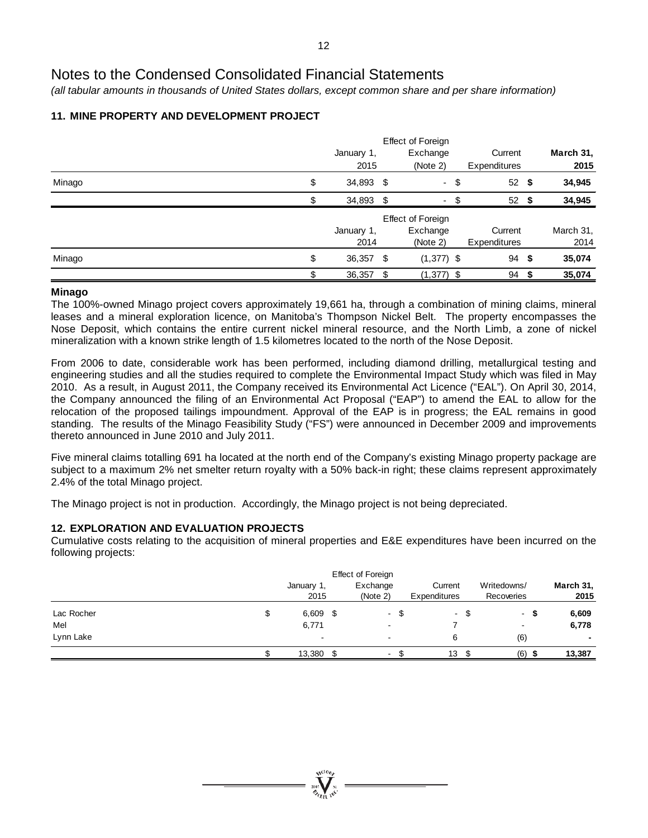*(all tabular amounts in thousands of United States dollars, except common share and per share information)*

## **11. MINE PROPERTY AND DEVELOPMENT PROJECT**

|        |    | January 1,<br>2015 |      | Effect of Foreign<br>Exchange<br>(Note 2) | Current<br>Expenditures |      | March 31,<br>2015 |
|--------|----|--------------------|------|-------------------------------------------|-------------------------|------|-------------------|
| Minago | \$ | 34,893 \$          |      | - \$                                      | 52                      | - \$ | 34,945            |
|        | S  | 34,893 \$          |      | ۰.                                        | \$<br>52                | - \$ | 34,945            |
|        |    |                    |      | Effect of Foreign                         |                         |      |                   |
|        |    | January 1,         |      | Exchange                                  | Current                 |      | March 31,         |
|        |    | 2014               |      | (Note 2)                                  | Expenditures            |      | 2014              |
| Minago | \$ | 36,357             | - \$ | $(1,377)$ \$                              | 94                      | -\$  | 35,074            |
|        | \$ | 36,357             | - \$ | $(1,377)$ \$                              | 94                      | - 5  | 35,074            |

#### **Minago**

The 100%-owned Minago project covers approximately 19,661 ha, through a combination of mining claims, mineral leases and a mineral exploration licence, on Manitoba's Thompson Nickel Belt. The property encompasses the Nose Deposit, which contains the entire current nickel mineral resource, and the North Limb, a zone of nickel mineralization with a known strike length of 1.5 kilometres located to the north of the Nose Deposit.

From 2006 to date, considerable work has been performed, including diamond drilling, metallurgical testing and engineering studies and all the studies required to complete the Environmental Impact Study which was filed in May 2010. As a result, in August 2011, the Company received its Environmental Act Licence ("EAL"). On April 30, 2014, the Company announced the filing of an Environmental Act Proposal ("EAP") to amend the EAL to allow for the relocation of the proposed tailings impoundment. Approval of the EAP is in progress; the EAL remains in good standing. The results of the Minago Feasibility Study ("FS") were announced in December 2009 and improvements thereto announced in June 2010 and July 2011.

Five mineral claims totalling 691 ha located at the north end of the Company's existing Minago property package are subject to a maximum 2% net smelter return royalty with a 50% back-in right; these claims represent approximately 2.4% of the total Minago project.

The Minago project is not in production. Accordingly, the Minago project is not being depreciated.

### **12. EXPLORATION AND EVALUATION PROJECTS**

Cumulative costs relating to the acquisition of mineral properties and E&E expenditures have been incurred on the following projects:

|            |                  | Effect of Foreign        |      |              |      |                          |           |
|------------|------------------|--------------------------|------|--------------|------|--------------------------|-----------|
|            | January 1,       | Exchange                 |      | Current      |      | Writedowns/              | March 31, |
|            | 2015             | (Note 2)                 |      | Expenditures |      | Recoveries               | 2015      |
| Lac Rocher | \$<br>$6,609$ \$ | $\sim$                   | - \$ |              | - \$ | - \$                     | 6,609     |
| Mel        | 6,771            | $\overline{\phantom{a}}$ |      |              |      | $\overline{\phantom{a}}$ | 6,778     |
| Lynn Lake  | $\blacksquare$   | $\overline{\phantom{a}}$ |      | 6            |      | (6)                      |           |
|            | 13,380 \$        | $\sim$                   |      | 13           |      | (6)                      | 13,387    |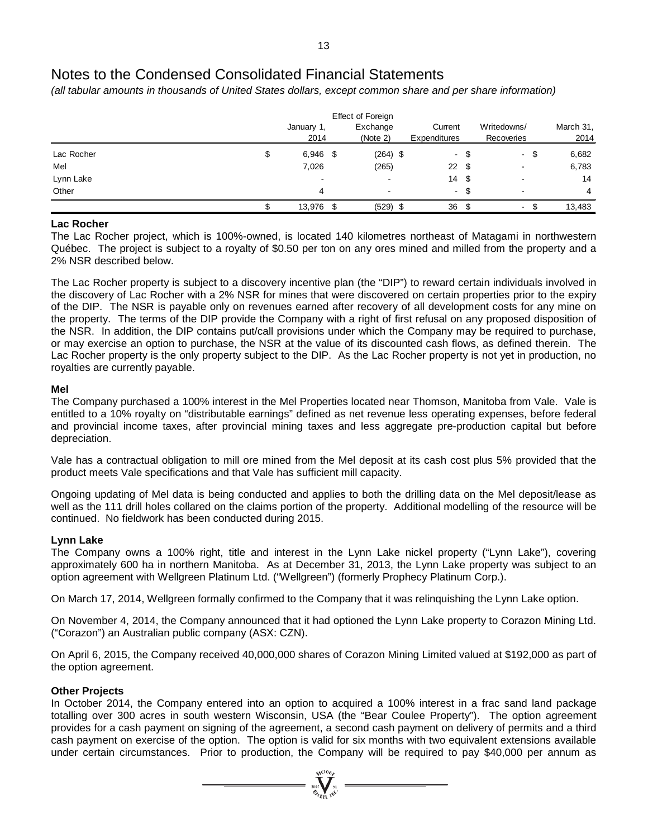*(all tabular amounts in thousands of United States dollars, except common share and per share information)*

|            |                          | Effect of Foreign        |              |      |                          |      |           |
|------------|--------------------------|--------------------------|--------------|------|--------------------------|------|-----------|
|            | January 1,               | Exchange                 | Current      |      | Writedowns/              |      | March 31, |
|            | 2014                     | (Note 2)                 | Expenditures |      | Recoveries               |      | 2014      |
| Lac Rocher | \$<br>$6,946$ \$         | $(264)$ \$               |              | - \$ |                          | - \$ | 6,682     |
| Mel        | 7,026                    | (265)                    | 22           | - \$ | $\overline{\phantom{a}}$ |      | 6,783     |
| Lynn Lake  | $\overline{\phantom{a}}$ | $\overline{\phantom{a}}$ | 14 \$        |      |                          |      | 14        |
| Other      | 4                        | $\blacksquare$           |              | - \$ | $\overline{\phantom{a}}$ |      | 4         |
|            | 13,976 \$                | $(529)$ \$               | 36           | - \$ | $\blacksquare$           | \$.  | 13,483    |

#### **Lac Rocher**

The Lac Rocher project, which is 100%-owned, is located 140 kilometres northeast of Matagami in northwestern Québec. The project is subject to a royalty of \$0.50 per ton on any ores mined and milled from the property and a 2% NSR described below.

The Lac Rocher property is subject to a discovery incentive plan (the "DIP") to reward certain individuals involved in the discovery of Lac Rocher with a 2% NSR for mines that were discovered on certain properties prior to the expiry of the DIP. The NSR is payable only on revenues earned after recovery of all development costs for any mine on the property. The terms of the DIP provide the Company with a right of first refusal on any proposed disposition of the NSR. In addition, the DIP contains put/call provisions under which the Company may be required to purchase, or may exercise an option to purchase, the NSR at the value of its discounted cash flows, as defined therein. The Lac Rocher property is the only property subject to the DIP. As the Lac Rocher property is not yet in production, no royalties are currently payable.

#### **Mel**

The Company purchased a 100% interest in the Mel Properties located near Thomson, Manitoba from Vale. Vale is entitled to a 10% royalty on "distributable earnings" defined as net revenue less operating expenses, before federal and provincial income taxes, after provincial mining taxes and less aggregate pre-production capital but before depreciation.

Vale has a contractual obligation to mill ore mined from the Mel deposit at its cash cost plus 5% provided that the product meets Vale specifications and that Vale has sufficient mill capacity.

Ongoing updating of Mel data is being conducted and applies to both the drilling data on the Mel deposit/lease as well as the 111 drill holes collared on the claims portion of the property. Additional modelling of the resource will be continued. No fieldwork has been conducted during 2015.

### **Lynn Lake**

The Company owns a 100% right, title and interest in the Lynn Lake nickel property ("Lynn Lake"), covering approximately 600 ha in northern Manitoba. As at December 31, 2013, the Lynn Lake property was subject to an option agreement with Wellgreen Platinum Ltd. ("Wellgreen") (formerly Prophecy Platinum Corp.).

On March 17, 2014, Wellgreen formally confirmed to the Company that it was relinquishing the Lynn Lake option.

On November 4, 2014, the Company announced that it had optioned the Lynn Lake property to Corazon Mining Ltd. ("Corazon") an Australian public company (ASX: CZN).

On April 6, 2015, the Company received 40,000,000 shares of Corazon Mining Limited valued at \$192,000 as part of the option agreement.

### **Other Projects**

In October 2014, the Company entered into an option to acquired a 100% interest in a frac sand land package totalling over 300 acres in south western Wisconsin, USA (the "Bear Coulee Property"). The option agreement provides for a cash payment on signing of the agreement, a second cash payment on delivery of permits and a third cash payment on exercise of the option. The option is valid for six months with two equivalent extensions available under certain circumstances. Prior to production, the Company will be required to pay \$40,000 per annum as

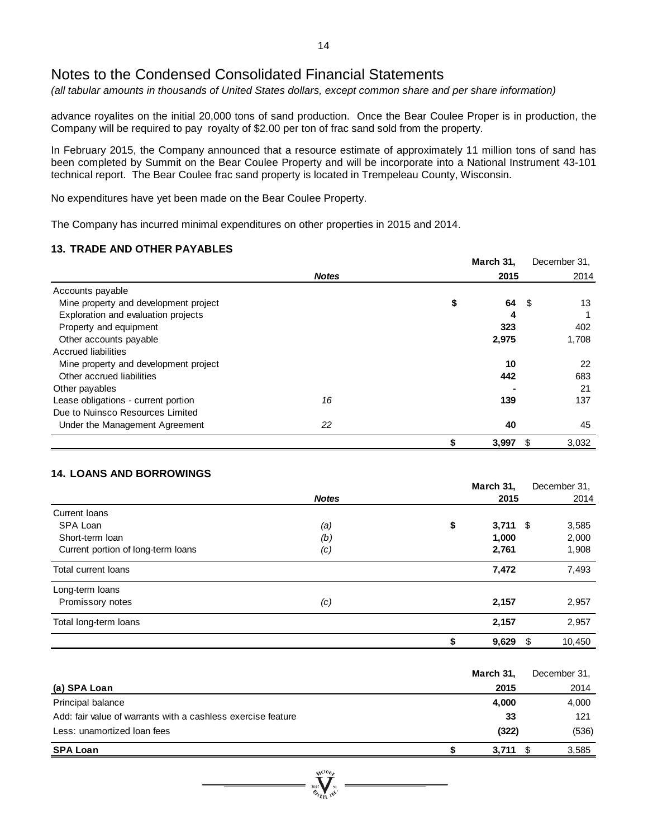*(all tabular amounts in thousands of United States dollars, except common share and per share information)*

advance royalites on the initial 20,000 tons of sand production. Once the Bear Coulee Proper is in production, the Company will be required to pay royalty of \$2.00 per ton of frac sand sold from the property.

In February 2015, the Company announced that a resource estimate of approximately 11 million tons of sand has been completed by Summit on the Bear Coulee Property and will be incorporate into a National Instrument 43-101 technical report. The Bear Coulee frac sand property is located in Trempeleau County, Wisconsin.

No expenditures have yet been made on the Bear Coulee Property.

The Company has incurred minimal expenditures on other properties in 2015 and 2014.

#### **13. TRADE AND OTHER PAYABLES**

|                                       |              | March 31, | December 31, |
|---------------------------------------|--------------|-----------|--------------|
|                                       | <b>Notes</b> | 2015      | 2014         |
| Accounts payable                      |              |           |              |
| Mine property and development project |              | \$<br>64  | 13<br>- \$   |
| Exploration and evaluation projects   |              | 4         |              |
| Property and equipment                |              | 323       | 402          |
| Other accounts payable                |              | 2,975     | 1,708        |
| <b>Accrued liabilities</b>            |              |           |              |
| Mine property and development project |              | 10        | 22           |
| Other accrued liabilities             |              | 442       | 683          |
| Other payables                        |              |           | 21           |
| Lease obligations - current portion   | 16           | 139       | 137          |
| Due to Nuinsco Resources Limited      |              |           |              |
| Under the Management Agreement        | 22           | 40        | 45           |
|                                       |              | 3,997     | 3,032<br>\$  |

### **14. LOANS AND BORROWINGS**

|                                    |              | March 31,        | December 31,  |
|------------------------------------|--------------|------------------|---------------|
|                                    | <b>Notes</b> | 2015             | 2014          |
| Current Ioans                      |              |                  |               |
| SPA Loan                           | (a)          | \$<br>$3,711$ \$ | 3,585         |
| Short-term loan                    | (b)          | 1,000            | 2,000         |
| Current portion of long-term loans | (c)          | 2,761            | 1,908         |
| <b>Total current loans</b>         |              | 7,472            | 7,493         |
| Long-term loans                    |              |                  |               |
| Promissory notes                   | (c)          | 2,157            | 2,957         |
| Total long-term loans              |              | 2,157            | 2,957         |
|                                    |              | 9,629            | 10,450<br>\$. |

|                                                              | March 31, | December 31, |
|--------------------------------------------------------------|-----------|--------------|
| (a) SPA Loan                                                 | 2015      | 2014         |
| Principal balance                                            | 4,000     | 4,000        |
| Add: fair value of warrants with a cashless exercise feature | 33        | 121          |
| Less: unamortized loan fees                                  | (322)     | (536)        |
| <b>SPA Loan</b>                                              | 3,711     | 3,585        |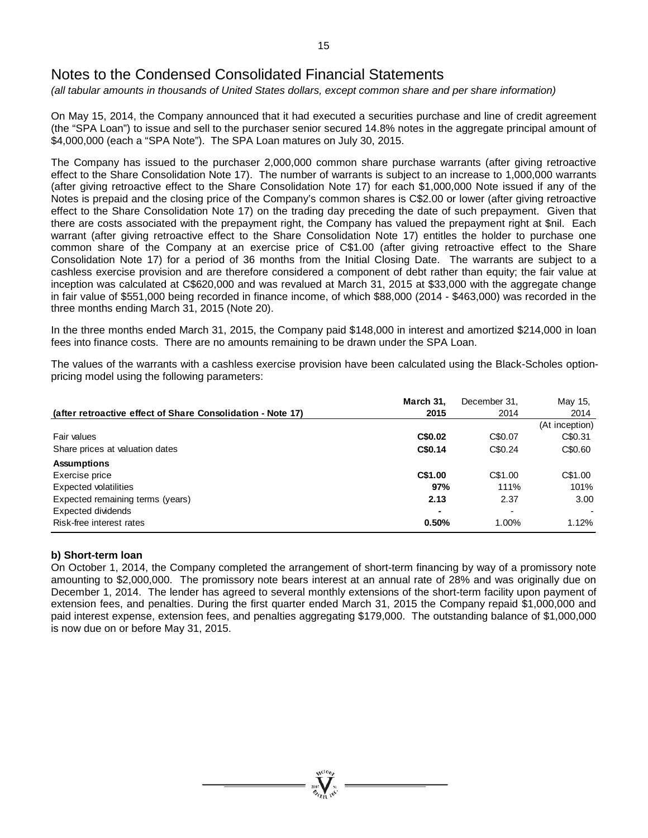*(all tabular amounts in thousands of United States dollars, except common share and per share information)*

On May 15, 2014, the Company announced that it had executed a securities purchase and line of credit agreement (the "SPA Loan") to issue and sell to the purchaser senior secured 14.8% notes in the aggregate principal amount of \$4,000,000 (each a "SPA Note"). The SPA Loan matures on July 30, 2015.

The Company has issued to the purchaser 2,000,000 common share purchase warrants (after giving retroactive effect to the Share Consolidation Note 17). The number of warrants is subject to an increase to 1,000,000 warrants (after giving retroactive effect to the Share Consolidation Note 17) for each \$1,000,000 Note issued if any of the Notes is prepaid and the closing price of the Company's common shares is C\$2.00 or lower (after giving retroactive effect to the Share Consolidation Note 17) on the trading day preceding the date of such prepayment. Given that there are costs associated with the prepayment right, the Company has valued the prepayment right at \$nil. Each warrant (after giving retroactive effect to the Share Consolidation Note 17) entitles the holder to purchase one common share of the Company at an exercise price of C\$1.00 (after giving retroactive effect to the Share Consolidation Note 17) for a period of 36 months from the Initial Closing Date. The warrants are subject to a cashless exercise provision and are therefore considered a component of debt rather than equity; the fair value at inception was calculated at C\$620,000 and was revalued at March 31, 2015 at \$33,000 with the aggregate change in fair value of \$551,000 being recorded in finance income, of which \$88,000 (2014 - \$463,000) was recorded in the three months ending March 31, 2015 (Note 20).

In the three months ended March 31, 2015, the Company paid \$148,000 in interest and amortized \$214,000 in loan fees into finance costs. There are no amounts remaining to be drawn under the SPA Loan.

The values of the warrants with a cashless exercise provision have been calculated using the Black-Scholes optionpricing model using the following parameters:

|                                                             | March 31. | December 31,             | May 15,                  |
|-------------------------------------------------------------|-----------|--------------------------|--------------------------|
| (after retroactive effect of Share Consolidation - Note 17) | 2015      | 2014                     | 2014                     |
|                                                             |           |                          | (At inception)           |
| Fair values                                                 | C\$0.02   | C\$0.07                  | C\$0.31                  |
| Share prices at valuation dates                             | C\$0.14   | C\$0.24                  | C\$0.60                  |
| <b>Assumptions</b>                                          |           |                          |                          |
| Exercise price                                              | C\$1.00   | C\$1.00                  | C\$1.00                  |
| <b>Expected volatilities</b>                                | 97%       | 111%                     | 101%                     |
| Expected remaining terms (years)                            | 2.13      | 2.37                     | 3.00                     |
| Expected dividends                                          |           | $\overline{\phantom{0}}$ | $\overline{\phantom{a}}$ |
| Risk-free interest rates                                    | 0.50%     | 1.00%                    | 1.12%                    |

#### **b) Short-term loan**

On October 1, 2014, the Company completed the arrangement of short-term financing by way of a promissory note amounting to \$2,000,000. The promissory note bears interest at an annual rate of 28% and was originally due on December 1, 2014. The lender has agreed to several monthly extensions of the short-term facility upon payment of extension fees, and penalties. During the first quarter ended March 31, 2015 the Company repaid \$1,000,000 and paid interest expense, extension fees, and penalties aggregating \$179,000. The outstanding balance of \$1,000,000 is now due on or before May 31, 2015.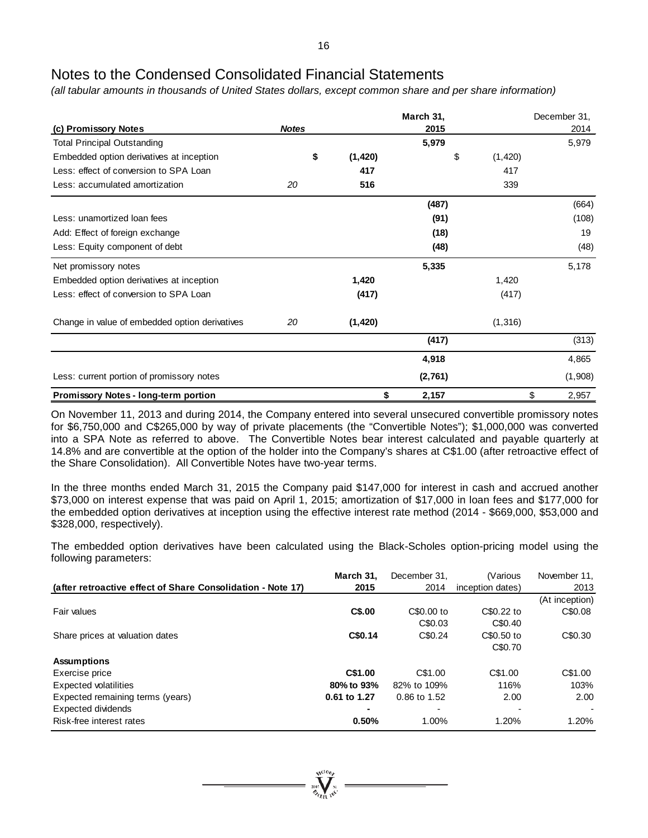*(all tabular amounts in thousands of United States dollars, except common share and per share information)*

| (c) Promissory Notes                           | <b>Notes</b> |          | March 31,<br>2015 |                | December 31,<br>2014 |
|------------------------------------------------|--------------|----------|-------------------|----------------|----------------------|
| <b>Total Principal Outstanding</b>             |              |          | 5,979             |                | 5,979                |
| Embedded option derivatives at inception       | \$           | (1,420)  |                   | \$<br>(1, 420) |                      |
| Less: effect of conversion to SPA Loan         |              | 417      |                   | 417            |                      |
| Less: accumulated amortization                 | 20           | 516      |                   | 339            |                      |
|                                                |              |          | (487)             |                | (664)                |
| Less: unamortized loan fees                    |              |          | (91)              |                | (108)                |
| Add: Effect of foreign exchange                |              |          | (18)              |                | 19                   |
| Less: Equity component of debt                 |              |          | (48)              |                | (48)                 |
| Net promissory notes                           |              |          | 5,335             |                | 5,178                |
| Embedded option derivatives at inception       |              | 1,420    |                   | 1,420          |                      |
| Less: effect of conversion to SPA Loan         |              | (417)    |                   | (417)          |                      |
| Change in value of embedded option derivatives | 20           | (1, 420) |                   | (1, 316)       |                      |
|                                                |              |          | (417)             |                | (313)                |
|                                                |              |          | 4,918             |                | 4,865                |
| Less: current portion of promissory notes      |              |          | (2,761)           |                | (1,908)              |
| Promissory Notes - long-term portion           |              | \$       | 2,157             |                | \$<br>2,957          |

On November 11, 2013 and during 2014, the Company entered into several unsecured convertible promissory notes for \$6,750,000 and C\$265,000 by way of private placements (the "Convertible Notes"); \$1,000,000 was converted into a SPA Note as referred to above. The Convertible Notes bear interest calculated and payable quarterly at 14.8% and are convertible at the option of the holder into the Company's shares at C\$1.00 (after retroactive effect of the Share Consolidation). All Convertible Notes have two-year terms.

In the three months ended March 31, 2015 the Company paid \$147,000 for interest in cash and accrued another \$73,000 on interest expense that was paid on April 1, 2015; amortization of \$17,000 in loan fees and \$177,000 for the embedded option derivatives at inception using the effective interest rate method (2014 - \$669,000, \$53,000 and \$328,000, respectively).

The embedded option derivatives have been calculated using the Black-Scholes option-pricing model using the following parameters:

|                                                             | March 31.    | December 31. | (Various         | November 11.             |
|-------------------------------------------------------------|--------------|--------------|------------------|--------------------------|
| (after retroactive effect of Share Consolidation - Note 17) | 2015         | 2014         | inception dates) | 2013                     |
|                                                             |              |              |                  | (At inception)           |
| Fair values                                                 | C\$.00       | C\$0.00 to   | C\$0.22 to       | C\$0.08                  |
|                                                             |              | C\$0.03      | C\$0.40          |                          |
| Share prices at valuation dates                             | C\$0.14      | C\$0.24      | C\$0.50 to       | C\$0.30                  |
|                                                             |              |              | C\$0.70          |                          |
| <b>Assumptions</b>                                          |              |              |                  |                          |
| Exercise price                                              | C\$1.00      | C\$1.00      | C\$1.00          | C\$1.00                  |
| <b>Expected volatilities</b>                                | 80% to 93%   | 82% to 109%  | 116%             | 103%                     |
| Expected remaining terms (years)                            | 0.61 to 1.27 | 0.86 to 1.52 | 2.00             | 2.00                     |
| Expected dividends                                          |              |              |                  | $\overline{\phantom{a}}$ |
| Risk-free interest rates                                    | 0.50%        | 1.00%        | 1.20%            | 1.20%                    |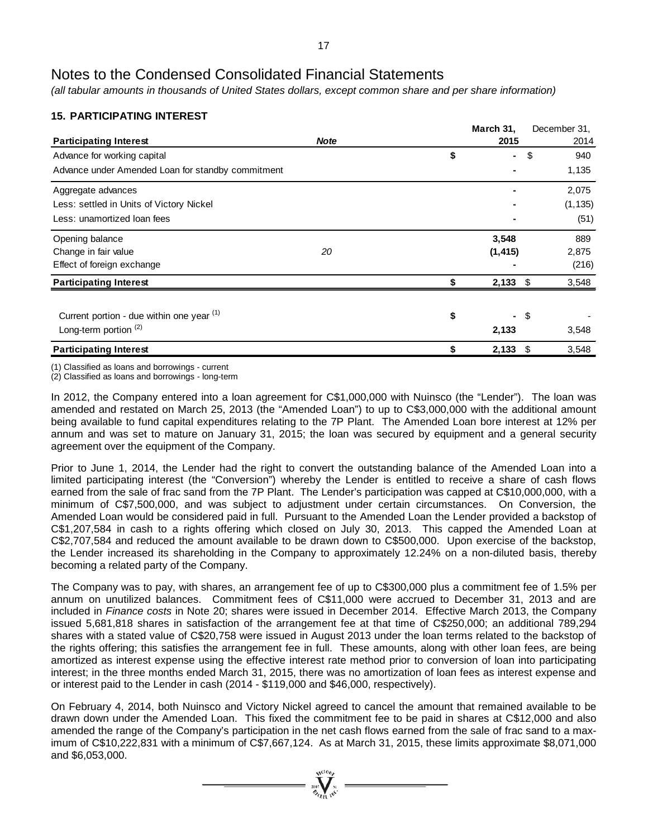*(all tabular amounts in thousands of United States dollars, except common share and per share information)*

### **15. PARTICIPATING INTEREST**

|                                                   |             | March 31, |          | December 31, |
|---------------------------------------------------|-------------|-----------|----------|--------------|
| <b>Participating Interest</b>                     | <b>Note</b> |           | 2015     | 2014         |
| Advance for working capital                       |             | \$        | ۰        | \$<br>940    |
| Advance under Amended Loan for standby commitment |             |           |          | 1,135        |
| Aggregate advances                                |             |           |          | 2,075        |
| Less: settled in Units of Victory Nickel          |             |           |          | (1, 135)     |
| Less: unamortized loan fees                       |             |           |          | (51)         |
| Opening balance                                   |             |           | 3,548    | 889          |
| Change in fair value                              | 20          |           | (1, 415) | 2,875        |
| Effect of foreign exchange                        |             |           |          | (216)        |
| <b>Participating Interest</b>                     |             |           | 2,133    | \$<br>3,548  |
|                                                   |             |           |          |              |
| Current portion - due within one year (1)         |             | \$        | ۰        | \$           |
| Long-term portion <sup>(2)</sup>                  |             |           | 2,133    | 3,548        |
| <b>Participating Interest</b>                     |             |           | 2,133    | \$<br>3,548  |

(1) Classified as loans and borrowings - current

(2) Classified as loans and borrowings - long-term

In 2012, the Company entered into a loan agreement for C\$1,000,000 with Nuinsco (the "Lender"). The loan was amended and restated on March 25, 2013 (the "Amended Loan") to up to C\$3,000,000 with the additional amount being available to fund capital expenditures relating to the 7P Plant. The Amended Loan bore interest at 12% per annum and was set to mature on January 31, 2015; the loan was secured by equipment and a general security agreement over the equipment of the Company.

Prior to June 1, 2014, the Lender had the right to convert the outstanding balance of the Amended Loan into a limited participating interest (the "Conversion") whereby the Lender is entitled to receive a share of cash flows earned from the sale of frac sand from the 7P Plant. The Lender's participation was capped at C\$10,000,000, with a minimum of C\$7,500,000, and was subject to adjustment under certain circumstances. On Conversion, the Amended Loan would be considered paid in full. Pursuant to the Amended Loan the Lender provided a backstop of C\$1,207,584 in cash to a rights offering which closed on July 30, 2013. This capped the Amended Loan at C\$2,707,584 and reduced the amount available to be drawn down to C\$500,000. Upon exercise of the backstop, the Lender increased its shareholding in the Company to approximately 12.24% on a non-diluted basis, thereby becoming a related party of the Company.

The Company was to pay, with shares, an arrangement fee of up to C\$300,000 plus a commitment fee of 1.5% per annum on unutilized balances. Commitment fees of C\$11,000 were accrued to December 31, 2013 and are included in *Finance costs* in Note 20; shares were issued in December 2014. Effective March 2013, the Company issued 5,681,818 shares in satisfaction of the arrangement fee at that time of C\$250,000; an additional 789,294 shares with a stated value of C\$20,758 were issued in August 2013 under the loan terms related to the backstop of the rights offering; this satisfies the arrangement fee in full. These amounts, along with other loan fees, are being amortized as interest expense using the effective interest rate method prior to conversion of loan into participating interest; in the three months ended March 31, 2015, there was no amortization of loan fees as interest expense and or interest paid to the Lender in cash (2014 - \$119,000 and \$46,000, respectively).

On February 4, 2014, both Nuinsco and Victory Nickel agreed to cancel the amount that remained available to be drawn down under the Amended Loan. This fixed the commitment fee to be paid in shares at C\$12,000 and also amended the range of the Company's participation in the net cash flows earned from the sale of frac sand to a maximum of C\$10,222,831 with a minimum of C\$7,667,124. As at March 31, 2015, these limits approximate \$8,071,000 and \$6,053,000.

 $\sum_{n=1}^{\infty} \sum_{n=1}^{\infty} n^n$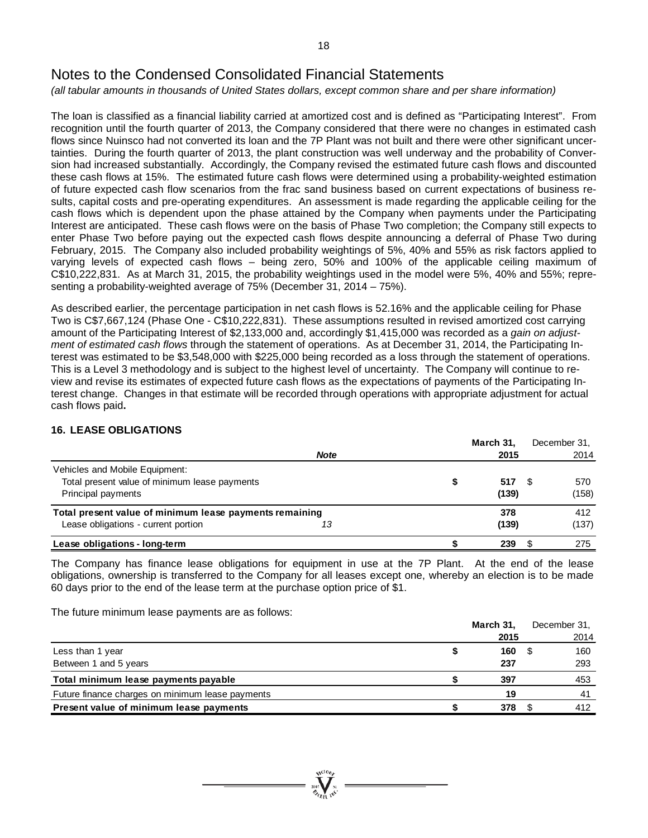*(all tabular amounts in thousands of United States dollars, except common share and per share information)*

The loan is classified as a financial liability carried at amortized cost and is defined as "Participating Interest". From recognition until the fourth quarter of 2013, the Company considered that there were no changes in estimated cash flows since Nuinsco had not converted its loan and the 7P Plant was not built and there were other significant uncertainties. During the fourth quarter of 2013, the plant construction was well underway and the probability of Conversion had increased substantially. Accordingly, the Company revised the estimated future cash flows and discounted these cash flows at 15%. The estimated future cash flows were determined using a probability-weighted estimation of future expected cash flow scenarios from the frac sand business based on current expectations of business results, capital costs and pre-operating expenditures. An assessment is made regarding the applicable ceiling for the cash flows which is dependent upon the phase attained by the Company when payments under the Participating Interest are anticipated. These cash flows were on the basis of Phase Two completion; the Company still expects to enter Phase Two before paying out the expected cash flows despite announcing a deferral of Phase Two during February, 2015. The Company also included probability weightings of 5%, 40% and 55% as risk factors applied to varying levels of expected cash flows – being zero, 50% and 100% of the applicable ceiling maximum of C\$10,222,831. As at March 31, 2015, the probability weightings used in the model were 5%, 40% and 55%; representing a probability-weighted average of 75% (December 31, 2014 – 75%).

As described earlier, the percentage participation in net cash flows is 52.16% and the applicable ceiling for Phase Two is C\$7,667,124 (Phase One - C\$10,222,831). These assumptions resulted in revised amortized cost carrying amount of the Participating Interest of \$2,133,000 and, accordingly \$1,415,000 was recorded as a *gain on adjustment of estimated cash flows* through the statement of operations. As at December 31, 2014, the Participating Interest was estimated to be \$3,548,000 with \$225,000 being recorded as a loss through the statement of operations. This is a Level 3 methodology and is subject to the highest level of uncertainty. The Company will continue to review and revise its estimates of expected future cash flows as the expectations of payments of the Participating Interest change. Changes in that estimate will be recorded through operations with appropriate adjustment for actual cash flows paid**.**

### **16. LEASE OBLIGATIONS**

|                                                         |             | March 31. | December 31. |
|---------------------------------------------------------|-------------|-----------|--------------|
|                                                         | <b>Note</b> | 2015      | 2014         |
| Vehicles and Mobile Equipment:                          |             |           |              |
| Total present value of minimum lease payments           |             | 517       | 570          |
| Principal payments                                      |             | (139)     | (158)        |
| Total present value of minimum lease payments remaining |             | 378       | 412          |
| Lease obligations - current portion                     | 13          | (139)     | (137)        |
| Lease obligations - long-term                           |             | 239       | 275          |

The Company has finance lease obligations for equipment in use at the 7P Plant. At the end of the lease obligations, ownership is transferred to the Company for all leases except one, whereby an election is to be made 60 days prior to the end of the lease term at the purchase option price of \$1.

The future minimum lease payments are as follows:

|                                                  | March 31, | December 31. |
|--------------------------------------------------|-----------|--------------|
|                                                  | 2015      | 2014         |
| Less than 1 year                                 | 160       | 160          |
| Between 1 and 5 years                            | 237       | 293          |
| Total minimum lease payments payable             | 397       | 453          |
| Future finance charges on minimum lease payments | 19        | 41           |
| Present value of minimum lease payments          | 378       | 412          |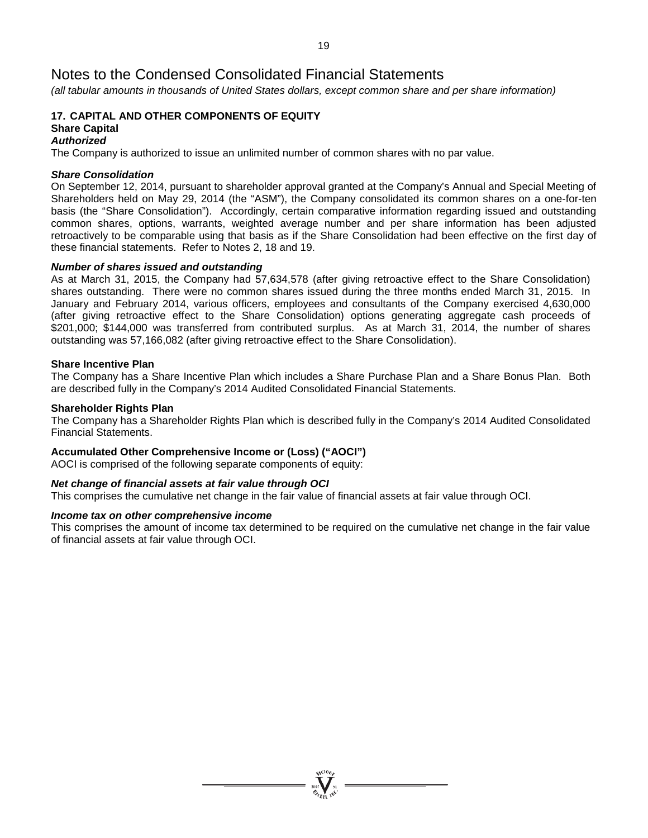*(all tabular amounts in thousands of United States dollars, except common share and per share information)*

#### **17. CAPITAL AND OTHER COMPONENTS OF EQUITY Share Capital**

#### *Authorized*

The Company is authorized to issue an unlimited number of common shares with no par value.

#### *Share Consolidation*

On September 12, 2014, pursuant to shareholder approval granted at the Company's Annual and Special Meeting of Shareholders held on May 29, 2014 (the "ASM"), the Company consolidated its common shares on a one-for-ten basis (the "Share Consolidation"). Accordingly, certain comparative information regarding issued and outstanding common shares, options, warrants, weighted average number and per share information has been adjusted retroactively to be comparable using that basis as if the Share Consolidation had been effective on the first day of these financial statements. Refer to Notes 2, 18 and 19.

#### *Number of shares issued and outstanding*

As at March 31, 2015, the Company had 57,634,578 (after giving retroactive effect to the Share Consolidation) shares outstanding. There were no common shares issued during the three months ended March 31, 2015. In January and February 2014, various officers, employees and consultants of the Company exercised 4,630,000 (after giving retroactive effect to the Share Consolidation) options generating aggregate cash proceeds of \$201,000; \$144,000 was transferred from contributed surplus. As at March 31, 2014, the number of shares outstanding was 57,166,082 (after giving retroactive effect to the Share Consolidation).

#### **Share Incentive Plan**

The Company has a Share Incentive Plan which includes a Share Purchase Plan and a Share Bonus Plan. Both are described fully in the Company's 2014 Audited Consolidated Financial Statements.

#### **Shareholder Rights Plan**

The Company has a Shareholder Rights Plan which is described fully in the Company's 2014 Audited Consolidated Financial Statements.

#### **Accumulated Other Comprehensive Income or (Loss) ("AOCI")**

AOCI is comprised of the following separate components of equity:

#### *Net change of financial assets at fair value through OCI*

This comprises the cumulative net change in the fair value of financial assets at fair value through OCI.

#### *Income tax on other comprehensive income*

This comprises the amount of income tax determined to be required on the cumulative net change in the fair value of financial assets at fair value through OCI.

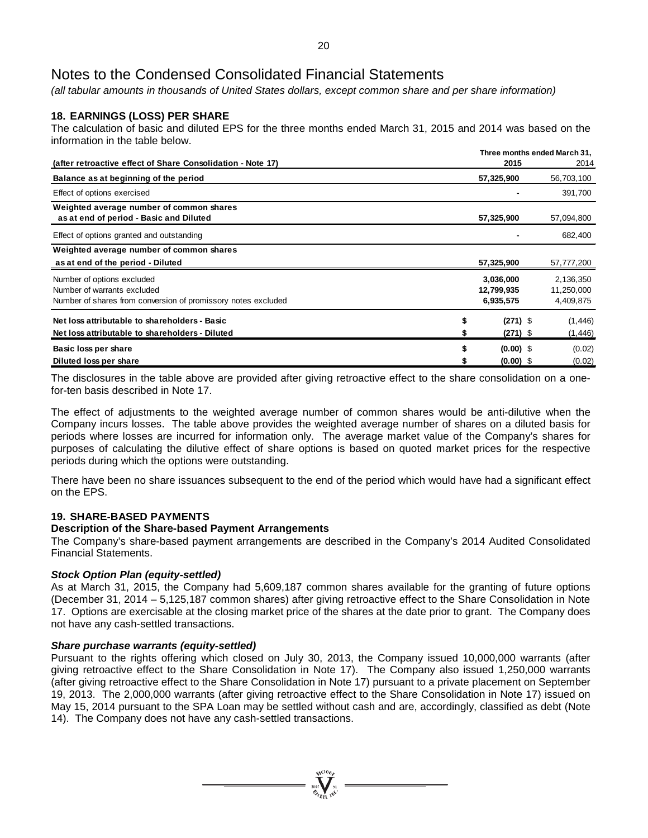*(all tabular amounts in thousands of United States dollars, except common share and per share information)*

### **18. EARNINGS (LOSS) PER SHARE**

The calculation of basic and diluted EPS for the three months ended March 31, 2015 and 2014 was based on the information in the table below.

|                                                                                                                            | Three months ended March 31,         |                                      |  |  |  |
|----------------------------------------------------------------------------------------------------------------------------|--------------------------------------|--------------------------------------|--|--|--|
| (after retroactive effect of Share Consolidation - Note 17)                                                                | 2015                                 | 2014                                 |  |  |  |
| Balance as at beginning of the period                                                                                      | 57,325,900                           | 56,703,100                           |  |  |  |
| Effect of options exercised                                                                                                |                                      | 391,700                              |  |  |  |
| Weighted average number of common shares<br>as at end of period - Basic and Diluted                                        | 57,325,900                           | 57,094,800                           |  |  |  |
| Effect of options granted and outstanding                                                                                  |                                      | 682,400                              |  |  |  |
| Weighted average number of common shares                                                                                   |                                      |                                      |  |  |  |
| as at end of the period - Diluted                                                                                          | 57,325,900                           | 57,777,200                           |  |  |  |
| Number of options excluded<br>Number of warrants excluded<br>Number of shares from conversion of promissory notes excluded | 3,036,000<br>12,799,935<br>6,935,575 | 2,136,350<br>11,250,000<br>4,409,875 |  |  |  |
| Net loss attributable to shareholders - Basic<br>Net loss attributable to shareholders - Diluted                           | \$<br>$(271)$ \$<br>$(271)$ \$       | (1, 446)<br>(1, 446)                 |  |  |  |
| Basic loss per share<br>Diluted loss per share                                                                             | \$<br>$(0.00)$ \$<br>$(0.00)$ \$     | (0.02)<br>(0.02)                     |  |  |  |

The disclosures in the table above are provided after giving retroactive effect to the share consolidation on a onefor-ten basis described in Note 17.

The effect of adjustments to the weighted average number of common shares would be anti-dilutive when the Company incurs losses. The table above provides the weighted average number of shares on a diluted basis for periods where losses are incurred for information only. The average market value of the Company's shares for purposes of calculating the dilutive effect of share options is based on quoted market prices for the respective periods during which the options were outstanding.

There have been no share issuances subsequent to the end of the period which would have had a significant effect on the EPS.

### **19. SHARE-BASED PAYMENTS**

#### **Description of the Share-based Payment Arrangements**

The Company's share-based payment arrangements are described in the Company's 2014 Audited Consolidated Financial Statements.

#### *Stock Option Plan (equity-settled)*

As at March 31, 2015, the Company had 5,609,187 common shares available for the granting of future options (December 31, 2014 – 5,125,187 common shares) after giving retroactive effect to the Share Consolidation in Note 17. Options are exercisable at the closing market price of the shares at the date prior to grant. The Company does not have any cash-settled transactions.

#### *Share purchase warrants (equity-settled)*

Pursuant to the rights offering which closed on July 30, 2013, the Company issued 10,000,000 warrants (after giving retroactive effect to the Share Consolidation in Note 17). The Company also issued 1,250,000 warrants (after giving retroactive effect to the Share Consolidation in Note 17) pursuant to a private placement on September 19, 2013. The 2,000,000 warrants (after giving retroactive effect to the Share Consolidation in Note 17) issued on May 15, 2014 pursuant to the SPA Loan may be settled without cash and are, accordingly, classified as debt (Note 14). The Company does not have any cash-settled transactions.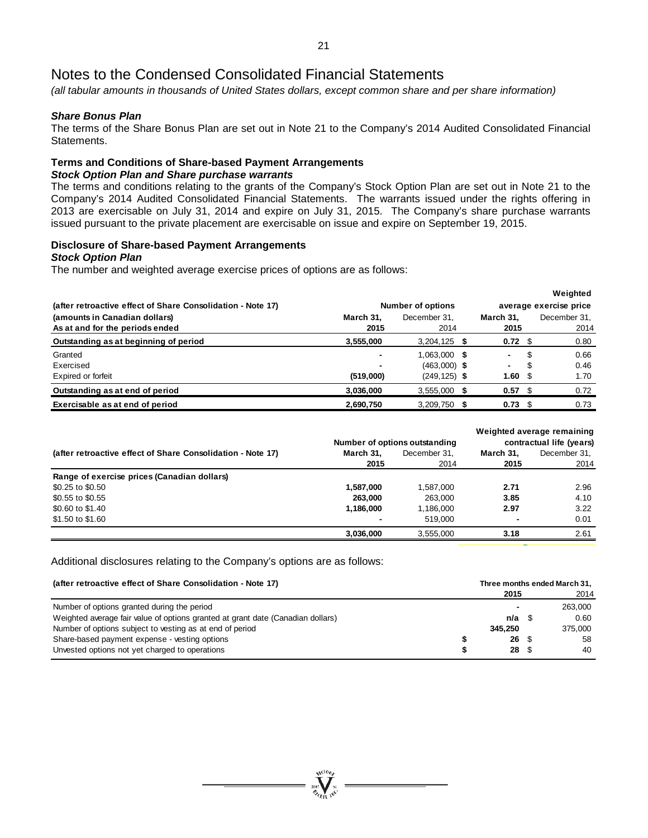*(all tabular amounts in thousands of United States dollars, except common share and per share information)*

#### *Share Bonus Plan*

The terms of the Share Bonus Plan are set out in Note 21 to the Company's 2014 Audited Consolidated Financial Statements.

# **Terms and Conditions of Share-based Payment Arrangements**

### *Stock Option Plan and Share purchase warrants*

The terms and conditions relating to the grants of the Company's Stock Option Plan are set out in Note 21 to the Company's 2014 Audited Consolidated Financial Statements. The warrants issued under the rights offering in 2013 are exercisable on July 31, 2014 and expire on July 31, 2015. The Company's share purchase warrants issued pursuant to the private placement are exercisable on issue and expire on September 19, 2015.

### **Disclosure of Share-based Payment Arrangements**

#### *Stock Option Plan*

The number and weighted average exercise prices of options are as follows:

|                                                             |                          |                 |  |                |                        | Weighted     |
|-------------------------------------------------------------|--------------------------|-----------------|--|----------------|------------------------|--------------|
| (after retroactive effect of Share Consolidation - Note 17) | <b>Number of options</b> |                 |  |                | average exercise price |              |
| (amounts in Canadian dollars)                               | March 31,                | December 31.    |  | March 31.      |                        | December 31, |
| As at and for the periods ended                             | 2015                     | 2014            |  | 2015           |                        | 2014         |
| Outstanding as at beginning of period                       | 3,555,000                | $3,204,125$ \$  |  | $0.72 \quad $$ |                        | 0.80         |
| Granted                                                     | $\blacksquare$           | 1,063,000 \$    |  | $\blacksquare$ | S                      | 0.66         |
| Exercised                                                   |                          | $(463,000)$ \$  |  | ۰.             | S                      | 0.46         |
| Expired or forfeit                                          | (519,000)                | $(249, 125)$ \$ |  | 1.60           | - \$                   | 1.70         |
| Outstanding as at end of period                             | 3.036.000                | $3,555,000$ \$  |  | 0.57           |                        | 0.72         |
| Exercisable as at end of period                             | 2,690,750                | $3,209,750$ \$  |  | $0.73$ \$      |                        | 0.73         |

|                                                             |           |                               |                          | Weighted average remaining |  |
|-------------------------------------------------------------|-----------|-------------------------------|--------------------------|----------------------------|--|
|                                                             |           | Number of options outstanding | contractual life (years) |                            |  |
| (after retroactive effect of Share Consolidation - Note 17) | March 31. | December 31.                  | March 31.                | December 31.               |  |
|                                                             | 2015      | 2014                          | 2015                     | 2014                       |  |
| Range of exercise prices (Canadian dollars)                 |           |                               |                          |                            |  |
| \$0.25 to \$0.50                                            | 1,587,000 | 1.587.000                     | 2.71                     | 2.96                       |  |
| \$0.55 to \$0.55                                            | 263.000   | 263.000                       | 3.85                     | 4.10                       |  |
| \$0.60 to \$1.40                                            | 1,186,000 | 1,186,000                     | 2.97                     | 3.22                       |  |
| \$1.50 to \$1.60                                            |           | 519.000                       | $\blacksquare$           | 0.01                       |  |
|                                                             | 3,036,000 | 3.555.000                     | 3.18                     | 2.61                       |  |

#### Additional disclosures relating to the Company's options are as follows:

| (after retroactive effect of Share Consolidation - Note 17)                     | Three months ended March 31, |             |  |         |  |
|---------------------------------------------------------------------------------|------------------------------|-------------|--|---------|--|
|                                                                                 |                              | 2015        |  | 2014    |  |
| Number of options granted during the period                                     |                              |             |  | 263.000 |  |
| Weighted average fair value of options granted at grant date (Canadian dollars) |                              | $n/a \quad$ |  | 0.60    |  |
| Number of options subject to vesting as at end of period                        |                              | 345.250     |  | 375,000 |  |
| Share-based payment expense - vesting options                                   |                              | 26S         |  | 58      |  |
| Unvested options not yet charged to operations                                  |                              | 28S         |  | 40      |  |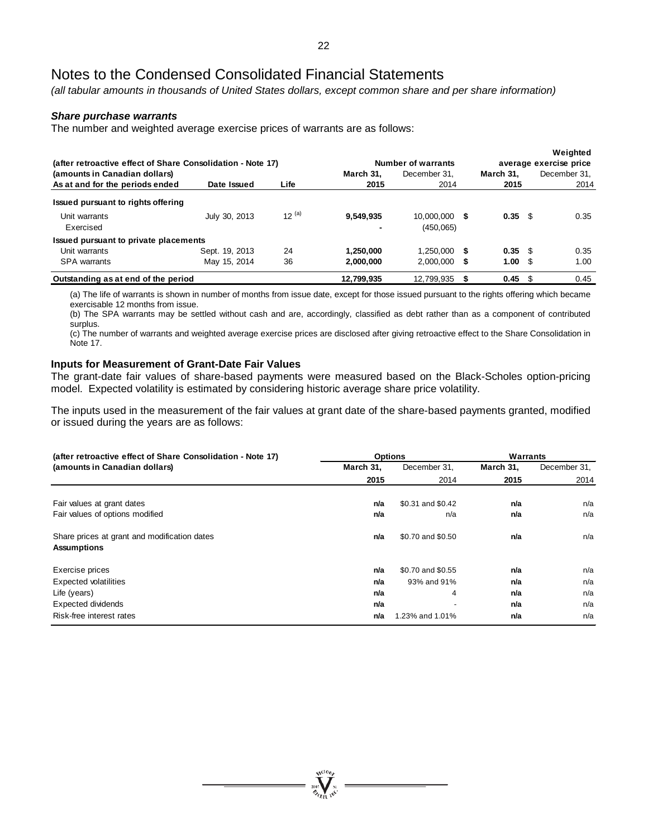*(all tabular amounts in thousands of United States dollars, except common share and per share information)*

#### *Share purchase warrants*

The number and weighted average exercise prices of warrants are as follows:

| (after retroactive effect of Share Consolidation - Note 17) |                |            |            | Number of warrants |                 | Weighted<br>average exercise price |
|-------------------------------------------------------------|----------------|------------|------------|--------------------|-----------------|------------------------------------|
| (amounts in Canadian dollars)                               |                |            | March 31.  | December 31.       | March 31,       | December 31,                       |
| As at and for the periods ended                             | Date Issued    | Life       | 2015       | 2014               | 2015            | 2014                               |
| Issued pursuant to rights offering                          |                |            |            |                    |                 |                                    |
| Unit warrants                                               | July 30, 2013  | $12^{(a)}$ | 9,549,935  | 10.000.000 \$      | $0.35 \quad$ \$ | 0.35                               |
| Exercised                                                   |                |            |            | (450,065)          |                 |                                    |
| Issued pursuant to private placements                       |                |            |            |                    |                 |                                    |
| Unit warrants                                               | Sept. 19, 2013 | 24         | 1.250.000  | $1.250.000$ \$     | $0.35$ \$       | 0.35                               |
| <b>SPA</b> warrants                                         | May 15, 2014   | 36         | 2,000,000  | $2.000.000$ \$     | 1.00 S          | 1.00                               |
| Outstanding as at end of the period                         |                |            | 12,799,935 | 12.799.935         | $0.45 \quad$ \$ | 0.45                               |

(a) The life of warrants is shown in number of months from issue date, except for those issued pursuant to the rights offering which became exercisable 12 months from issue.

(b) The SPA warrants may be settled without cash and are, accordingly, classified as debt rather than as a component of contributed surplus.

(c) The number of warrants and weighted average exercise prices are disclosed after giving retroactive effect to the Share Consolidation in Note 17.

#### **Inputs for Measurement of Grant-Date Fair Values**

The grant-date fair values of share-based payments were measured based on the Black-Scholes option-pricing model. Expected volatility is estimated by considering historic average share price volatility.

The inputs used in the measurement of the fair values at grant date of the share-based payments granted, modified or issued during the years are as follows:

| (after retroactive effect of Share Consolidation - Note 17)        |           | <b>Options</b>    | Warrants  |              |  |
|--------------------------------------------------------------------|-----------|-------------------|-----------|--------------|--|
| (amounts in Canadian dollars)                                      | March 31, | December 31,      | March 31, | December 31, |  |
|                                                                    | 2015      | 2014              | 2015      | 2014         |  |
| Fair values at grant dates                                         | n/a       | \$0.31 and \$0.42 | n/a       | n/a          |  |
| Fair values of options modified                                    | n/a       | n/a               | n/a       | n/a          |  |
| Share prices at grant and modification dates<br><b>Assumptions</b> | n/a       | \$0.70 and \$0.50 | n/a       | n/a          |  |
| Exercise prices                                                    | n/a       | \$0.70 and \$0.55 | n/a       | n/a          |  |
| Expected volatilities                                              | n/a       | 93% and 91%       | n/a       | n/a          |  |
| Life (years)                                                       | n/a       | 4                 | n/a       | n/a          |  |
| Expected dividends                                                 | n/a       | ٠                 | n/a       | n/a          |  |
| Risk-free interest rates                                           | n/a       | 1.23% and 1.01%   | n/a       | n/a          |  |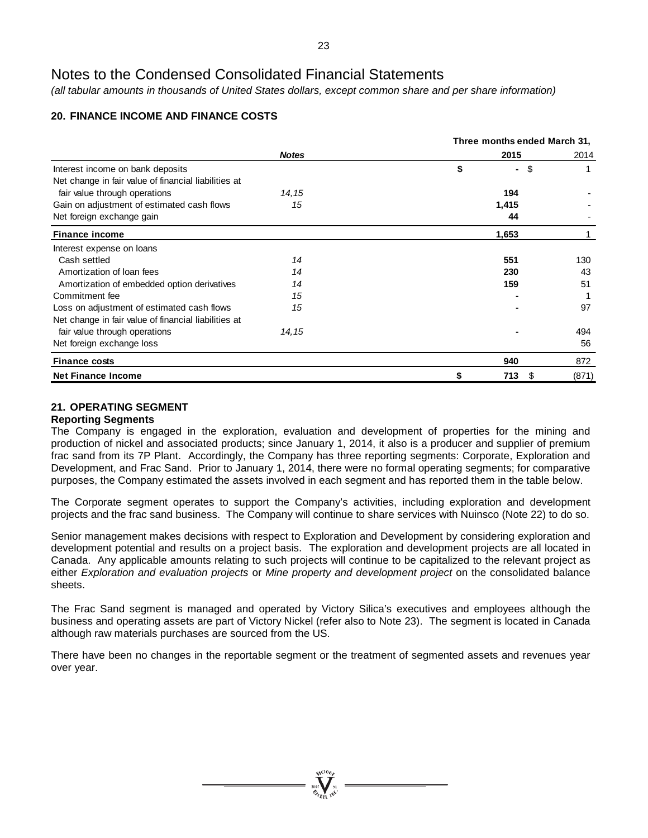*(all tabular amounts in thousands of United States dollars, except common share and per share information)*

### **20. FINANCE INCOME AND FINANCE COSTS**

|                                                      |              |    | Three months ended March 31, |       |
|------------------------------------------------------|--------------|----|------------------------------|-------|
|                                                      | <b>Notes</b> |    | 2015                         | 2014  |
| Interest income on bank deposits                     |              | \$ | -\$<br>$\blacksquare$        |       |
| Net change in fair value of financial liabilities at |              |    |                              |       |
| fair value through operations                        | 14, 15       |    | 194                          |       |
| Gain on adjustment of estimated cash flows           | 15           |    | 1,415                        |       |
| Net foreign exchange gain                            |              |    | 44                           |       |
| <b>Finance income</b>                                |              |    | 1,653                        |       |
| Interest expense on loans                            |              |    |                              |       |
| Cash settled                                         | 14           |    | 551                          | 130   |
| Amortization of loan fees                            | 14           |    | 230                          | 43    |
| Amortization of embedded option derivatives          | 14           |    | 159                          | 51    |
| Commitment fee                                       | 15           |    |                              |       |
| Loss on adjustment of estimated cash flows           | 15           |    |                              | 97    |
| Net change in fair value of financial liabilities at |              |    |                              |       |
| fair value through operations                        | 14, 15       |    |                              | 494   |
| Net foreign exchange loss                            |              |    |                              | 56    |
| <b>Finance costs</b>                                 |              |    | 940                          | 872   |
| <b>Net Finance Income</b>                            |              | \$ | 713<br>S                     | (871) |

### **21. OPERATING SEGMENT**

#### **Reporting Segments**

The Company is engaged in the exploration, evaluation and development of properties for the mining and production of nickel and associated products; since January 1, 2014, it also is a producer and supplier of premium frac sand from its 7P Plant. Accordingly, the Company has three reporting segments: Corporate, Exploration and Development, and Frac Sand. Prior to January 1, 2014, there were no formal operating segments; for comparative purposes, the Company estimated the assets involved in each segment and has reported them in the table below.

The Corporate segment operates to support the Company's activities, including exploration and development projects and the frac sand business. The Company will continue to share services with Nuinsco (Note 22) to do so.

Senior management makes decisions with respect to Exploration and Development by considering exploration and development potential and results on a project basis. The exploration and development projects are all located in Canada. Any applicable amounts relating to such projects will continue to be capitalized to the relevant project as either *Exploration and evaluation projects* or *Mine property and development project* on the consolidated balance sheets.

The Frac Sand segment is managed and operated by Victory Silica's executives and employees although the business and operating assets are part of Victory Nickel (refer also to Note 23). The segment is located in Canada although raw materials purchases are sourced from the US.

There have been no changes in the reportable segment or the treatment of segmented assets and revenues year over year.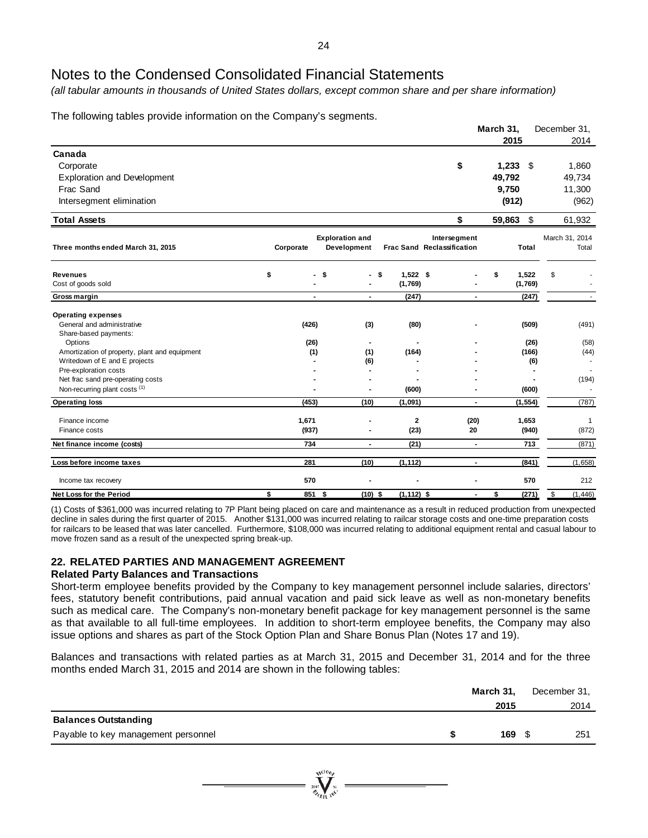*(all tabular amounts in thousands of United States dollars, except common share and per share information)*

The following tables provide information on the Company's segments.

|                                                          |                |                                       |                  |                                            |                | March 31, |               | December 31,            |
|----------------------------------------------------------|----------------|---------------------------------------|------------------|--------------------------------------------|----------------|-----------|---------------|-------------------------|
|                                                          |                |                                       |                  |                                            |                | 2015      |               | 2014                    |
| Canada                                                   |                |                                       |                  |                                            |                |           |               |                         |
| Corporate                                                |                |                                       |                  | \$                                         |                | 1,233     | \$            | 1,860                   |
| <b>Exploration and Development</b>                       |                |                                       |                  |                                            |                | 49,792    |               | 49,734                  |
| Frac Sand                                                |                |                                       |                  |                                            |                | 9,750     |               | 11,300                  |
| Intersegment elimination                                 |                |                                       |                  |                                            |                | (912)     |               | (962)                   |
| <b>Total Assets</b>                                      |                |                                       |                  | \$                                         |                | 59,863    | \$            | 61,932                  |
| Three months ended March 31, 2015                        | Corporate      | <b>Exploration and</b><br>Development |                  | Intersegment<br>Frac Sand Reclassification |                |           | Total         | March 31, 2014<br>Total |
| <b>Revenues</b>                                          | \$             | \$                                    | $1,522$ \$<br>\$ |                                            |                | \$        | 1,522         | \$                      |
| Cost of goods sold                                       |                |                                       | (1,769)          |                                            |                |           | (1,769)       |                         |
| Gross margin                                             | $\blacksquare$ | $\blacksquare$                        | (247)            |                                            | $\blacksquare$ |           | (247)         |                         |
| <b>Operating expenses</b>                                |                |                                       |                  |                                            |                |           |               |                         |
| General and administrative                               | (426)          | (3)                                   | (80)             |                                            |                |           | (509)         | (491)                   |
| Share-based payments:                                    |                |                                       |                  |                                            |                |           |               |                         |
| Options<br>Amortization of property, plant and equipment | (26)<br>(1)    | (1)                                   | (164)            |                                            |                |           | (26)<br>(166) | (58)<br>(44)            |
| Writedown of E and E projects                            |                | (6)                                   |                  |                                            |                |           | (6)           |                         |
| Pre-exploration costs                                    |                |                                       |                  |                                            |                |           |               |                         |
| Net frac sand pre-operating costs                        |                |                                       |                  |                                            |                |           |               | (194)                   |
| Non-recurring plant costs (1)                            |                |                                       | (600)            |                                            |                |           | (600)         |                         |
| <b>Operating loss</b>                                    | (453)          | (10)                                  | (1,091)          |                                            | $\blacksquare$ |           | (1, 554)      | (787)                   |
| Finance income                                           | 1,671          |                                       | $\mathbf 2$      |                                            | (20)           |           | 1,653         | 1                       |
| Finance costs                                            | (937)          |                                       | (23)             |                                            | 20             |           | (940)         | (872)                   |
| Net finance income (costs)                               | 734            | $\overline{\phantom{a}}$              | (21)             |                                            | $\blacksquare$ |           | 713           | (871)                   |
| Loss before income taxes                                 | 281            | (10)                                  | (1, 112)         |                                            | $\blacksquare$ |           | (841)         | (1,658)                 |
| Income tax recovery                                      | 570            |                                       |                  |                                            |                |           | 570           | 212                     |
| Net Loss for the Period                                  | \$<br>851      | -\$<br>$(10)$ \$                      | $(1, 112)$ \$    |                                            | $\blacksquare$ | \$        | (271)         | \$<br>(1, 446)          |

(1) Costs of \$361,000 was incurred relating to 7P Plant being placed on care and maintenance as a result in reduced production from unexpected decline in sales during the first quarter of 2015. Another \$131,000 was incurred relating to railcar storage costs and one-time preparation costs for railcars to be leased that was later cancelled. Furthermore, \$108,000 was incurred relating to additional equipment rental and casual labour to move frozen sand as a result of the unexpected spring break-up.

### **22. RELATED PARTIES AND MANAGEMENT AGREEMENT**

#### **Related Party Balances and Transactions**

Short-term employee benefits provided by the Company to key management personnel include salaries, directors' fees, statutory benefit contributions, paid annual vacation and paid sick leave as well as non-monetary benefits such as medical care. The Company's non-monetary benefit package for key management personnel is the same as that available to all full-time employees. In addition to short-term employee benefits, the Company may also issue options and shares as part of the Stock Option Plan and Share Bonus Plan (Notes 17 and 19).

Balances and transactions with related parties as at March 31, 2015 and December 31, 2014 and for the three months ended March 31, 2015 and 2014 are shown in the following tables:

|                                     | March 31, | December 31, |
|-------------------------------------|-----------|--------------|
|                                     | 2015      | 2014         |
| <b>Balances Outstanding</b>         |           |              |
| Payable to key management personnel | 169       | 251          |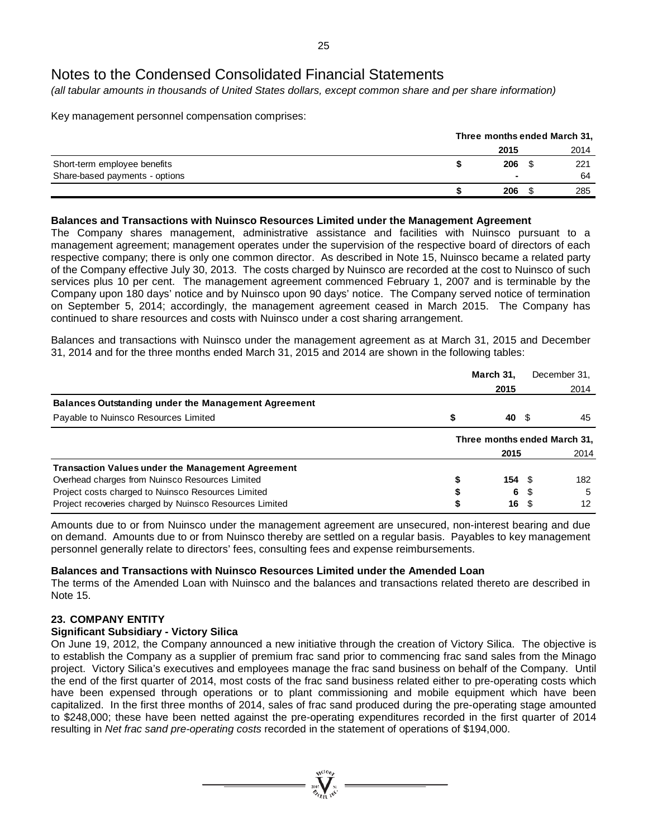*(all tabular amounts in thousands of United States dollars, except common share and per share information)*

Key management personnel compensation comprises:

|                                |      | Three months ended March 31, |      |  |  |
|--------------------------------|------|------------------------------|------|--|--|
|                                | 2015 |                              | 2014 |  |  |
| Short-term employee benefits   | 206  |                              | 221  |  |  |
| Share-based payments - options |      |                              | 64   |  |  |
|                                | 206  |                              | 285  |  |  |

### **Balances and Transactions with Nuinsco Resources Limited under the Management Agreement**

The Company shares management, administrative assistance and facilities with Nuinsco pursuant to a management agreement; management operates under the supervision of the respective board of directors of each respective company; there is only one common director. As described in Note 15, Nuinsco became a related party of the Company effective July 30, 2013. The costs charged by Nuinsco are recorded at the cost to Nuinsco of such services plus 10 per cent. The management agreement commenced February 1, 2007 and is terminable by the Company upon 180 days' notice and by Nuinsco upon 90 days' notice. The Company served notice of termination on September 5, 2014; accordingly, the management agreement ceased in March 2015. The Company has continued to share resources and costs with Nuinsco under a cost sharing arrangement.

Balances and transactions with Nuinsco under the management agreement as at March 31, 2015 and December 31, 2014 and for the three months ended March 31, 2015 and 2014 are shown in the following tables:

|                                                            | March 31,                    |   | December 31, |  |
|------------------------------------------------------------|------------------------------|---|--------------|--|
|                                                            | 2015                         |   | 2014         |  |
| <b>Balances Outstanding under the Management Agreement</b> |                              |   |              |  |
| Payable to Nuinsco Resources Limited                       | 40                           | 2 | 45           |  |
|                                                            | Three months ended March 31, |   |              |  |
|                                                            | 2015                         |   | 2014         |  |
| <b>Transaction Values under the Management Agreement</b>   |                              |   |              |  |
| Overhead charges from Nuinsco Resources Limited            | 154 <sup>5</sup>             |   | 182          |  |
| Project costs charged to Nuinsco Resources Limited         | 6                            |   | -5           |  |
| Project recoveries charged by Nuinsco Resources Limited    | 16                           |   | 12           |  |

Amounts due to or from Nuinsco under the management agreement are unsecured, non-interest bearing and due on demand. Amounts due to or from Nuinsco thereby are settled on a regular basis. Payables to key management personnel generally relate to directors' fees, consulting fees and expense reimbursements.

### **Balances and Transactions with Nuinsco Resources Limited under the Amended Loan**

The terms of the Amended Loan with Nuinsco and the balances and transactions related thereto are described in Note 15.

### **23. COMPANY ENTITY**

#### **Significant Subsidiary - Victory Silica**

On June 19, 2012, the Company announced a new initiative through the creation of Victory Silica. The objective is to establish the Company as a supplier of premium frac sand prior to commencing frac sand sales from the Minago project. Victory Silica's executives and employees manage the frac sand business on behalf of the Company. Until the end of the first quarter of 2014, most costs of the frac sand business related either to pre-operating costs which have been expensed through operations or to plant commissioning and mobile equipment which have been capitalized. In the first three months of 2014, sales of frac sand produced during the pre-operating stage amounted to \$248,000; these have been netted against the pre-operating expenditures recorded in the first quarter of 2014 resulting in *Net frac sand pre-operating costs* recorded in the statement of operations of \$194,000.

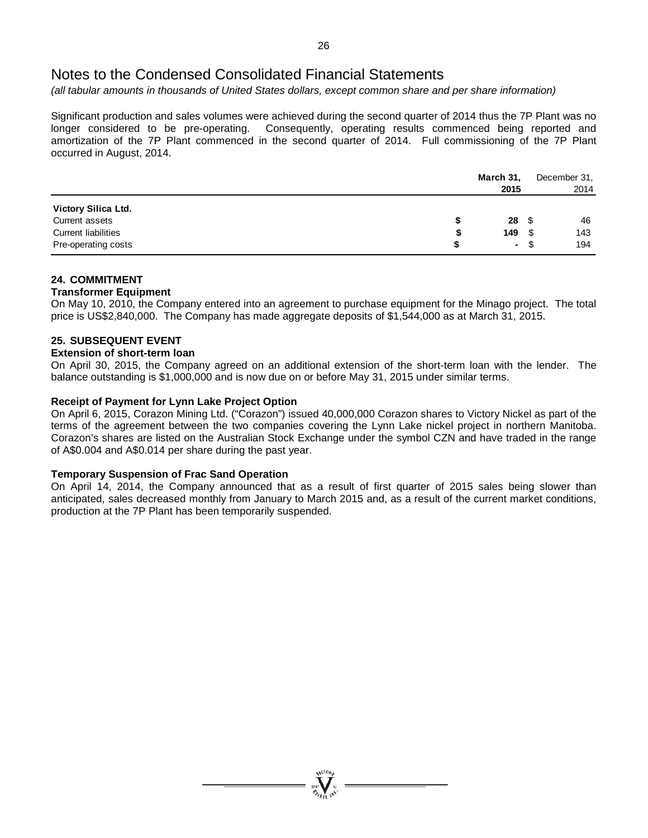*(all tabular amounts in thousands of United States dollars, except common share and per share information)*

Significant production and sales volumes were achieved during the second quarter of 2014 thus the 7P Plant was no longer considered to be pre-operating. Consequently, operating results commenced being reported and amortization of the 7P Plant commenced in the second quarter of 2014. Full commissioning of the 7P Plant occurred in August, 2014.

|                            | March 31, |            | December 31, |
|----------------------------|-----------|------------|--------------|
|                            | 2015      |            | 2014         |
| Victory Silica Ltd.        |           |            |              |
| Current assets             | S         | $28 \quad$ | 46           |
| <b>Current liabilities</b> | 149<br>S  | - \$       | 143          |
| Pre-operating costs        |           | - \$       | 194          |

### **24. COMMITMENT**

#### **Transformer Equipment**

On May 10, 2010, the Company entered into an agreement to purchase equipment for the Minago project. The total price is US\$2,840,000. The Company has made aggregate deposits of \$1,544,000 as at March 31, 2015.

#### **25. SUBSEQUENT EVENT**

#### **Extension of short-term loan**

On April 30, 2015, the Company agreed on an additional extension of the short-term loan with the lender. The balance outstanding is \$1,000,000 and is now due on or before May 31, 2015 under similar terms.

#### **Receipt of Payment for Lynn Lake Project Option**

On April 6, 2015, Corazon Mining Ltd. ("Corazon") issued 40,000,000 Corazon shares to Victory Nickel as part of the terms of the agreement between the two companies covering the Lynn Lake nickel project in northern Manitoba. Corazon's shares are listed on the Australian Stock Exchange under the symbol CZN and have traded in the range of A\$0.004 and A\$0.014 per share during the past year.

#### **Temporary Suspension of Frac Sand Operation**

On April 14, 2014, the Company announced that as a result of first quarter of 2015 sales being slower than anticipated, sales decreased monthly from January to March 2015 and, as a result of the current market conditions, production at the 7P Plant has been temporarily suspended.

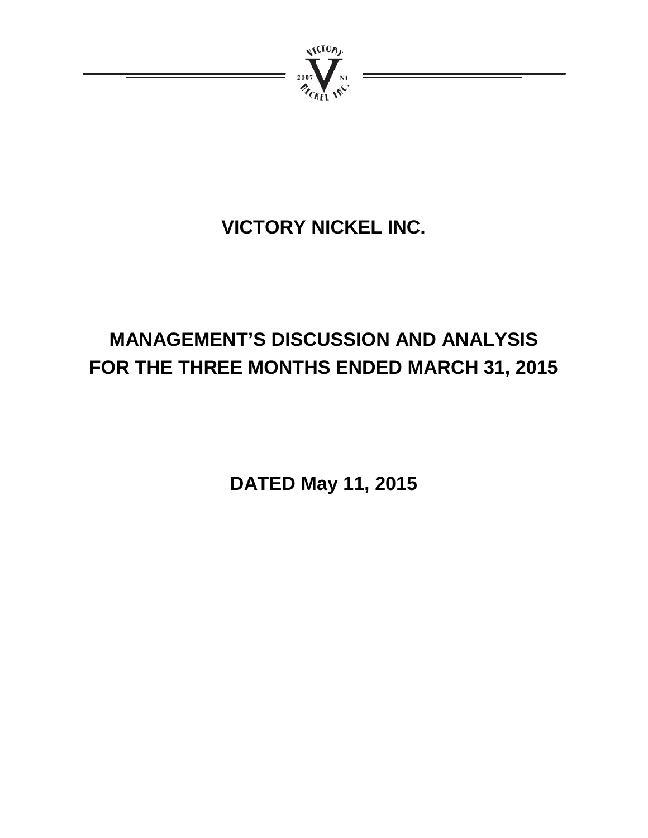

# **VICTORY NICKEL INC.**

# **MANAGEMENT'S DISCUSSION AND ANALYSIS FOR THE THREE MONTHS ENDED MARCH 31, 2015**

**DATED May 11, 2015**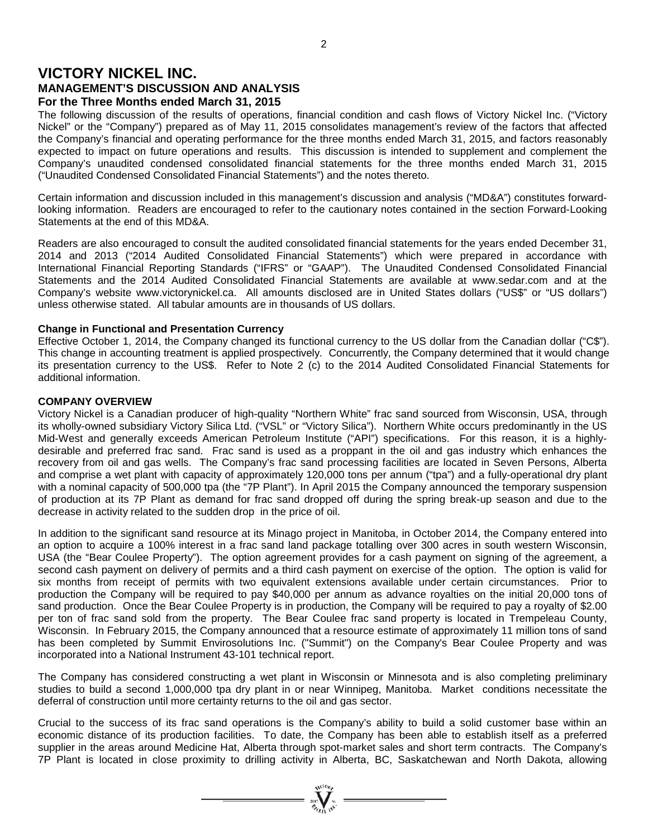## **VICTORY NICKEL INC. MANAGEMENT'S DISCUSSION AND ANALYSIS For the Three Months ended March 31, 2015**

The following discussion of the results of operations, financial condition and cash flows of Victory Nickel Inc. ("Victory Nickel" or the "Company") prepared as of May 11, 2015 consolidates management's review of the factors that affected the Company's financial and operating performance for the three months ended March 31, 2015, and factors reasonably expected to impact on future operations and results. This discussion is intended to supplement and complement the Company's unaudited condensed consolidated financial statements for the three months ended March 31, 2015 ("Unaudited Condensed Consolidated Financial Statements") and the notes thereto.

Certain information and discussion included in this management's discussion and analysis ("MD&A") constitutes forwardlooking information. Readers are encouraged to refer to the cautionary notes contained in the section Forward-Looking Statements at the end of this MD&A.

Readers are also encouraged to consult the audited consolidated financial statements for the years ended December 31, 2014 and 2013 ("2014 Audited Consolidated Financial Statements") which were prepared in accordance with International Financial Reporting Standards ("IFRS" or "GAAP"). The Unaudited Condensed Consolidated Financial Statements and the 2014 Audited Consolidated Financial Statements are available at www.sedar.com and at the Company's website www.victorynickel.ca. All amounts disclosed are in United States dollars ("US\$" or "US dollars") unless otherwise stated. All tabular amounts are in thousands of US dollars.

#### **Change in Functional and Presentation Currency**

Effective October 1, 2014, the Company changed its functional currency to the US dollar from the Canadian dollar ("C\$"). This change in accounting treatment is applied prospectively. Concurrently, the Company determined that it would change its presentation currency to the US\$. Refer to Note 2 (c) to the 2014 Audited Consolidated Financial Statements for additional information.

#### **COMPANY OVERVIEW**

Victory Nickel is a Canadian producer of high-quality "Northern White" frac sand sourced from Wisconsin, USA, through its wholly-owned subsidiary Victory Silica Ltd. ("VSL" or "Victory Silica"). Northern White occurs predominantly in the US Mid-West and generally exceeds American Petroleum Institute ("API") specifications. For this reason, it is a highlydesirable and preferred frac sand. Frac sand is used as a proppant in the oil and gas industry which enhances the recovery from oil and gas wells. The Company's frac sand processing facilities are located in Seven Persons, Alberta and comprise a wet plant with capacity of approximately 120,000 tons per annum ("tpa") and a fully-operational dry plant with a nominal capacity of 500,000 tpa (the "7P Plant"). In April 2015 the Company announced the temporary suspension of production at its 7P Plant as demand for frac sand dropped off during the spring break-up season and due to the decrease in activity related to the sudden drop in the price of oil.

In addition to the significant sand resource at its Minago project in Manitoba, in October 2014, the Company entered into an option to acquire a 100% interest in a frac sand land package totalling over 300 acres in south western Wisconsin, USA (the "Bear Coulee Property"). The option agreement provides for a cash payment on signing of the agreement, a second cash payment on delivery of permits and a third cash payment on exercise of the option. The option is valid for six months from receipt of permits with two equivalent extensions available under certain circumstances. Prior to production the Company will be required to pay \$40,000 per annum as advance royalties on the initial 20,000 tons of sand production. Once the Bear Coulee Property is in production, the Company will be required to pay a royalty of \$2.00 per ton of frac sand sold from the property. The Bear Coulee frac sand property is located in Trempeleau County, Wisconsin. In February 2015, the Company announced that a resource estimate of approximately 11 million tons of sand has been completed by Summit Envirosolutions Inc. ("Summit") on the Company's Bear Coulee Property and was incorporated into a National Instrument 43-101 technical report.

The Company has considered constructing a wet plant in Wisconsin or Minnesota and is also completing preliminary studies to build a second 1,000,000 tpa dry plant in or near Winnipeg, Manitoba. Market conditions necessitate the deferral of construction until more certainty returns to the oil and gas sector.

Crucial to the success of its frac sand operations is the Company's ability to build a solid customer base within an economic distance of its production facilities. To date, the Company has been able to establish itself as a preferred supplier in the areas around Medicine Hat, Alberta through spot-market sales and short term contracts. The Company's 7P Plant is located in close proximity to drilling activity in Alberta, BC, Saskatchewan and North Dakota, allowing

 $=\prod_{\mathcal{M}\in\mathcal{M}_{\mathcal{M}}\atop \mathcal{M}\in\mathcal{M}_{\mathcal{M}}}\mathcal{M}_{\mathcal{N}_{\mathcal{M}}\atop \mathcal{M}_{\mathcal{M}}\mathcal{M}_{\mathcal{M}}\mathcal{M}_{\mathcal{M}}\mathcal{M}_{\mathcal{M}}\mathcal{M}_{\mathcal{M}}$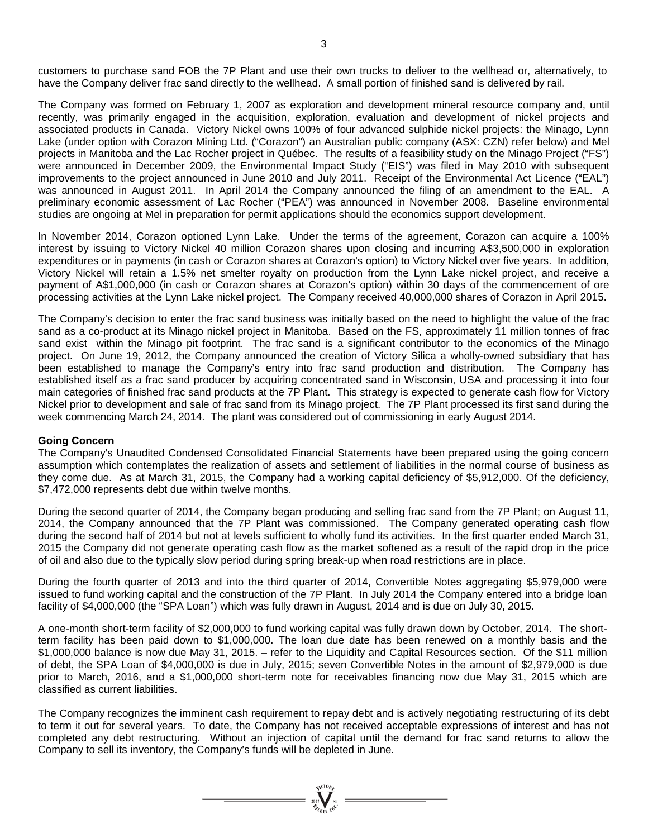customers to purchase sand FOB the 7P Plant and use their own trucks to deliver to the wellhead or, alternatively, to have the Company deliver frac sand directly to the wellhead. A small portion of finished sand is delivered by rail.

The Company was formed on February 1, 2007 as exploration and development mineral resource company and, until recently, was primarily engaged in the acquisition, exploration, evaluation and development of nickel projects and associated products in Canada. Victory Nickel owns 100% of four advanced sulphide nickel projects: the Minago, Lynn Lake (under option with Corazon Mining Ltd. ("Corazon") an Australian public company (ASX: CZN) refer below) and Mel projects in Manitoba and the Lac Rocher project in Québec. The results of a feasibility study on the Minago Project ("FS") were announced in December 2009, the Environmental Impact Study ("EIS") was filed in May 2010 with subsequent improvements to the project announced in June 2010 and July 2011. Receipt of the Environmental Act Licence ("EAL") was announced in August 2011. In April 2014 the Company announced the filing of an amendment to the EAL. A preliminary economic assessment of Lac Rocher ("PEA") was announced in November 2008. Baseline environmental studies are ongoing at Mel in preparation for permit applications should the economics support development.

In November 2014, Corazon optioned Lynn Lake. Under the terms of the agreement, Corazon can acquire a 100% interest by issuing to Victory Nickel 40 million Corazon shares upon closing and incurring A\$3,500,000 in exploration expenditures or in payments (in cash or Corazon shares at Corazon's option) to Victory Nickel over five years. In addition, Victory Nickel will retain a 1.5% net smelter royalty on production from the Lynn Lake nickel project, and receive a payment of A\$1,000,000 (in cash or Corazon shares at Corazon's option) within 30 days of the commencement of ore processing activities at the Lynn Lake nickel project. The Company received 40,000,000 shares of Corazon in April 2015.

The Company's decision to enter the frac sand business was initially based on the need to highlight the value of the frac sand as a co-product at its Minago nickel project in Manitoba. Based on the FS, approximately 11 million tonnes of frac sand exist within the Minago pit footprint. The frac sand is a significant contributor to the economics of the Minago project. On June 19, 2012, the Company announced the creation of Victory Silica a wholly-owned subsidiary that has been established to manage the Company's entry into frac sand production and distribution. The Company has established itself as a frac sand producer by acquiring concentrated sand in Wisconsin, USA and processing it into four main categories of finished frac sand products at the 7P Plant. This strategy is expected to generate cash flow for Victory Nickel prior to development and sale of frac sand from its Minago project. The 7P Plant processed its first sand during the week commencing March 24, 2014. The plant was considered out of commissioning in early August 2014.

#### **Going Concern**

The Company's Unaudited Condensed Consolidated Financial Statements have been prepared using the going concern assumption which contemplates the realization of assets and settlement of liabilities in the normal course of business as they come due. As at March 31, 2015, the Company had a working capital deficiency of \$5,912,000. Of the deficiency, \$7,472,000 represents debt due within twelve months.

During the second quarter of 2014, the Company began producing and selling frac sand from the 7P Plant; on August 11, 2014, the Company announced that the 7P Plant was commissioned. The Company generated operating cash flow during the second half of 2014 but not at levels sufficient to wholly fund its activities. In the first quarter ended March 31, 2015 the Company did not generate operating cash flow as the market softened as a result of the rapid drop in the price of oil and also due to the typically slow period during spring break-up when road restrictions are in place.

During the fourth quarter of 2013 and into the third quarter of 2014, Convertible Notes aggregating \$5,979,000 were issued to fund working capital and the construction of the 7P Plant. In July 2014 the Company entered into a bridge loan facility of \$4,000,000 (the "SPA Loan") which was fully drawn in August, 2014 and is due on July 30, 2015.

A one-month short-term facility of \$2,000,000 to fund working capital was fully drawn down by October, 2014. The shortterm facility has been paid down to \$1,000,000. The loan due date has been renewed on a monthly basis and the \$1,000,000 balance is now due May 31, 2015. – refer to the Liquidity and Capital Resources section. Of the \$11 million of debt, the SPA Loan of \$4,000,000 is due in July, 2015; seven Convertible Notes in the amount of \$2,979,000 is due prior to March, 2016, and a \$1,000,000 short-term note for receivables financing now due May 31, 2015 which are classified as current liabilities.

The Company recognizes the imminent cash requirement to repay debt and is actively negotiating restructuring of its debt to term it out for several years. To date, the Company has not received acceptable expressions of interest and has not completed any debt restructuring. Without an injection of capital until the demand for frac sand returns to allow the Company to sell its inventory, the Company's funds will be depleted in June.

=  $\sum_{y_0, y_1, y_2, \ldots, y_n \neq y_n}^{y_0(10y)}$  =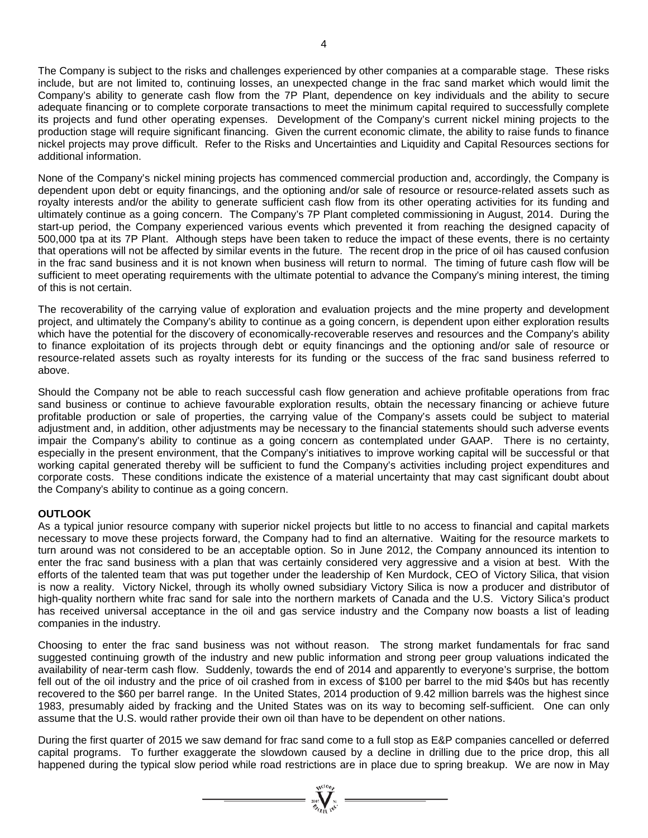The Company is subject to the risks and challenges experienced by other companies at a comparable stage. These risks include, but are not limited to, continuing losses, an unexpected change in the frac sand market which would limit the Company's ability to generate cash flow from the 7P Plant, dependence on key individuals and the ability to secure adequate financing or to complete corporate transactions to meet the minimum capital required to successfully complete its projects and fund other operating expenses. Development of the Company's current nickel mining projects to the production stage will require significant financing. Given the current economic climate, the ability to raise funds to finance nickel projects may prove difficult. Refer to the Risks and Uncertainties and Liquidity and Capital Resources sections for additional information.

None of the Company's nickel mining projects has commenced commercial production and, accordingly, the Company is dependent upon debt or equity financings, and the optioning and/or sale of resource or resource-related assets such as royalty interests and/or the ability to generate sufficient cash flow from its other operating activities for its funding and ultimately continue as a going concern. The Company's 7P Plant completed commissioning in August, 2014. During the start-up period, the Company experienced various events which prevented it from reaching the designed capacity of 500,000 tpa at its 7P Plant. Although steps have been taken to reduce the impact of these events, there is no certainty that operations will not be affected by similar events in the future. The recent drop in the price of oil has caused confusion in the frac sand business and it is not known when business will return to normal. The timing of future cash flow will be sufficient to meet operating requirements with the ultimate potential to advance the Company's mining interest, the timing of this is not certain.

The recoverability of the carrying value of exploration and evaluation projects and the mine property and development project, and ultimately the Company's ability to continue as a going concern, is dependent upon either exploration results which have the potential for the discovery of economically-recoverable reserves and resources and the Company's ability to finance exploitation of its projects through debt or equity financings and the optioning and/or sale of resource or resource-related assets such as royalty interests for its funding or the success of the frac sand business referred to above.

Should the Company not be able to reach successful cash flow generation and achieve profitable operations from frac sand business or continue to achieve favourable exploration results, obtain the necessary financing or achieve future profitable production or sale of properties, the carrying value of the Company's assets could be subject to material adjustment and, in addition, other adjustments may be necessary to the financial statements should such adverse events impair the Company's ability to continue as a going concern as contemplated under GAAP. There is no certainty, especially in the present environment, that the Company's initiatives to improve working capital will be successful or that working capital generated thereby will be sufficient to fund the Company's activities including project expenditures and corporate costs. These conditions indicate the existence of a material uncertainty that may cast significant doubt about the Company's ability to continue as a going concern.

### **OUTLOOK**

As a typical junior resource company with superior nickel projects but little to no access to financial and capital markets necessary to move these projects forward, the Company had to find an alternative. Waiting for the resource markets to turn around was not considered to be an acceptable option. So in June 2012, the Company announced its intention to enter the frac sand business with a plan that was certainly considered very aggressive and a vision at best. With the efforts of the talented team that was put together under the leadership of Ken Murdock, CEO of Victory Silica, that vision is now a reality. Victory Nickel, through its wholly owned subsidiary Victory Silica is now a producer and distributor of high-quality northern white frac sand for sale into the northern markets of Canada and the U.S. Victory Silica's product has received universal acceptance in the oil and gas service industry and the Company now boasts a list of leading companies in the industry.

Choosing to enter the frac sand business was not without reason. The strong market fundamentals for frac sand suggested continuing growth of the industry and new public information and strong peer group valuations indicated the availability of near-term cash flow. Suddenly, towards the end of 2014 and apparently to everyone's surprise, the bottom fell out of the oil industry and the price of oil crashed from in excess of \$100 per barrel to the mid \$40s but has recently recovered to the \$60 per barrel range. In the United States, 2014 production of 9.42 million barrels was the highest since 1983, presumably aided by fracking and the United States was on its way to becoming self-sufficient. One can only assume that the U.S. would rather provide their own oil than have to be dependent on other nations.

During the first quarter of 2015 we saw demand for frac sand come to a full stop as E&P companies cancelled or deferred capital programs. To further exaggerate the slowdown caused by a decline in drilling due to the price drop, this all happened during the typical slow period while road restrictions are in place due to spring breakup. We are now in May

=  $\sum_{i=1}^{n} \sum_{j=1}^{n} x_i^{(i)}$  =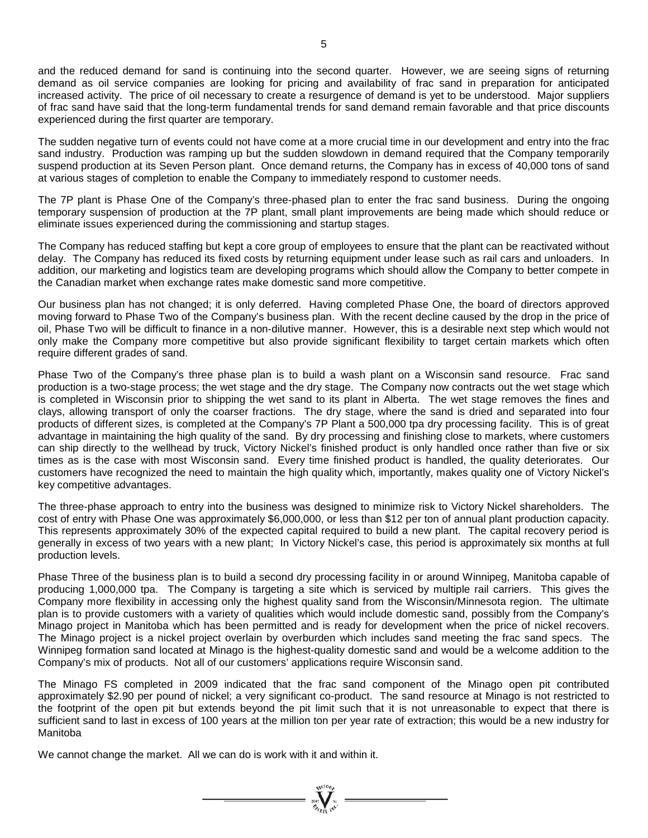and the reduced demand for sand is continuing into the second quarter. However, we are seeing signs of returning demand as oil service companies are looking for pricing and availability of frac sand in preparation for anticipated increased activity. The price of oil necessary to create a resurgence of demand is yet to be understood. Major suppliers of frac sand have said that the long-term fundamental trends for sand demand remain favorable and that price discounts experienced during the first quarter are temporary.

The sudden negative turn of events could not have come at a more crucial time in our development and entry into the frac sand industry. Production was ramping up but the sudden slowdown in demand required that the Company temporarily suspend production at its Seven Person plant. Once demand returns, the Company has in excess of 40,000 tons of sand at various stages of completion to enable the Company to immediately respond to customer needs.

The 7P plant is Phase One of the Company's three-phased plan to enter the frac sand business. During the ongoing temporary suspension of production at the 7P plant, small plant improvements are being made which should reduce or eliminate issues experienced during the commissioning and startup stages.

The Company has reduced staffing but kept a core group of employees to ensure that the plant can be reactivated without delay. The Company has reduced its fixed costs by returning equipment under lease such as rail cars and unloaders. In addition, our marketing and logistics team are developing programs which should allow the Company to better compete in the Canadian market when exchange rates make domestic sand more competitive.

Our business plan has not changed; it is only deferred. Having completed Phase One, the board of directors approved moving forward to Phase Two of the Company's business plan. With the recent decline caused by the drop in the price of oil, Phase Two will be difficult to finance in a non-dilutive manner. However, this is a desirable next step which would not only make the Company more competitive but also provide significant flexibility to target certain markets which often require different grades of sand.

Phase Two of the Company's three phase plan is to build a wash plant on a Wisconsin sand resource. Frac sand production is a two-stage process; the wet stage and the dry stage. The Company now contracts out the wet stage which is completed in Wisconsin prior to shipping the wet sand to its plant in Alberta. The wet stage removes the fines and clays, allowing transport of only the coarser fractions. The dry stage, where the sand is dried and separated into four products of different sizes, is completed at the Company's 7P Plant a 500,000 tpa dry processing facility. This is of great advantage in maintaining the high quality of the sand. By dry processing and finishing close to markets, where customers can ship directly to the wellhead by truck, Victory Nickel's finished product is only handled once rather than five or six times as is the case with most Wisconsin sand. Every time finished product is handled, the quality deteriorates. Our customers have recognized the need to maintain the high quality which, importantly, makes quality one of Victory Nickel's key competitive advantages.

The three-phase approach to entry into the business was designed to minimize risk to Victory Nickel shareholders. The cost of entry with Phase One was approximately \$6,000,000, or less than \$12 per ton of annual plant production capacity. This represents approximately 30% of the expected capital required to build a new plant. The capital recovery period is generally in excess of two years with a new plant; In Victory Nickel's case, this period is approximately six months at full production levels.

Phase Three of the business plan is to build a second dry processing facility in or around Winnipeg, Manitoba capable of producing 1,000,000 tpa. The Company is targeting a site which is serviced by multiple rail carriers. This gives the Company more flexibility in accessing only the highest quality sand from the Wisconsin/Minnesota region. The ultimate plan is to provide customers with a variety of qualities which would include domestic sand, possibly from the Company's Minago project in Manitoba which has been permitted and is ready for development when the price of nickel recovers. The Minago project is a nickel project overlain by overburden which includes sand meeting the frac sand specs. The Winnipeg formation sand located at Minago is the highest-quality domestic sand and would be a welcome addition to the Company's mix of products. Not all of our customers' applications require Wisconsin sand.

The Minago FS completed in 2009 indicated that the frac sand component of the Minago open pit contributed approximately \$2.90 per pound of nickel; a very significant co-product. The sand resource at Minago is not restricted to the footprint of the open pit but extends beyond the pit limit such that it is not unreasonable to expect that there is sufficient sand to last in excess of 100 years at the million ton per year rate of extraction; this would be a new industry for Manitoba

 $\sum_{\substack{i=0\\ \text{and}\quad i\in I}}^{\text{Nt(10)}_{\text{N}}}=$ 

We cannot change the market. All we can do is work with it and within it.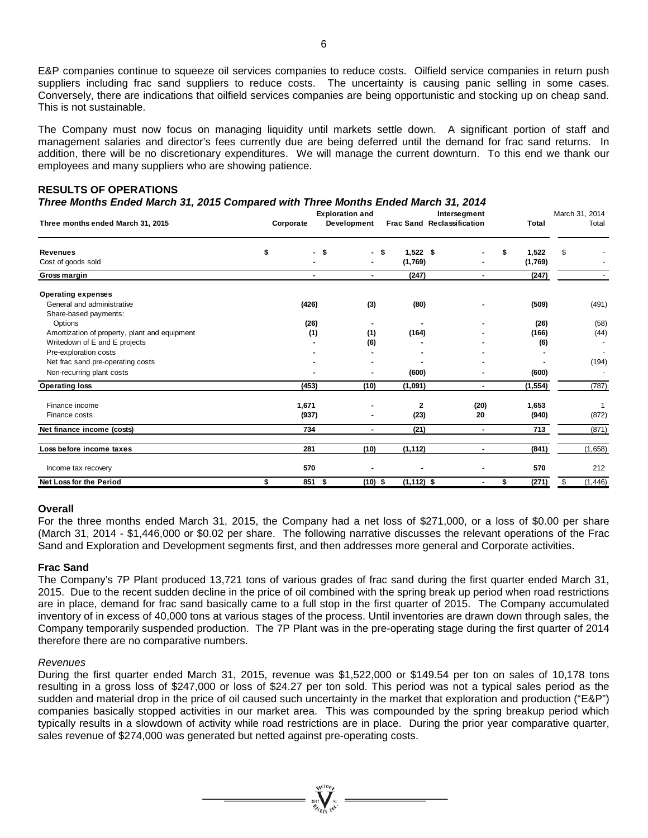E&P companies continue to squeeze oil services companies to reduce costs. Oilfield service companies in return push suppliers including frac sand suppliers to reduce costs. The uncertainty is causing panic selling in some cases. Conversely, there are indications that oilfield services companies are being opportunistic and stocking up on cheap sand. This is not sustainable.

The Company must now focus on managing liquidity until markets settle down. A significant portion of staff and management salaries and director's fees currently due are being deferred until the demand for frac sand returns. In addition, there will be no discretionary expenditures. We will manage the current downturn. To this end we thank our employees and many suppliers who are showing patience.

| Three Months Ended March 31, 2015 Compared with Three Months Ended March 31, 2014<br><b>Exploration and</b> |    |           |             |                                   |                      |                  |                         |
|-------------------------------------------------------------------------------------------------------------|----|-----------|-------------|-----------------------------------|----------------------|------------------|-------------------------|
| Three months ended March 31, 2015                                                                           |    | Corporate | Development | <b>Frac Sand Reclassification</b> | Intersegment         | <b>Total</b>     | March 31, 2014<br>Total |
| <b>Revenues</b><br>Cost of goods sold                                                                       | \$ | \$<br>٠   | - \$<br>۰   | $1,522$ \$<br>(1,769)             |                      | 1,522<br>(1,769) | \$                      |
| Gross margin                                                                                                |    |           | ۰.          | (247)                             | ۰.                   | (247)            |                         |
| <b>Operating expenses</b>                                                                                   |    |           |             |                                   |                      |                  |                         |
| General and administrative<br>Share-based payments:                                                         |    | (426)     | (3)         | (80)                              |                      | (509)            | (491)                   |
| Options                                                                                                     |    | (26)      |             |                                   |                      | (26)             | (58)                    |
| Amortization of property, plant and equipment                                                               |    | (1)       | (1)         | (164)                             |                      | (166)            | (44)                    |
| Writedown of E and E projects                                                                               |    |           | (6)         |                                   |                      | (6)              |                         |
| Pre-exploration costs                                                                                       |    |           |             |                                   |                      |                  |                         |
| Net frac sand pre-operating costs                                                                           |    |           |             |                                   |                      |                  | (194)                   |
| Non-recurring plant costs                                                                                   |    |           |             | (600)                             |                      | (600)            |                         |
| <b>Operating loss</b>                                                                                       |    | (453)     | (10)        | (1,091)                           | ۰.                   | (1, 554)         | (787)                   |
| Finance income                                                                                              |    | 1,671     |             | 2                                 | (20)                 | 1,653            | 1                       |
| Finance costs                                                                                               |    | (937)     |             | (23)                              | 20                   | (940)            | (872)                   |
| Net finance income (costs)                                                                                  |    | 734       |             | (21)                              | ۰.                   | 713              | (871)                   |
| Loss before income taxes                                                                                    |    | 281       | (10)        | (1, 112)                          | $\blacksquare$       | (841)            | (1,658)                 |
| Income tax recovery                                                                                         |    | 570       |             |                                   |                      | 570              | 212                     |
| Net Loss for the Period                                                                                     | \$ | 851<br>\$ | $(10)$ \$   | $(1, 112)$ \$                     | \$<br>$\blacksquare$ | (271)            | (1, 446)<br>\$.         |

# **RESULTS OF OPERATIONS**

#### **Overall**

For the three months ended March 31, 2015, the Company had a net loss of \$271,000, or a loss of \$0.00 per share (March 31, 2014 - \$1,446,000 or \$0.02 per share. The following narrative discusses the relevant operations of the Frac Sand and Exploration and Development segments first, and then addresses more general and Corporate activities.

#### **Frac Sand**

The Company's 7P Plant produced 13,721 tons of various grades of frac sand during the first quarter ended March 31, 2015. Due to the recent sudden decline in the price of oil combined with the spring break up period when road restrictions are in place, demand for frac sand basically came to a full stop in the first quarter of 2015. The Company accumulated inventory of in excess of 40,000 tons at various stages of the process. Until inventories are drawn down through sales, the Company temporarily suspended production. The 7P Plant was in the pre-operating stage during the first quarter of 2014 therefore there are no comparative numbers.

#### *Revenues*

During the first quarter ended March 31, 2015, revenue was \$1,522,000 or \$149.54 per ton on sales of 10,178 tons resulting in a gross loss of \$247,000 or loss of \$24.27 per ton sold. This period was not a typical sales period as the sudden and material drop in the price of oil caused such uncertainty in the market that exploration and production ("E&P") companies basically stopped activities in our market area. This was compounded by the spring breakup period which typically results in a slowdown of activity while road restrictions are in place. During the prior year comparative quarter, sales revenue of \$274,000 was generated but netted against pre-operating costs.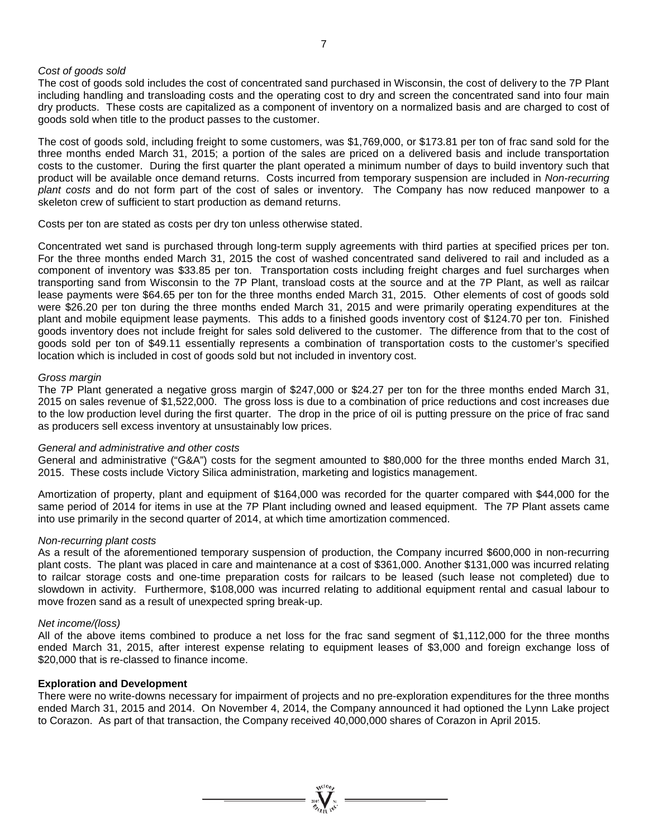#### *Cost of goods sold*

The cost of goods sold includes the cost of concentrated sand purchased in Wisconsin, the cost of delivery to the 7P Plant including handling and transloading costs and the operating cost to dry and screen the concentrated sand into four main dry products. These costs are capitalized as a component of inventory on a normalized basis and are charged to cost of goods sold when title to the product passes to the customer.

The cost of goods sold, including freight to some customers, was \$1,769,000, or \$173.81 per ton of frac sand sold for the three months ended March 31, 2015; a portion of the sales are priced on a delivered basis and include transportation costs to the customer. During the first quarter the plant operated a minimum number of days to build inventory such that product will be available once demand returns. Costs incurred from temporary suspension are included in *Non-recurring plant costs* and do not form part of the cost of sales or inventory. The Company has now reduced manpower to a skeleton crew of sufficient to start production as demand returns.

Costs per ton are stated as costs per dry ton unless otherwise stated.

Concentrated wet sand is purchased through long-term supply agreements with third parties at specified prices per ton. For the three months ended March 31, 2015 the cost of washed concentrated sand delivered to rail and included as a component of inventory was \$33.85 per ton. Transportation costs including freight charges and fuel surcharges when transporting sand from Wisconsin to the 7P Plant, transload costs at the source and at the 7P Plant, as well as railcar lease payments were \$64.65 per ton for the three months ended March 31, 2015. Other elements of cost of goods sold were \$26.20 per ton during the three months ended March 31, 2015 and were primarily operating expenditures at the plant and mobile equipment lease payments. This adds to a finished goods inventory cost of \$124.70 per ton. Finished goods inventory does not include freight for sales sold delivered to the customer. The difference from that to the cost of goods sold per ton of \$49.11 essentially represents a combination of transportation costs to the customer's specified location which is included in cost of goods sold but not included in inventory cost.

#### *Gross margin*

The 7P Plant generated a negative gross margin of \$247,000 or \$24.27 per ton for the three months ended March 31, 2015 on sales revenue of \$1,522,000. The gross loss is due to a combination of price reductions and cost increases due to the low production level during the first quarter. The drop in the price of oil is putting pressure on the price of frac sand as producers sell excess inventory at unsustainably low prices.

#### *General and administrative and other costs*

General and administrative ("G&A") costs for the segment amounted to \$80,000 for the three months ended March 31, 2015. These costs include Victory Silica administration, marketing and logistics management.

Amortization of property, plant and equipment of \$164,000 was recorded for the quarter compared with \$44,000 for the same period of 2014 for items in use at the 7P Plant including owned and leased equipment. The 7P Plant assets came into use primarily in the second quarter of 2014, at which time amortization commenced.

#### *Non-recurring plant costs*

As a result of the aforementioned temporary suspension of production, the Company incurred \$600,000 in non-recurring plant costs. The plant was placed in care and maintenance at a cost of \$361,000. Another \$131,000 was incurred relating to railcar storage costs and one-time preparation costs for railcars to be leased (such lease not completed) due to slowdown in activity. Furthermore, \$108,000 was incurred relating to additional equipment rental and casual labour to move frozen sand as a result of unexpected spring break-up.

#### *Net income/(loss)*

All of the above items combined to produce a net loss for the frac sand segment of \$1,112,000 for the three months ended March 31, 2015, after interest expense relating to equipment leases of \$3,000 and foreign exchange loss of \$20,000 that is re-classed to finance income.

#### **Exploration and Development**

There were no write-downs necessary for impairment of projects and no pre-exploration expenditures for the three months ended March 31, 2015 and 2014. On November 4, 2014, the Company announced it had optioned the Lynn Lake project to Corazon. As part of that transaction, the Company received 40,000,000 shares of Corazon in April 2015.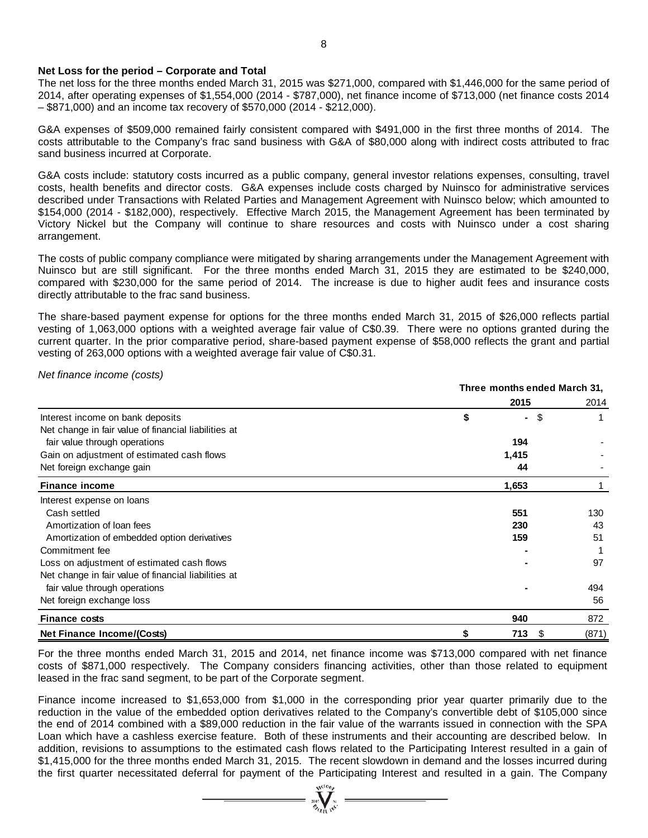#### **Net Loss for the period – Corporate and Total**

The net loss for the three months ended March 31, 2015 was \$271,000, compared with \$1,446,000 for the same period of 2014, after operating expenses of \$1,554,000 (2014 - \$787,000), net finance income of \$713,000 (net finance costs 2014 – \$871,000) and an income tax recovery of \$570,000 (2014 - \$212,000).

G&A expenses of \$509,000 remained fairly consistent compared with \$491,000 in the first three months of 2014. The costs attributable to the Company's frac sand business with G&A of \$80,000 along with indirect costs attributed to frac sand business incurred at Corporate.

G&A costs include: statutory costs incurred as a public company, general investor relations expenses, consulting, travel costs, health benefits and director costs. G&A expenses include costs charged by Nuinsco for administrative services described under Transactions with Related Parties and Management Agreement with Nuinsco below; which amounted to \$154,000 (2014 - \$182,000), respectively. Effective March 2015, the Management Agreement has been terminated by Victory Nickel but the Company will continue to share resources and costs with Nuinsco under a cost sharing arrangement.

The costs of public company compliance were mitigated by sharing arrangements under the Management Agreement with Nuinsco but are still significant. For the three months ended March 31, 2015 they are estimated to be \$240,000, compared with \$230,000 for the same period of 2014. The increase is due to higher audit fees and insurance costs directly attributable to the frac sand business.

The share-based payment expense for options for the three months ended March 31, 2015 of \$26,000 reflects partial vesting of 1,063,000 options with a weighted average fair value of C\$0.39. There were no options granted during the current quarter. In the prior comparative period, share-based payment expense of \$58,000 reflects the grant and partial vesting of 263,000 options with a weighted average fair value of C\$0.31.

*Net finance income (costs)*

|                                                      | Three months ended March 31, |        |    |       |
|------------------------------------------------------|------------------------------|--------|----|-------|
|                                                      |                              | 2015   |    | 2014  |
| Interest income on bank deposits                     | \$                           | $\sim$ | \$ |       |
| Net change in fair value of financial liabilities at |                              |        |    |       |
| fair value through operations                        |                              | 194    |    |       |
| Gain on adjustment of estimated cash flows           |                              | 1,415  |    |       |
| Net foreign exchange gain                            |                              | 44     |    |       |
| <b>Finance income</b>                                |                              | 1,653  |    |       |
| Interest expense on loans                            |                              |        |    |       |
| Cash settled                                         |                              | 551    |    | 130   |
| Amortization of loan fees                            |                              | 230    |    | 43    |
| Amortization of embedded option derivatives          |                              | 159    |    | 51    |
| Commitment fee                                       |                              |        |    |       |
| Loss on adjustment of estimated cash flows           |                              |        |    | 97    |
| Net change in fair value of financial liabilities at |                              |        |    |       |
| fair value through operations                        |                              |        |    | 494   |
| Net foreign exchange loss                            |                              |        |    | 56    |
| <b>Finance costs</b>                                 |                              | 940    |    | 872   |
| <b>Net Finance Income/(Costs)</b>                    | \$                           | 713    | \$ | (871) |

For the three months ended March 31, 2015 and 2014, net finance income was \$713,000 compared with net finance costs of \$871,000 respectively. The Company considers financing activities, other than those related to equipment leased in the frac sand segment, to be part of the Corporate segment.

Finance income increased to \$1,653,000 from \$1,000 in the corresponding prior year quarter primarily due to the reduction in the value of the embedded option derivatives related to the Company's convertible debt of \$105,000 since the end of 2014 combined with a \$89,000 reduction in the fair value of the warrants issued in connection with the SPA Loan which have a cashless exercise feature. Both of these instruments and their accounting are described below. In addition, revisions to assumptions to the estimated cash flows related to the Participating Interest resulted in a gain of \$1,415,000 for the three months ended March 31, 2015. The recent slowdown in demand and the losses incurred during the first quarter necessitated deferral for payment of the Participating Interest and resulted in a gain. The Company

 $\sum_{\alpha}$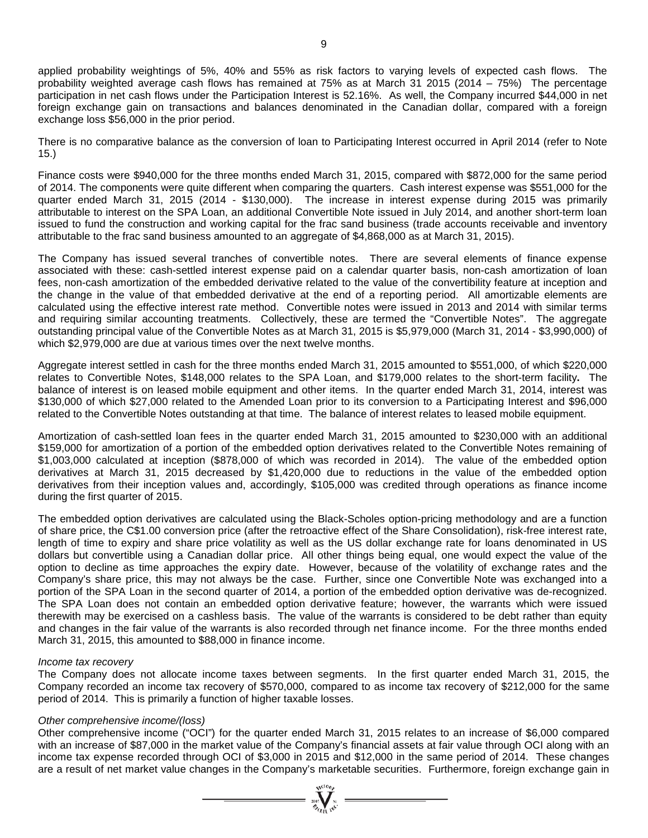applied probability weightings of 5%, 40% and 55% as risk factors to varying levels of expected cash flows. The probability weighted average cash flows has remained at 75% as at March 31 2015 (2014 – 75%) The percentage participation in net cash flows under the Participation Interest is 52.16%. As well, the Company incurred \$44,000 in net foreign exchange gain on transactions and balances denominated in the Canadian dollar, compared with a foreign exchange loss \$56,000 in the prior period.

There is no comparative balance as the conversion of loan to Participating Interest occurred in April 2014 (refer to Note 15.)

Finance costs were \$940,000 for the three months ended March 31, 2015, compared with \$872,000 for the same period of 2014. The components were quite different when comparing the quarters. Cash interest expense was \$551,000 for the quarter ended March 31, 2015 (2014 - \$130,000). The increase in interest expense during 2015 was primarily attributable to interest on the SPA Loan, an additional Convertible Note issued in July 2014, and another short-term loan issued to fund the construction and working capital for the frac sand business (trade accounts receivable and inventory attributable to the frac sand business amounted to an aggregate of \$4,868,000 as at March 31, 2015).

The Company has issued several tranches of convertible notes. There are several elements of finance expense associated with these: cash-settled interest expense paid on a calendar quarter basis, non-cash amortization of loan fees, non-cash amortization of the embedded derivative related to the value of the convertibility feature at inception and the change in the value of that embedded derivative at the end of a reporting period. All amortizable elements are calculated using the effective interest rate method. Convertible notes were issued in 2013 and 2014 with similar terms and requiring similar accounting treatments. Collectively, these are termed the "Convertible Notes". The aggregate outstanding principal value of the Convertible Notes as at March 31, 2015 is \$5,979,000 (March 31, 2014 - \$3,990,000) of which \$2,979,000 are due at various times over the next twelve months.

Aggregate interest settled in cash for the three months ended March 31, 2015 amounted to \$551,000, of which \$220,000 relates to Convertible Notes, \$148,000 relates to the SPA Loan, and \$179,000 relates to the short-term facility**.** The balance of interest is on leased mobile equipment and other items. In the quarter ended March 31, 2014, interest was \$130,000 of which \$27,000 related to the Amended Loan prior to its conversion to a Participating Interest and \$96,000 related to the Convertible Notes outstanding at that time. The balance of interest relates to leased mobile equipment.

Amortization of cash-settled loan fees in the quarter ended March 31, 2015 amounted to \$230,000 with an additional \$159,000 for amortization of a portion of the embedded option derivatives related to the Convertible Notes remaining of \$1,003,000 calculated at inception (\$878,000 of which was recorded in 2014). The value of the embedded option derivatives at March 31, 2015 decreased by \$1,420,000 due to reductions in the value of the embedded option derivatives from their inception values and, accordingly, \$105,000 was credited through operations as finance income during the first quarter of 2015.

The embedded option derivatives are calculated using the Black-Scholes option-pricing methodology and are a function of share price, the C\$1.00 conversion price (after the retroactive effect of the Share Consolidation), risk-free interest rate, length of time to expiry and share price volatility as well as the US dollar exchange rate for loans denominated in US dollars but convertible using a Canadian dollar price. All other things being equal, one would expect the value of the option to decline as time approaches the expiry date. However, because of the volatility of exchange rates and the Company's share price, this may not always be the case. Further, since one Convertible Note was exchanged into a portion of the SPA Loan in the second quarter of 2014, a portion of the embedded option derivative was de-recognized. The SPA Loan does not contain an embedded option derivative feature; however, the warrants which were issued therewith may be exercised on a cashless basis. The value of the warrants is considered to be debt rather than equity and changes in the fair value of the warrants is also recorded through net finance income. For the three months ended March 31, 2015, this amounted to \$88,000 in finance income.

#### *Income tax recovery*

The Company does not allocate income taxes between segments. In the first quarter ended March 31, 2015, the Company recorded an income tax recovery of \$570,000, compared to as income tax recovery of \$212,000 for the same period of 2014. This is primarily a function of higher taxable losses.

#### *Other comprehensive income/(loss)*

Other comprehensive income ("OCI") for the quarter ended March 31, 2015 relates to an increase of \$6,000 compared with an increase of \$87,000 in the market value of the Company's financial assets at fair value through OCI along with an income tax expense recorded through OCI of \$3,000 in 2015 and \$12,000 in the same period of 2014. These changes are a result of net market value changes in the Company's marketable securities. Furthermore, foreign exchange gain in

 $\sum_{i=1}^{n} \sum_{j=1}^{n} \sum_{j=1}^{n}$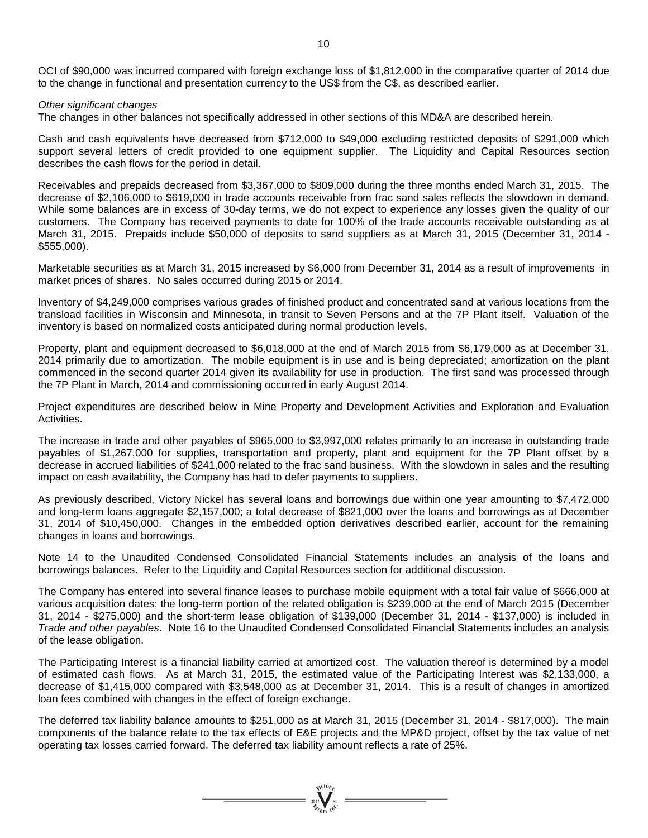OCI of \$90,000 was incurred compared with foreign exchange loss of \$1,812,000 in the comparative quarter of 2014 due to the change in functional and presentation currency to the US\$ from the C\$, as described earlier.

#### *Other significant changes*

The changes in other balances not specifically addressed in other sections of this MD&A are described herein.

Cash and cash equivalents have decreased from \$712,000 to \$49,000 excluding restricted deposits of \$291,000 which support several letters of credit provided to one equipment supplier. The Liquidity and Capital Resources section describes the cash flows for the period in detail.

Receivables and prepaids decreased from \$3,367,000 to \$809,000 during the three months ended March 31, 2015. The decrease of \$2,106,000 to \$619,000 in trade accounts receivable from frac sand sales reflects the slowdown in demand. While some balances are in excess of 30-day terms, we do not expect to experience any losses given the quality of our customers. The Company has received payments to date for 100% of the trade accounts receivable outstanding as at March 31, 2015. Prepaids include \$50,000 of deposits to sand suppliers as at March 31, 2015 (December 31, 2014 - \$555,000).

Marketable securities as at March 31, 2015 increased by \$6,000 from December 31, 2014 as a result of improvements in market prices of shares. No sales occurred during 2015 or 2014.

Inventory of \$4,249,000 comprises various grades of finished product and concentrated sand at various locations from the transload facilities in Wisconsin and Minnesota, in transit to Seven Persons and at the 7P Plant itself. Valuation of the inventory is based on normalized costs anticipated during normal production levels.

Property, plant and equipment decreased to \$6,018,000 at the end of March 2015 from \$6,179,000 as at December 31, 2014 primarily due to amortization. The mobile equipment is in use and is being depreciated; amortization on the plant commenced in the second quarter 2014 given its availability for use in production. The first sand was processed through the 7P Plant in March, 2014 and commissioning occurred in early August 2014.

Project expenditures are described below in Mine Property and Development Activities and Exploration and Evaluation Activities.

The increase in trade and other payables of \$965,000 to \$3,997,000 relates primarily to an increase in outstanding trade payables of \$1,267,000 for supplies, transportation and property, plant and equipment for the 7P Plant offset by a decrease in accrued liabilities of \$241,000 related to the frac sand business. With the slowdown in sales and the resulting impact on cash availability, the Company has had to defer payments to suppliers.

As previously described, Victory Nickel has several loans and borrowings due within one year amounting to \$7,472,000 and long-term loans aggregate \$2,157,000; a total decrease of \$821,000 over the loans and borrowings as at December 31, 2014 of \$10,450,000. Changes in the embedded option derivatives described earlier, account for the remaining changes in loans and borrowings.

Note 14 to the Unaudited Condensed Consolidated Financial Statements includes an analysis of the loans and borrowings balances. Refer to the Liquidity and Capital Resources section for additional discussion.

The Company has entered into several finance leases to purchase mobile equipment with a total fair value of \$666,000 at various acquisition dates; the long-term portion of the related obligation is \$239,000 at the end of March 2015 (December 31, 2014 - \$275,000) and the short-term lease obligation of \$139,000 (December 31, 2014 - \$137,000) is included in *Trade and other payables*. Note 16 to the Unaudited Condensed Consolidated Financial Statements includes an analysis of the lease obligation.

The Participating Interest is a financial liability carried at amortized cost. The valuation thereof is determined by a model of estimated cash flows. As at March 31, 2015, the estimated value of the Participating Interest was \$2,133,000, a decrease of \$1,415,000 compared with \$3,548,000 as at December 31, 2014. This is a result of changes in amortized loan fees combined with changes in the effect of foreign exchange.

The deferred tax liability balance amounts to \$251,000 as at March 31, 2015 (December 31, 2014 - \$817,000). The main components of the balance relate to the tax effects of E&E projects and the MP&D project, offset by the tax value of net operating tax losses carried forward. The deferred tax liability amount reflects a rate of 25%.

 $\sum_{\substack{1007 \text{ VU} \\ \text{with } 10^{k'} }}^{\text{NUCD}} =$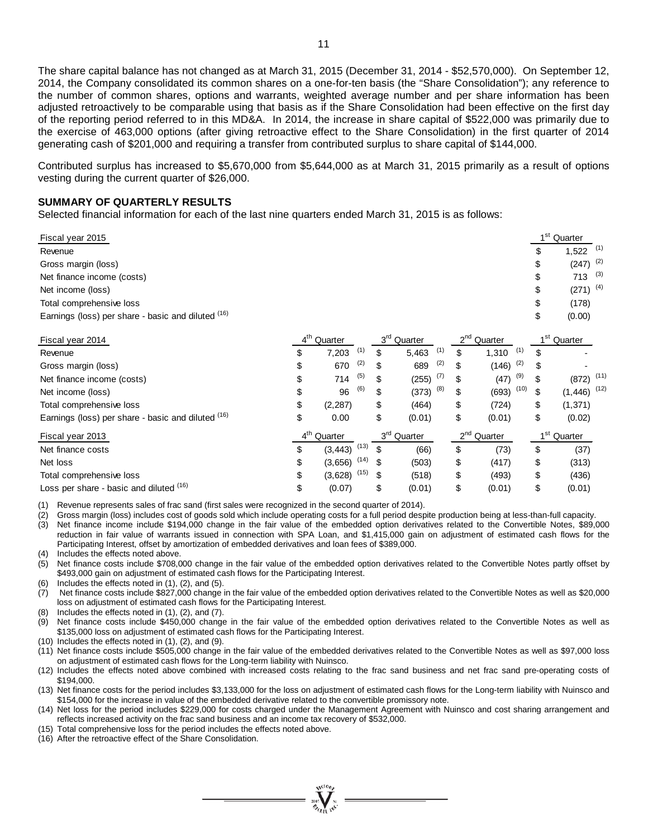The share capital balance has not changed as at March 31, 2015 (December 31, 2014 - \$52,570,000). On September 12, 2014, the Company consolidated its common shares on a one-for-ten basis (the "Share Consolidation"); any reference to the number of common shares, options and warrants, weighted average number and per share information has been adjusted retroactively to be comparable using that basis as if the Share Consolidation had been effective on the first day of the reporting period referred to in this MD&A. In 2014, the increase in share capital of \$522,000 was primarily due to the exercise of 463,000 options (after giving retroactive effect to the Share Consolidation) in the first quarter of 2014 generating cash of \$201,000 and requiring a transfer from contributed surplus to share capital of \$144,000.

Contributed surplus has increased to \$5,670,000 from \$5,644,000 as at March 31, 2015 primarily as a result of options vesting during the current quarter of \$26,000.

#### **SUMMARY OF QUARTERLY RESULTS**

Selected financial information for each of the last nine quarters ended March 31, 2015 is as follows:

| Fiscal year 2015                                   |                         |      |                         |                         |      |                 | 1 <sup>st</sup> Quarter |  |
|----------------------------------------------------|-------------------------|------|-------------------------|-------------------------|------|-----------------|-------------------------|--|
| Revenue                                            |                         |      |                         |                         |      |                 | $1,522$ (1)             |  |
| Gross margin (loss)                                |                         |      |                         |                         |      |                 | $(247)$ <sup>(2)</sup>  |  |
| Net finance income (costs)                         |                         |      |                         |                         |      |                 | 713 $(3)$               |  |
| Net income (loss)                                  |                         |      |                         |                         |      |                 | $(271)$ <sup>(4)</sup>  |  |
| Total comprehensive loss                           |                         |      |                         |                         |      | \$              | (178)                   |  |
| Earnings (loss) per share - basic and diluted (16) |                         |      |                         |                         |      | \$              | (0.00)                  |  |
| Fiscal year 2014                                   | 4 <sup>th</sup> Quarter |      | 3 <sup>rd</sup> Quarter | $2nd$ Quarter           |      | 1 <sup>st</sup> | Quarter                 |  |
| Revenue                                            | 7,203                   | (1)  | \$<br>(1)<br>5,463      | \$<br>1,310             | (1)  | \$              |                         |  |
| Gross margin (loss)                                | \$<br>670               | (2)  | (2)<br>689              | \$<br>(146)             | (2)  | \$              |                         |  |
| Net finance income (costs)                         | \$<br>714               | (5)  | (7)<br>(255)            | \$<br>(47)              | (9)  |                 | $(872)$ <sup>(11)</sup> |  |
| Net income (loss)                                  | 96                      | (6)  | (8)<br>(373)            | \$<br>(693)             | (10) |                 | $(1,446)$ (12)          |  |
| Total comprehensive loss                           | \$<br>(2, 287)          |      | \$<br>(464)             | \$<br>(724)             |      | \$              | (1, 371)                |  |
| Earnings (loss) per share - basic and diluted (16) | \$<br>0.00              |      | \$<br>(0.01)            | \$<br>(0.01)            |      | \$              | (0.02)                  |  |
| Fiscal year 2013                                   | 4 <sup>th</sup> Quarter |      | 3 <sup>rd</sup> Quarter | 2 <sup>nd</sup> Quarter |      |                 | 1 <sup>st</sup> Quarter |  |
| Net finance costs                                  | \$<br>(3, 443)          | (13) | (66)                    | \$<br>(73)              |      | \$              | (37)                    |  |
| Net loss                                           | \$<br>(3,656)           | (14) | (503)                   | \$<br>(417)             |      | \$              | (313)                   |  |
| Total comprehensive loss                           | \$<br>$(3,628)$ $(15)$  |      | \$<br>(518)             | \$<br>(493)             |      | \$              | (436)                   |  |
| Loss per share - basic and diluted (16)            | \$<br>(0.07)            |      | \$<br>(0.01)            | \$<br>(0.01)            |      | \$              | (0.01)                  |  |

(1) Revenue represents sales of frac sand (first sales were recognized in the second quarter of 2014).

(2) Gross margin (loss) includes cost of goods sold which include operating costs for a full period despite production being at less-than-full capacity. Net finance income include \$194,000 change in the fair value of the embedded option derivatives related to the Convertible Notes, \$89,000 reduction in fair value of warrants issued in connection with SPA Loan, and \$1,415,000 gain on adjustment of estimated cash flows for the Participating Interest, offset by amortization of embedded derivatives and loan fees of \$389,000.

(4) Includes the effects noted above.<br>(5) Net finance costs include \$708,0

Net finance costs include \$708,000 change in the fair value of the embedded option derivatives related to the Convertible Notes partly offset by \$493,000 gain on adjustment of estimated cash flows for the Participating Interest.

(6) Includes the effects noted in (1), (2), and (5).

(7) Net finance costs include \$827,000 change in the fair value of the embedded option derivatives related to the Convertible Notes as well as \$20,000 loss on adjustment of estimated cash flows for the Participating Interest.

- (8) Includes the effects noted in (1), (2), and (7).
- $(9)$  Net finance costs include \$450,000 change in the fair value of the embedded option derivatives related to the Convertible Notes as well as \$135,000 loss on adjustment of estimated cash flows for the Participating Interest.
- (10) Includes the effects noted in (1), (2), and (9).

(11) Net finance costs include \$505,000 change in the fair value of the embedded derivatives related to the Convertible Notes as well as \$97,000 loss on adjustment of estimated cash flows for the Long-term liability with Nuinsco.

(12) Includes the effects noted above combined with increased costs relating to the frac sand business and net frac sand pre-operating costs of \$194,000.

(13) Net finance costs for the period includes \$3,133,000 for the loss on adjustment of estimated cash flows for the Long-term liability with Nuinsco and \$154,000 for the increase in value of the embedded derivative related to the convertible promissory note.

(14) Net loss for the period includes \$229,000 for costs charged under the Management Agreement with Nuinsco and cost sharing arrangement and reflects increased activity on the frac sand business and an income tax recovery of \$532,000.

- (15) Total comprehensive loss for the period includes the effects noted above.
- (16) After the retroactive effect of the Share Consolidation.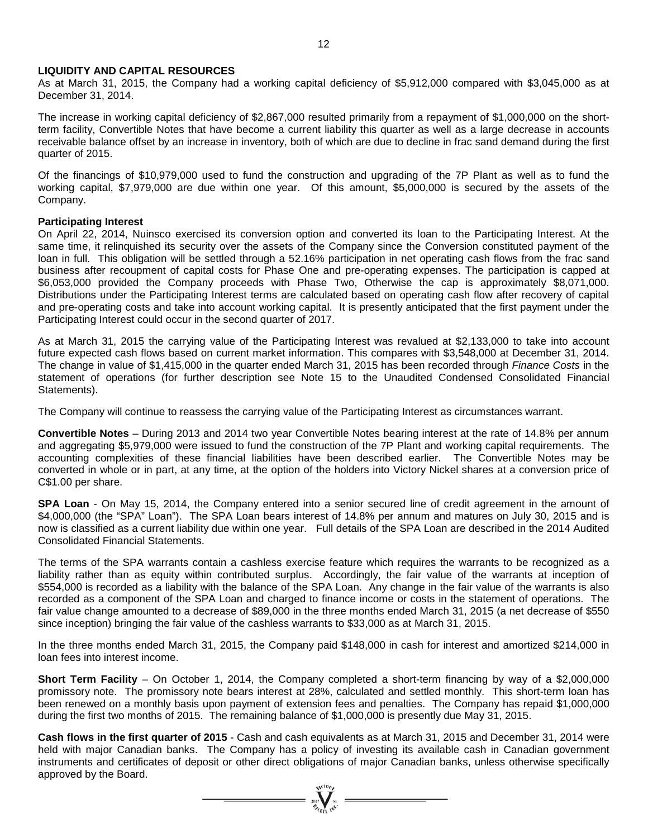#### **LIQUIDITY AND CAPITAL RESOURCES**

As at March 31, 2015, the Company had a working capital deficiency of \$5,912,000 compared with \$3,045,000 as at December 31, 2014.

The increase in working capital deficiency of \$2,867,000 resulted primarily from a repayment of \$1,000,000 on the shortterm facility, Convertible Notes that have become a current liability this quarter as well as a large decrease in accounts receivable balance offset by an increase in inventory, both of which are due to decline in frac sand demand during the first quarter of 2015.

Of the financings of \$10,979,000 used to fund the construction and upgrading of the 7P Plant as well as to fund the working capital, \$7,979,000 are due within one year. Of this amount, \$5,000,000 is secured by the assets of the Company.

#### **Participating Interest**

On April 22, 2014, Nuinsco exercised its conversion option and converted its loan to the Participating Interest. At the same time, it relinquished its security over the assets of the Company since the Conversion constituted payment of the loan in full. This obligation will be settled through a 52.16% participation in net operating cash flows from the frac sand business after recoupment of capital costs for Phase One and pre-operating expenses. The participation is capped at \$6,053,000 provided the Company proceeds with Phase Two, Otherwise the cap is approximately \$8,071,000. Distributions under the Participating Interest terms are calculated based on operating cash flow after recovery of capital and pre-operating costs and take into account working capital. It is presently anticipated that the first payment under the Participating Interest could occur in the second quarter of 2017.

As at March 31, 2015 the carrying value of the Participating Interest was revalued at \$2,133,000 to take into account future expected cash flows based on current market information. This compares with \$3,548,000 at December 31, 2014. The change in value of \$1,415,000 in the quarter ended March 31, 2015 has been recorded through *Finance Costs* in the statement of operations (for further description see Note 15 to the Unaudited Condensed Consolidated Financial Statements).

The Company will continue to reassess the carrying value of the Participating Interest as circumstances warrant.

**Convertible Notes** – During 2013 and 2014 two year Convertible Notes bearing interest at the rate of 14.8% per annum and aggregating \$5,979,000 were issued to fund the construction of the 7P Plant and working capital requirements. The accounting complexities of these financial liabilities have been described earlier. The Convertible Notes may be converted in whole or in part, at any time, at the option of the holders into Victory Nickel shares at a conversion price of C\$1.00 per share.

**SPA Loan** - On May 15, 2014, the Company entered into a senior secured line of credit agreement in the amount of \$4,000,000 (the "SPA" Loan"). The SPA Loan bears interest of 14.8% per annum and matures on July 30, 2015 and is now is classified as a current liability due within one year. Full details of the SPA Loan are described in the 2014 Audited Consolidated Financial Statements.

The terms of the SPA warrants contain a cashless exercise feature which requires the warrants to be recognized as a liability rather than as equity within contributed surplus. Accordingly, the fair value of the warrants at inception of \$554,000 is recorded as a liability with the balance of the SPA Loan. Any change in the fair value of the warrants is also recorded as a component of the SPA Loan and charged to finance income or costs in the statement of operations. The fair value change amounted to a decrease of \$89,000 in the three months ended March 31, 2015 (a net decrease of \$550 since inception) bringing the fair value of the cashless warrants to \$33,000 as at March 31, 2015.

In the three months ended March 31, 2015, the Company paid \$148,000 in cash for interest and amortized \$214,000 in loan fees into interest income.

**Short Term Facility** – On October 1, 2014, the Company completed a short-term financing by way of a \$2,000,000 promissory note. The promissory note bears interest at 28%, calculated and settled monthly. This short-term loan has been renewed on a monthly basis upon payment of extension fees and penalties. The Company has repaid \$1,000,000 during the first two months of 2015. The remaining balance of \$1,000,000 is presently due May 31, 2015.

**Cash flows in the first quarter of 2015** - Cash and cash equivalents as at March 31, 2015 and December 31, 2014 were held with major Canadian banks. The Company has a policy of investing its available cash in Canadian government instruments and certificates of deposit or other direct obligations of major Canadian banks, unless otherwise specifically approved by the Board.

 $= \prod_{\alpha \in \mathcal{N}_{\mathcal{C}(k)}}^{\text{val}_{\alpha \in \mathcal{C}_{k}}} \equiv$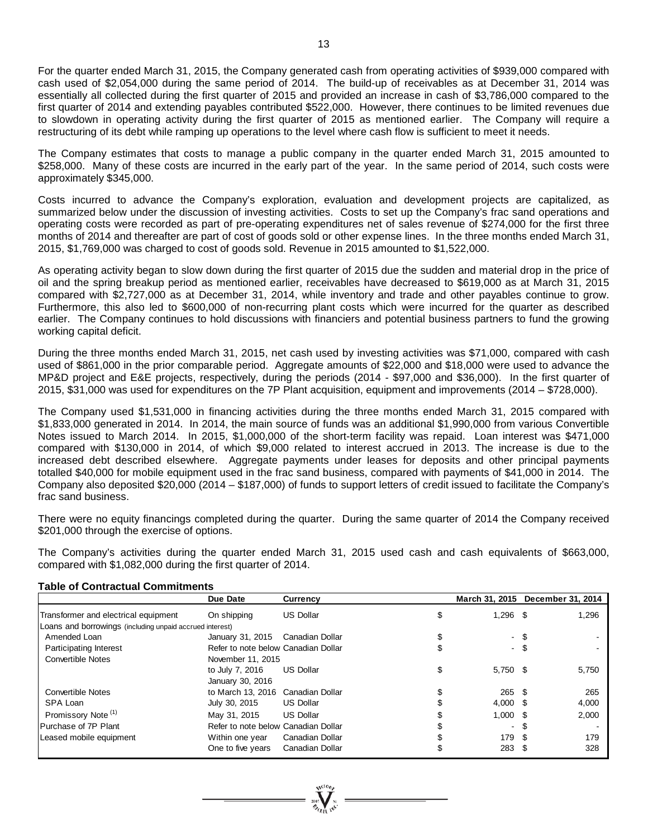For the quarter ended March 31, 2015, the Company generated cash from operating activities of \$939,000 compared with cash used of \$2,054,000 during the same period of 2014. The build-up of receivables as at December 31, 2014 was essentially all collected during the first quarter of 2015 and provided an increase in cash of \$3,786,000 compared to the first quarter of 2014 and extending payables contributed \$522,000. However, there continues to be limited revenues due to slowdown in operating activity during the first quarter of 2015 as mentioned earlier. The Company will require a restructuring of its debt while ramping up operations to the level where cash flow is sufficient to meet it needs.

The Company estimates that costs to manage a public company in the quarter ended March 31, 2015 amounted to \$258,000. Many of these costs are incurred in the early part of the year. In the same period of 2014, such costs were approximately \$345,000.

Costs incurred to advance the Company's exploration, evaluation and development projects are capitalized, as summarized below under the discussion of investing activities. Costs to set up the Company's frac sand operations and operating costs were recorded as part of pre-operating expenditures net of sales revenue of \$274,000 for the first three months of 2014 and thereafter are part of cost of goods sold or other expense lines. In the three months ended March 31, 2015, \$1,769,000 was charged to cost of goods sold. Revenue in 2015 amounted to \$1,522,000.

As operating activity began to slow down during the first quarter of 2015 due the sudden and material drop in the price of oil and the spring breakup period as mentioned earlier, receivables have decreased to \$619,000 as at March 31, 2015 compared with \$2,727,000 as at December 31, 2014, while inventory and trade and other payables continue to grow. Furthermore, this also led to \$600,000 of non-recurring plant costs which were incurred for the quarter as described earlier. The Company continues to hold discussions with financiers and potential business partners to fund the growing working capital deficit.

During the three months ended March 31, 2015, net cash used by investing activities was \$71,000, compared with cash used of \$861,000 in the prior comparable period. Aggregate amounts of \$22,000 and \$18,000 were used to advance the MP&D project and E&E projects, respectively, during the periods (2014 - \$97,000 and \$36,000). In the first quarter of 2015, \$31,000 was used for expenditures on the 7P Plant acquisition, equipment and improvements (2014 – \$728,000).

The Company used \$1,531,000 in financing activities during the three months ended March 31, 2015 compared with \$1,833,000 generated in 2014. In 2014, the main source of funds was an additional \$1,990,000 from various Convertible Notes issued to March 2014. In 2015, \$1,000,000 of the short-term facility was repaid. Loan interest was \$471,000 compared with \$130,000 in 2014, of which \$9,000 related to interest accrued in 2013. The increase is due to the increased debt described elsewhere. Aggregate payments under leases for deposits and other principal payments totalled \$40,000 for mobile equipment used in the frac sand business, compared with payments of \$41,000 in 2014. The Company also deposited \$20,000 (2014 – \$187,000) of funds to support letters of credit issued to facilitate the Company's frac sand business.

There were no equity financings completed during the quarter. During the same quarter of 2014 the Company received \$201,000 through the exercise of options.

The Company's activities during the quarter ended March 31, 2015 used cash and cash equivalents of \$663,000, compared with \$1,082,000 during the first quarter of 2014.

#### **Table of Contractual Commitments**

|                                                          | Due Date                            | <b>Currency</b>  | March 31, 2015 December 31, 2014 |      |       |
|----------------------------------------------------------|-------------------------------------|------------------|----------------------------------|------|-------|
| Transformer and electrical equipment                     | On shipping                         | <b>US Dollar</b> | \$<br>$1,296$ \$                 |      | 1,296 |
| Loans and borrowings (including unpaid accrued interest) |                                     |                  |                                  |      |       |
| Amended Loan                                             | January 31, 2015                    | Canadian Dollar  |                                  | - \$ |       |
| Participating Interest                                   | Refer to note below Canadian Dollar |                  |                                  | - \$ |       |
| <b>Convertible Notes</b>                                 | November 11, 2015                   |                  |                                  |      |       |
|                                                          | to July 7, 2016                     | <b>US Dollar</b> | \$<br>5,750 \$                   |      | 5,750 |
|                                                          | January 30, 2016                    |                  |                                  |      |       |
| <b>Convertible Notes</b>                                 | to March 13, 2016 Canadian Dollar   |                  | $265 \quad $$                    |      | 265   |
| SPA Loan                                                 | July 30, 2015                       | <b>US Dollar</b> | $4.000$ \$                       |      | 4,000 |
| Promissory Note <sup>(1)</sup>                           | May 31, 2015                        | <b>US Dollar</b> | $1.000$ \$                       |      | 2,000 |
| Purchase of 7P Plant                                     | Refer to note below Canadian Dollar |                  |                                  | - \$ |       |
| Leased mobile equipment                                  | Within one year                     | Canadian Dollar  | 179                              | -SS  | 179   |
|                                                          | One to five years                   | Canadian Dollar  | 283                              |      | 328   |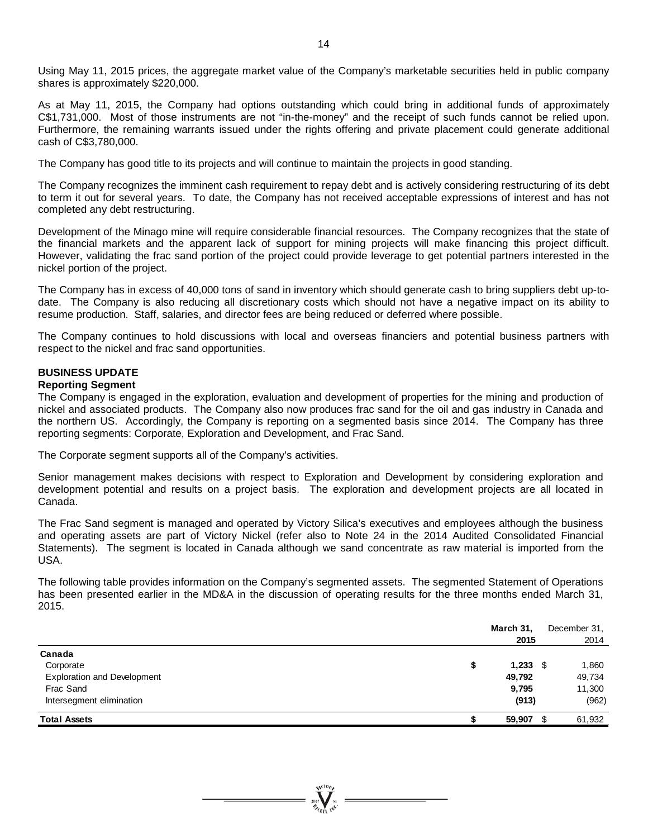Using May 11, 2015 prices, the aggregate market value of the Company's marketable securities held in public company shares is approximately \$220,000.

As at May 11, 2015, the Company had options outstanding which could bring in additional funds of approximately C\$1,731,000. Most of those instruments are not "in-the-money" and the receipt of such funds cannot be relied upon. Furthermore, the remaining warrants issued under the rights offering and private placement could generate additional cash of C\$3,780,000.

The Company has good title to its projects and will continue to maintain the projects in good standing.

The Company recognizes the imminent cash requirement to repay debt and is actively considering restructuring of its debt to term it out for several years. To date, the Company has not received acceptable expressions of interest and has not completed any debt restructuring.

Development of the Minago mine will require considerable financial resources. The Company recognizes that the state of the financial markets and the apparent lack of support for mining projects will make financing this project difficult. However, validating the frac sand portion of the project could provide leverage to get potential partners interested in the nickel portion of the project.

The Company has in excess of 40,000 tons of sand in inventory which should generate cash to bring suppliers debt up-todate. The Company is also reducing all discretionary costs which should not have a negative impact on its ability to resume production. Staff, salaries, and director fees are being reduced or deferred where possible.

The Company continues to hold discussions with local and overseas financiers and potential business partners with respect to the nickel and frac sand opportunities.

# **BUSINESS UPDATE**

### **Reporting Segment**

The Company is engaged in the exploration, evaluation and development of properties for the mining and production of nickel and associated products. The Company also now produces frac sand for the oil and gas industry in Canada and the northern US. Accordingly, the Company is reporting on a segmented basis since 2014. The Company has three reporting segments: Corporate, Exploration and Development, and Frac Sand.

The Corporate segment supports all of the Company's activities.

Senior management makes decisions with respect to Exploration and Development by considering exploration and development potential and results on a project basis. The exploration and development projects are all located in Canada.

The Frac Sand segment is managed and operated by Victory Silica's executives and employees although the business and operating assets are part of Victory Nickel (refer also to Note 24 in the 2014 Audited Consolidated Financial Statements). The segment is located in Canada although we sand concentrate as raw material is imported from the USA.

The following table provides information on the Company's segmented assets. The segmented Statement of Operations has been presented earlier in the MD&A in the discussion of operating results for the three months ended March 31, 2015.

|                                    |   | March 31,<br>2015 | December 31,<br>2014 |
|------------------------------------|---|-------------------|----------------------|
| Canada                             |   |                   |                      |
| Corporate                          | D | $1,233$ \$        | 1,860                |
| <b>Exploration and Development</b> |   | 49,792            | 49,734               |
| Frac Sand                          |   | 9,795             | 11,300               |
| Intersegment elimination           |   | (913)             | (962)                |
| <b>Total Assets</b>                |   | 59,907            | 61,932               |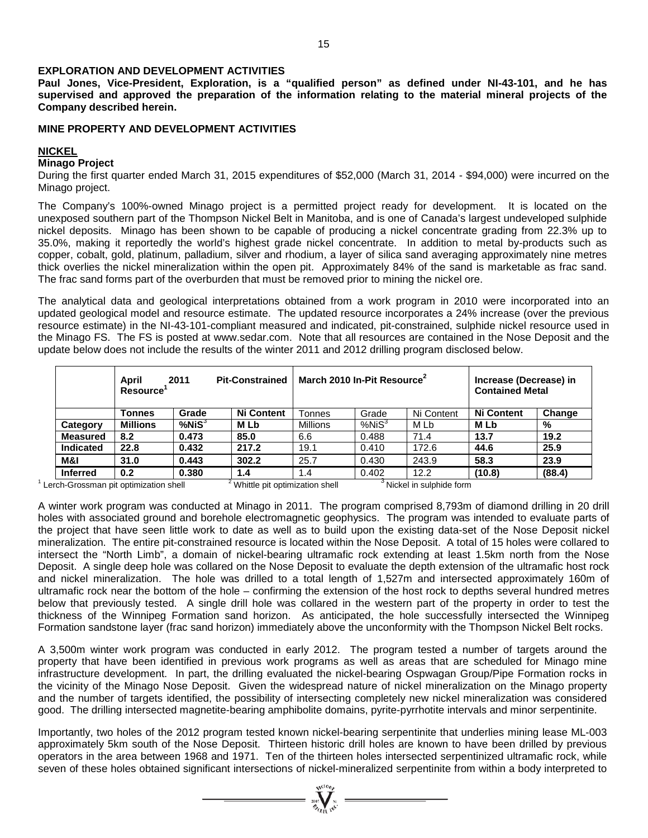#### **EXPLORATION AND DEVELOPMENT ACTIVITIES**

**Paul Jones, Vice-President, Exploration, is a "qualified person" as defined under NI-43-101, and he has supervised and approved the preparation of the information relating to the material mineral projects of the Company described herein.**

#### **MINE PROPERTY AND DEVELOPMENT ACTIVITIES**

#### **NICKEL**

#### **Minago Project**

During the first quarter ended March 31, 2015 expenditures of \$52,000 (March 31, 2014 - \$94,000) were incurred on the Minago project.

The Company's 100%-owned Minago project is a permitted project ready for development. It is located on the unexposed southern part of the Thompson Nickel Belt in Manitoba, and is one of Canada's largest undeveloped sulphide nickel deposits. Minago has been shown to be capable of producing a nickel concentrate grading from 22.3% up to 35.0%, making it reportedly the world's highest grade nickel concentrate. In addition to metal by-products such as copper, cobalt, gold, platinum, palladium, silver and rhodium, a layer of silica sand averaging approximately nine metres thick overlies the nickel mineralization within the open pit. Approximately 84% of the sand is marketable as frac sand. The frac sand forms part of the overburden that must be removed prior to mining the nickel ore.

The analytical data and geological interpretations obtained from a work program in 2010 were incorporated into an updated geological model and resource estimate. The updated resource incorporates a 24% increase (over the previous resource estimate) in the NI-43-101-compliant measured and indicated, pit-constrained, sulphide nickel resource used in the Minago FS. The FS is posted at [www.sedar.com.](http://www.sedar.com/) Note that all resources are contained in the Nose Deposit and the update below does not include the results of the winter 2011 and 2012 drilling program disclosed below.

|                  | April<br><b>Pit-Constrained</b><br>2011<br><b>Resource</b> |              |                   | March 2010 In-Pit Resource <sup>2</sup> | Increase (Decrease) in<br><b>Contained Metal</b> |            |                   |        |
|------------------|------------------------------------------------------------|--------------|-------------------|-----------------------------------------|--------------------------------------------------|------------|-------------------|--------|
|                  | Tonnes                                                     | Grade        | <b>Ni Content</b> | Tonnes                                  | Grade                                            | Ni Content | <b>Ni Content</b> | Change |
| Category         | <b>Millions</b>                                            | $%$ Ni $S^3$ | <b>MLb</b>        | <b>Millions</b>                         | %NiS <sup>3</sup>                                | M Lb       | M Lb              | %      |
| <b>Measured</b>  | 8.2                                                        | 0.473        | 85.0              | 6.6                                     | 0.488                                            | 71.4       | 13.7              | 19.2   |
| <b>Indicated</b> | 22.8                                                       | 0.432        | 217.2             | 19.1                                    | 0.410                                            | 172.6      | 44.6              | 25.9   |
| M&I              | 31.0                                                       | 0.443        | 302.2             | 25.7                                    | 0.430                                            | 243.9      | 58.3              | 23.9   |
| <b>Inferred</b>  | 0.2                                                        | 0.380        | 1.4               | 1.4                                     | 0.402                                            | 12.2       | (10.8)            | (88.4) |

 $1$  Lerch-Grossman pit optimization shell  $2^2$  Whittle pit optimization shell  $3$  Nickel in sulphide form

A winter work program was conducted at Minago in 2011. The program comprised 8,793m of diamond drilling in 20 drill holes with associated ground and borehole electromagnetic geophysics. The program was intended to evaluate parts of the project that have seen little work to date as well as to build upon the existing data-set of the Nose Deposit nickel mineralization. The entire pit-constrained resource is located within the Nose Deposit. A total of 15 holes were collared to intersect the "North Limb", a domain of nickel-bearing ultramafic rock extending at least 1.5km north from the Nose Deposit. A single deep hole was collared on the Nose Deposit to evaluate the depth extension of the ultramafic host rock and nickel mineralization. The hole was drilled to a total length of 1,527m and intersected approximately 160m of ultramafic rock near the bottom of the hole – confirming the extension of the host rock to depths several hundred metres below that previously tested. A single drill hole was collared in the western part of the property in order to test the thickness of the Winnipeg Formation sand horizon. As anticipated, the hole successfully intersected the Winnipeg Formation sandstone layer (frac sand horizon) immediately above the unconformity with the Thompson Nickel Belt rocks.

A 3,500m winter work program was conducted in early 2012. The program tested a number of targets around the property that have been identified in previous work programs as well as areas that are scheduled for Minago mine infrastructure development. In part, the drilling evaluated the nickel-bearing Ospwagan Group/Pipe Formation rocks in the vicinity of the Minago Nose Deposit. Given the widespread nature of nickel mineralization on the Minago property and the number of targets identified, the possibility of intersecting completely new nickel mineralization was considered good. The drilling intersected magnetite-bearing amphibolite domains, pyrite-pyrrhotite intervals and minor serpentinite.

Importantly, two holes of the 2012 program tested known nickel-bearing serpentinite that underlies mining lease ML-003 approximately 5km south of the Nose Deposit. Thirteen historic drill holes are known to have been drilled by previous operators in the area between 1968 and 1971. Ten of the thirteen holes intersected serpentinized ultramafic rock, while seven of these holes obtained significant intersections of nickel-mineralized serpentinite from within a body interpreted to

 $= \sum_{i=1}^{N^{(10)}}$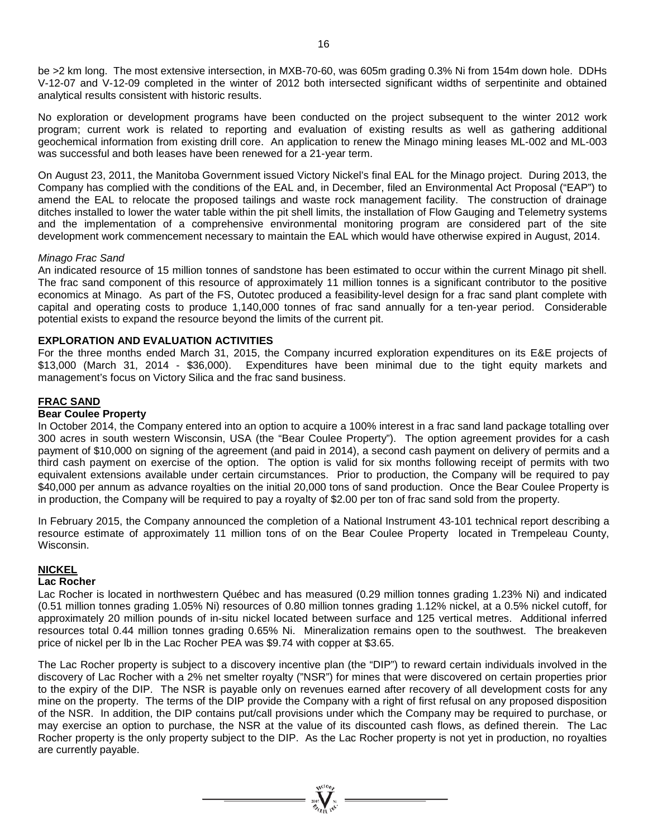be >2 km long. The most extensive intersection, in MXB-70-60, was 605m grading 0.3% Ni from 154m down hole. DDHs V-12-07 and V-12-09 completed in the winter of 2012 both intersected significant widths of serpentinite and obtained analytical results consistent with historic results.

No exploration or development programs have been conducted on the project subsequent to the winter 2012 work program; current work is related to reporting and evaluation of existing results as well as gathering additional geochemical information from existing drill core. An application to renew the Minago mining leases ML-002 and ML-003 was successful and both leases have been renewed for a 21-year term.

On August 23, 2011, the Manitoba Government issued Victory Nickel's final EAL for the Minago project. During 2013, the Company has complied with the conditions of the EAL and, in December, filed an Environmental Act Proposal ("EAP") to amend the EAL to relocate the proposed tailings and waste rock management facility. The construction of drainage ditches installed to lower the water table within the pit shell limits, the installation of Flow Gauging and Telemetry systems and the implementation of a comprehensive environmental monitoring program are considered part of the site development work commencement necessary to maintain the EAL which would have otherwise expired in August, 2014.

#### *Minago Frac Sand*

An indicated resource of 15 million tonnes of sandstone has been estimated to occur within the current Minago pit shell. The frac sand component of this resource of approximately 11 million tonnes is a significant contributor to the positive economics at Minago. As part of the FS, Outotec produced a feasibility-level design for a frac sand plant complete with capital and operating costs to produce 1,140,000 tonnes of frac sand annually for a ten-year period. Considerable potential exists to expand the resource beyond the limits of the current pit.

#### **EXPLORATION AND EVALUATION ACTIVITIES**

For the three months ended March 31, 2015, the Company incurred exploration expenditures on its E&E projects of \$13,000 (March 31, 2014 - \$36,000). Expenditures have been minimal due to the tight equity markets and management's focus on Victory Silica and the frac sand business.

#### **FRAC SAND**

#### **Bear Coulee Property**

In October 2014, the Company entered into an option to acquire a 100% interest in a frac sand land package totalling over 300 acres in south western Wisconsin, USA (the "Bear Coulee Property"). The option agreement provides for a cash payment of \$10,000 on signing of the agreement (and paid in 2014), a second cash payment on delivery of permits and a third cash payment on exercise of the option. The option is valid for six months following receipt of permits with two equivalent extensions available under certain circumstances. Prior to production, the Company will be required to pay \$40,000 per annum as advance royalties on the initial 20,000 tons of sand production. Once the Bear Coulee Property is in production, the Company will be required to pay a royalty of \$2.00 per ton of frac sand sold from the property.

In February 2015, the Company announced the completion of a National Instrument 43-101 technical report describing a resource estimate of approximately 11 million tons of on the Bear Coulee Property located in Trempeleau County, Wisconsin.

#### **NICKEL**

### **Lac Rocher**

Lac Rocher is located in northwestern Québec and has measured (0.29 million tonnes grading 1.23% Ni) and indicated (0.51 million tonnes grading 1.05% Ni) resources of 0.80 million tonnes grading 1.12% nickel, at a 0.5% nickel cutoff, for approximately 20 million pounds of in-situ nickel located between surface and 125 vertical metres. Additional inferred resources total 0.44 million tonnes grading 0.65% Ni. Mineralization remains open to the southwest. The breakeven price of nickel per lb in the Lac Rocher PEA was \$9.74 with copper at \$3.65.

The Lac Rocher property is subject to a discovery incentive plan (the "DIP") to reward certain individuals involved in the discovery of Lac Rocher with a 2% net smelter royalty ("NSR") for mines that were discovered on certain properties prior to the expiry of the DIP. The NSR is payable only on revenues earned after recovery of all development costs for any mine on the property. The terms of the DIP provide the Company with a right of first refusal on any proposed disposition of the NSR. In addition, the DIP contains put/call provisions under which the Company may be required to purchase, or may exercise an option to purchase, the NSR at the value of its discounted cash flows, as defined therein. The Lac Rocher property is the only property subject to the DIP. As the Lac Rocher property is not yet in production, no royalties are currently payable.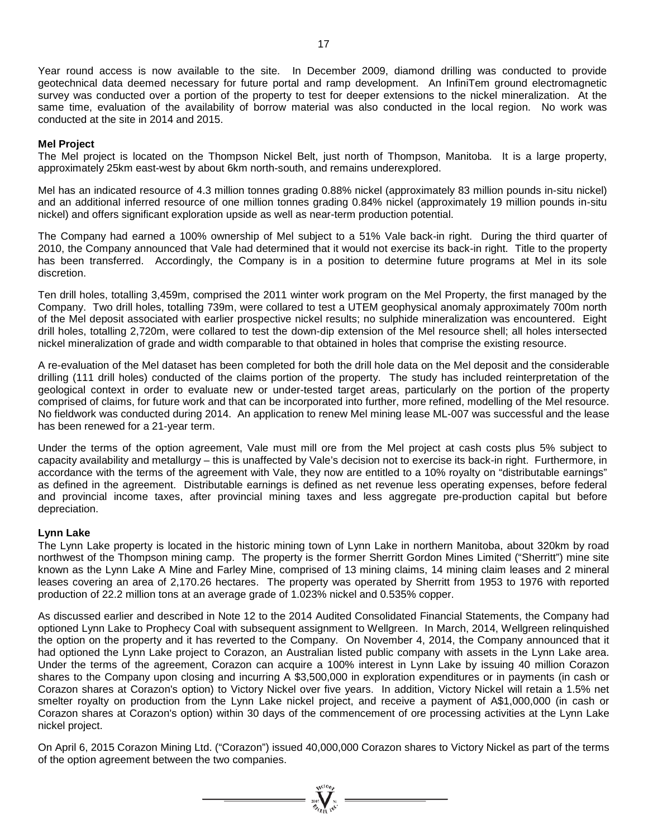Year round access is now available to the site. In December 2009, diamond drilling was conducted to provide geotechnical data deemed necessary for future portal and ramp development. An InfiniTem ground electromagnetic survey was conducted over a portion of the property to test for deeper extensions to the nickel mineralization. At the same time, evaluation of the availability of borrow material was also conducted in the local region. No work was conducted at the site in 2014 and 2015.

#### **Mel Project**

The Mel project is located on the Thompson Nickel Belt, just north of Thompson, Manitoba. It is a large property, approximately 25km east-west by about 6km north-south, and remains underexplored.

Mel has an indicated resource of 4.3 million tonnes grading 0.88% nickel (approximately 83 million pounds in-situ nickel) and an additional inferred resource of one million tonnes grading 0.84% nickel (approximately 19 million pounds in-situ nickel) and offers significant exploration upside as well as near-term production potential.

The Company had earned a 100% ownership of Mel subject to a 51% Vale back-in right. During the third quarter of 2010, the Company announced that Vale had determined that it would not exercise its back-in right. Title to the property has been transferred. Accordingly, the Company is in a position to determine future programs at Mel in its sole discretion.

Ten drill holes, totalling 3,459m, comprised the 2011 winter work program on the Mel Property, the first managed by the Company. Two drill holes, totalling 739m, were collared to test a UTEM geophysical anomaly approximately 700m north of the Mel deposit associated with earlier prospective nickel results; no sulphide mineralization was encountered. Eight drill holes, totalling 2,720m, were collared to test the down-dip extension of the Mel resource shell; all holes intersected nickel mineralization of grade and width comparable to that obtained in holes that comprise the existing resource.

A re-evaluation of the Mel dataset has been completed for both the drill hole data on the Mel deposit and the considerable drilling (111 drill holes) conducted of the claims portion of the property. The study has included reinterpretation of the geological context in order to evaluate new or under-tested target areas, particularly on the portion of the property comprised of claims, for future work and that can be incorporated into further, more refined, modelling of the Mel resource. No fieldwork was conducted during 2014. An application to renew Mel mining lease ML-007 was successful and the lease has been renewed for a 21-year term.

Under the terms of the option agreement, Vale must mill ore from the Mel project at cash costs plus 5% subject to capacity availability and metallurgy – this is unaffected by Vale's decision not to exercise its back-in right. Furthermore, in accordance with the terms of the agreement with Vale, they now are entitled to a 10% royalty on "distributable earnings" as defined in the agreement. Distributable earnings is defined as net revenue less operating expenses, before federal and provincial income taxes, after provincial mining taxes and less aggregate pre-production capital but before depreciation.

#### **Lynn Lake**

The Lynn Lake property is located in the historic mining town of Lynn Lake in northern Manitoba, about 320km by road northwest of the Thompson mining camp. The property is the former Sherritt Gordon Mines Limited ("Sherritt") mine site known as the Lynn Lake A Mine and Farley Mine, comprised of 13 mining claims, 14 mining claim leases and 2 mineral leases covering an area of 2,170.26 hectares. The property was operated by Sherritt from 1953 to 1976 with reported production of 22.2 million tons at an average grade of 1.023% nickel and 0.535% copper.

As discussed earlier and described in Note 12 to the 2014 Audited Consolidated Financial Statements, the Company had optioned Lynn Lake to Prophecy Coal with subsequent assignment to Wellgreen. In March, 2014, Wellgreen relinquished the option on the property and it has reverted to the Company. On November 4, 2014, the Company announced that it had optioned the Lynn Lake project to Corazon, an Australian listed public company with assets in the Lynn Lake area. Under the terms of the agreement, Corazon can acquire a 100% interest in Lynn Lake by issuing 40 million Corazon shares to the Company upon closing and incurring A \$3,500,000 in exploration expenditures or in payments (in cash or Corazon shares at Corazon's option) to Victory Nickel over five years. In addition, Victory Nickel will retain a 1.5% net smelter royalty on production from the Lynn Lake nickel project, and receive a payment of A\$1,000,000 (in cash or Corazon shares at Corazon's option) within 30 days of the commencement of ore processing activities at the Lynn Lake nickel project.

On April 6, 2015 Corazon Mining Ltd. ("Corazon") issued 40,000,000 Corazon shares to Victory Nickel as part of the terms of the option agreement between the two companies.

=  $\sum_{x=0}^{x=0}$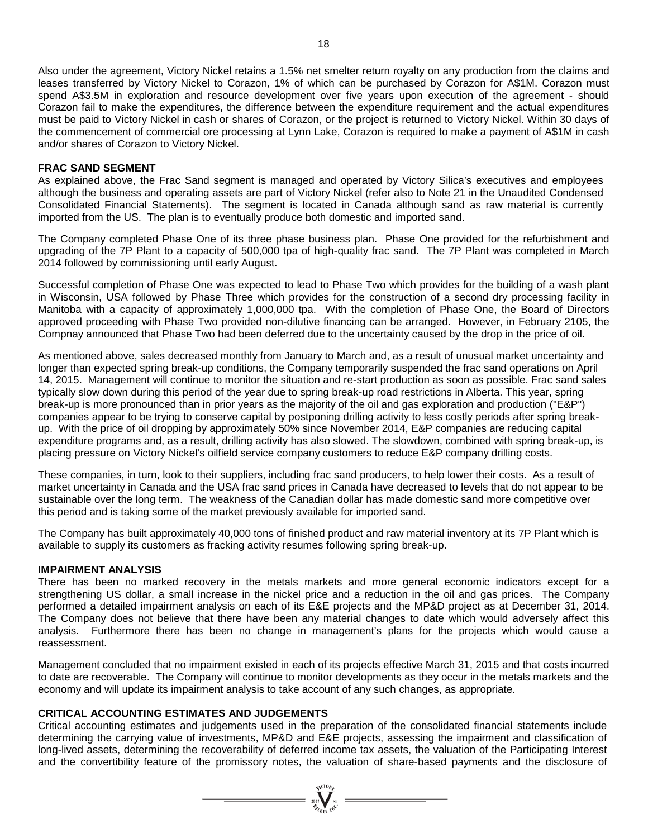Also under the agreement, Victory Nickel retains a 1.5% net smelter return royalty on any production from the claims and leases transferred by Victory Nickel to Corazon, 1% of which can be purchased by Corazon for A\$1M. Corazon must spend A\$3.5M in exploration and resource development over five years upon execution of the agreement - should Corazon fail to make the expenditures, the difference between the expenditure requirement and the actual expenditures must be paid to Victory Nickel in cash or shares of Corazon, or the project is returned to Victory Nickel. Within 30 days of the commencement of commercial ore processing at Lynn Lake, Corazon is required to make a payment of A\$1M in cash and/or shares of Corazon to Victory Nickel.

#### **FRAC SAND SEGMENT**

As explained above, the Frac Sand segment is managed and operated by Victory Silica's executives and employees although the business and operating assets are part of Victory Nickel (refer also to Note 21 in the Unaudited Condensed Consolidated Financial Statements). The segment is located in Canada although sand as raw material is currently imported from the US. The plan is to eventually produce both domestic and imported sand.

The Company completed Phase One of its three phase business plan. Phase One provided for the refurbishment and upgrading of the 7P Plant to a capacity of 500,000 tpa of high-quality frac sand. The 7P Plant was completed in March 2014 followed by commissioning until early August.

Successful completion of Phase One was expected to lead to Phase Two which provides for the building of a wash plant in Wisconsin, USA followed by Phase Three which provides for the construction of a second dry processing facility in Manitoba with a capacity of approximately 1,000,000 tpa. With the completion of Phase One, the Board of Directors approved proceeding with Phase Two provided non-dilutive financing can be arranged. However, in February 2105, the Compnay announced that Phase Two had been deferred due to the uncertainty caused by the drop in the price of oil.

As mentioned above, sales decreased monthly from January to March and, as a result of unusual market uncertainty and longer than expected spring break-up conditions, the Company temporarily suspended the frac sand operations on April 14, 2015. Management will continue to monitor the situation and re-start production as soon as possible. Frac sand sales typically slow down during this period of the year due to spring break-up road restrictions in Alberta. This year, spring break-up is more pronounced than in prior years as the majority of the oil and gas exploration and production ("E&P") companies appear to be trying to conserve capital by postponing drilling activity to less costly periods after spring breakup. With the price of oil dropping by approximately 50% since November 2014, E&P companies are reducing capital expenditure programs and, as a result, drilling activity has also slowed. The slowdown, combined with spring break-up, is placing pressure on Victory Nickel's oilfield service company customers to reduce E&P company drilling costs.

These companies, in turn, look to their suppliers, including frac sand producers, to help lower their costs. As a result of market uncertainty in Canada and the USA frac sand prices in Canada have decreased to levels that do not appear to be sustainable over the long term. The weakness of the Canadian dollar has made domestic sand more competitive over this period and is taking some of the market previously available for imported sand.

The Company has built approximately 40,000 tons of finished product and raw material inventory at its 7P Plant which is available to supply its customers as fracking activity resumes following spring break-up.

#### **IMPAIRMENT ANALYSIS**

There has been no marked recovery in the metals markets and more general economic indicators except for a strengthening US dollar, a small increase in the nickel price and a reduction in the oil and gas prices. The Company performed a detailed impairment analysis on each of its E&E projects and the MP&D project as at December 31, 2014. The Company does not believe that there have been any material changes to date which would adversely affect this analysis. Furthermore there has been no change in management's plans for the projects which would cause a reassessment.

Management concluded that no impairment existed in each of its projects effective March 31, 2015 and that costs incurred to date are recoverable. The Company will continue to monitor developments as they occur in the metals markets and the economy and will update its impairment analysis to take account of any such changes, as appropriate.

#### **CRITICAL ACCOUNTING ESTIMATES AND JUDGEMENTS**

Critical accounting estimates and judgements used in the preparation of the consolidated financial statements include determining the carrying value of investments, MP&D and E&E projects, assessing the impairment and classification of long-lived assets, determining the recoverability of deferred income tax assets, the valuation of the Participating Interest and the convertibility feature of the promissory notes, the valuation of share-based payments and the disclosure of

=  $\sum_{\text{rel}}^{\text{qct}(O_{\text{f}})}$  =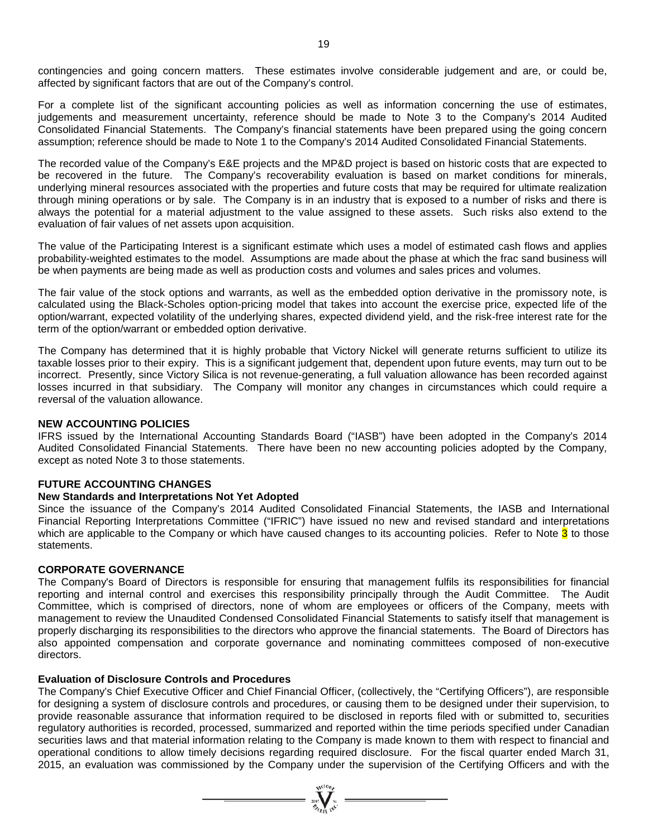contingencies and going concern matters. These estimates involve considerable judgement and are, or could be, affected by significant factors that are out of the Company's control.

For a complete list of the significant accounting policies as well as information concerning the use of estimates, judgements and measurement uncertainty, reference should be made to Note 3 to the Company's 2014 Audited Consolidated Financial Statements. The Company's financial statements have been prepared using the going concern assumption; reference should be made to Note 1 to the Company's 2014 Audited Consolidated Financial Statements.

The recorded value of the Company's E&E projects and the MP&D project is based on historic costs that are expected to be recovered in the future. The Company's recoverability evaluation is based on market conditions for minerals, underlying mineral resources associated with the properties and future costs that may be required for ultimate realization through mining operations or by sale. The Company is in an industry that is exposed to a number of risks and there is always the potential for a material adjustment to the value assigned to these assets. Such risks also extend to the evaluation of fair values of net assets upon acquisition.

The value of the Participating Interest is a significant estimate which uses a model of estimated cash flows and applies probability-weighted estimates to the model. Assumptions are made about the phase at which the frac sand business will be when payments are being made as well as production costs and volumes and sales prices and volumes.

The fair value of the stock options and warrants, as well as the embedded option derivative in the promissory note, is calculated using the Black-Scholes option-pricing model that takes into account the exercise price, expected life of the option/warrant, expected volatility of the underlying shares, expected dividend yield, and the risk-free interest rate for the term of the option/warrant or embedded option derivative.

The Company has determined that it is highly probable that Victory Nickel will generate returns sufficient to utilize its taxable losses prior to their expiry. This is a significant judgement that, dependent upon future events, may turn out to be incorrect. Presently, since Victory Silica is not revenue-generating, a full valuation allowance has been recorded against losses incurred in that subsidiary. The Company will monitor any changes in circumstances which could require a reversal of the valuation allowance.

#### **NEW ACCOUNTING POLICIES**

IFRS issued by the International Accounting Standards Board ("IASB") have been adopted in the Company's 2014 Audited Consolidated Financial Statements. There have been no new accounting policies adopted by the Company, except as noted Note 3 to those statements.

#### **FUTURE ACCOUNTING CHANGES**

#### **New Standards and Interpretations Not Yet Adopted**

Since the issuance of the Company's 2014 Audited Consolidated Financial Statements, the IASB and International Financial Reporting Interpretations Committee ("IFRIC") have issued no new and revised standard and interpretations which are applicable to the Company or which have caused changes to its accounting policies. Refer to Note  $3$  to those statements.

#### **CORPORATE GOVERNANCE**

The Company's Board of Directors is responsible for ensuring that management fulfils its responsibilities for financial reporting and internal control and exercises this responsibility principally through the Audit Committee. The Audit Committee, which is comprised of directors, none of whom are employees or officers of the Company, meets with management to review the Unaudited Condensed Consolidated Financial Statements to satisfy itself that management is properly discharging its responsibilities to the directors who approve the financial statements. The Board of Directors has also appointed compensation and corporate governance and nominating committees composed of non-executive directors.

#### **Evaluation of Disclosure Controls and Procedures**

The Company's Chief Executive Officer and Chief Financial Officer, (collectively, the "Certifying Officers"), are responsible for designing a system of disclosure controls and procedures, or causing them to be designed under their supervision, to provide reasonable assurance that information required to be disclosed in reports filed with or submitted to, securities regulatory authorities is recorded, processed, summarized and reported within the time periods specified under Canadian securities laws and that material information relating to the Company is made known to them with respect to financial and operational conditions to allow timely decisions regarding required disclosure. For the fiscal quarter ended March 31, 2015, an evaluation was commissioned by the Company under the supervision of the Certifying Officers and with the

=  $\sum_{\substack{300 \text{ N} \text{N} \\ \text{Simplies}}}$  =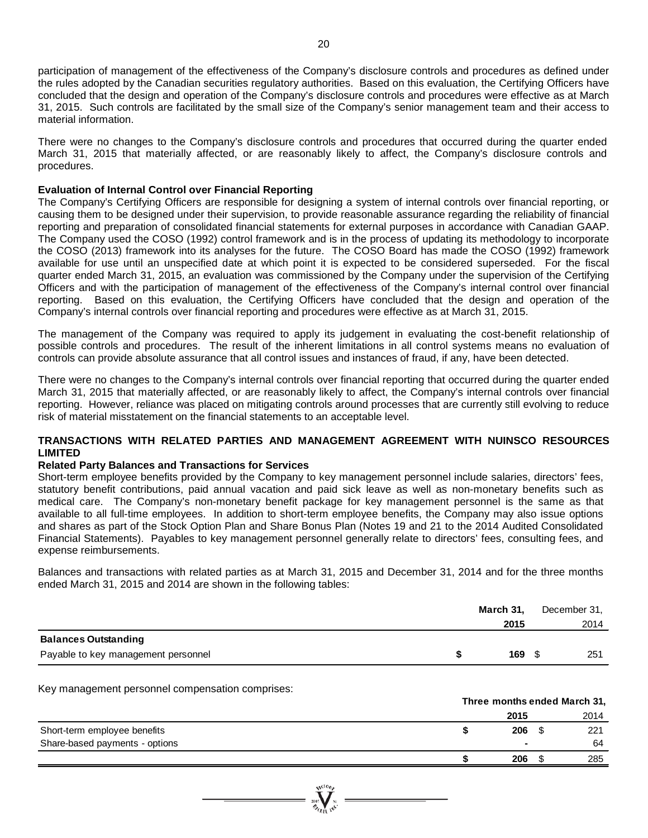participation of management of the effectiveness of the Company's disclosure controls and procedures as defined under the rules adopted by the Canadian securities regulatory authorities. Based on this evaluation, the Certifying Officers have concluded that the design and operation of the Company's disclosure controls and procedures were effective as at March 31, 2015. Such controls are facilitated by the small size of the Company's senior management team and their access to material information.

There were no changes to the Company's disclosure controls and procedures that occurred during the quarter ended March 31, 2015 that materially affected, or are reasonably likely to affect, the Company's disclosure controls and procedures.

#### **Evaluation of Internal Control over Financial Reporting**

The Company's Certifying Officers are responsible for designing a system of internal controls over financial reporting, or causing them to be designed under their supervision, to provide reasonable assurance regarding the reliability of financial reporting and preparation of consolidated financial statements for external purposes in accordance with Canadian GAAP. The Company used the COSO (1992) control framework and is in the process of updating its methodology to incorporate the COSO (2013) framework into its analyses for the future. The COSO Board has made the COSO (1992) framework available for use until an unspecified date at which point it is expected to be considered superseded. For the fiscal quarter ended March 31, 2015, an evaluation was commissioned by the Company under the supervision of the Certifying Officers and with the participation of management of the effectiveness of the Company's internal control over financial reporting. Based on this evaluation, the Certifying Officers have concluded that the design and operation of the Company's internal controls over financial reporting and procedures were effective as at March 31, 2015.

The management of the Company was required to apply its judgement in evaluating the cost-benefit relationship of possible controls and procedures. The result of the inherent limitations in all control systems means no evaluation of controls can provide absolute assurance that all control issues and instances of fraud, if any, have been detected.

There were no changes to the Company's internal controls over financial reporting that occurred during the quarter ended March 31, 2015 that materially affected, or are reasonably likely to affect, the Company's internal controls over financial reporting. However, reliance was placed on mitigating controls around processes that are currently still evolving to reduce risk of material misstatement on the financial statements to an acceptable level.

#### **TRANSACTIONS WITH RELATED PARTIES AND MANAGEMENT AGREEMENT WITH NUINSCO RESOURCES LIMITED**

#### **Related Party Balances and Transactions for Services**

Short-term employee benefits provided by the Company to key management personnel include salaries, directors' fees, statutory benefit contributions, paid annual vacation and paid sick leave as well as non-monetary benefits such as medical care. The Company's non-monetary benefit package for key management personnel is the same as that available to all full-time employees. In addition to short-term employee benefits, the Company may also issue options and shares as part of the Stock Option Plan and Share Bonus Plan (Notes 19 and 21 to the 2014 Audited Consolidated Financial Statements). Payables to key management personnel generally relate to directors' fees, consulting fees, and expense reimbursements.

Balances and transactions with related parties as at March 31, 2015 and December 31, 2014 and for the three months ended March 31, 2015 and 2014 are shown in the following tables:

|                                     | March 31, | December 31, |
|-------------------------------------|-----------|--------------|
|                                     | 2015      | 2014         |
| <b>Balances Outstanding</b>         |           |              |
| Payable to key management personnel | $169$ \$  | 251          |

Key management personnel compensation comprises:

|                                |      | Three months ended March 31, |      |  |  |
|--------------------------------|------|------------------------------|------|--|--|
|                                | 2015 |                              | 2014 |  |  |
| Short-term employee benefits   | 206  |                              | 221  |  |  |
| Share-based payments - options |      |                              | 64   |  |  |
|                                | 206  |                              | 285  |  |  |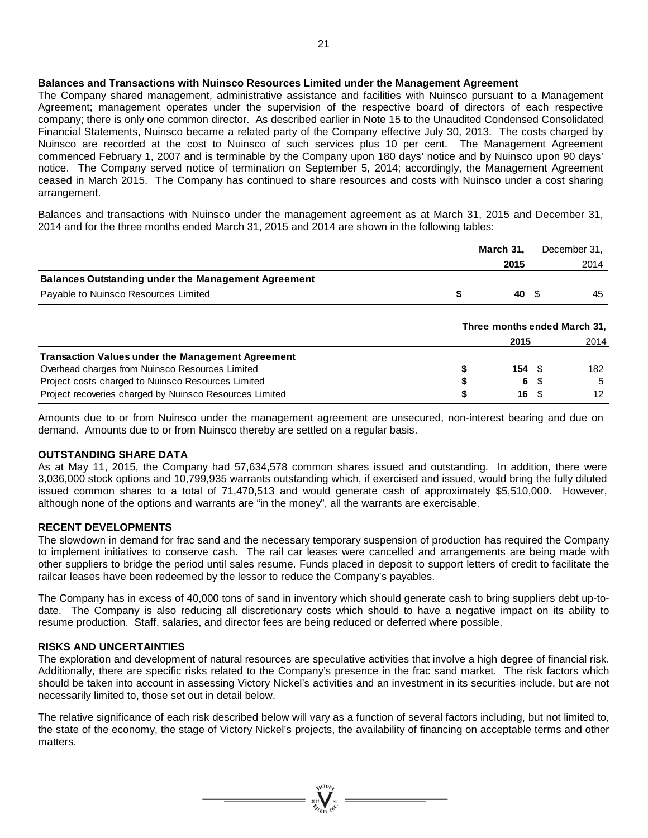#### **Balances and Transactions with Nuinsco Resources Limited under the Management Agreement**

The Company shared management, administrative assistance and facilities with Nuinsco pursuant to a Management Agreement; management operates under the supervision of the respective board of directors of each respective company; there is only one common director. As described earlier in Note 15 to the Unaudited Condensed Consolidated Financial Statements, Nuinsco became a related party of the Company effective July 30, 2013. The costs charged by Nuinsco are recorded at the cost to Nuinsco of such services plus 10 per cent. The Management Agreement commenced February 1, 2007 and is terminable by the Company upon 180 days' notice and by Nuinsco upon 90 days' notice. The Company served notice of termination on September 5, 2014; accordingly, the Management Agreement ceased in March 2015. The Company has continued to share resources and costs with Nuinsco under a cost sharing arrangement.

Balances and transactions with Nuinsco under the management agreement as at March 31, 2015 and December 31, 2014 and for the three months ended March 31, 2015 and 2014 are shown in the following tables:

|                                                            | March 31,         |      | December 31.                 |
|------------------------------------------------------------|-------------------|------|------------------------------|
|                                                            | 2015              |      | 2014                         |
| <b>Balances Outstanding under the Management Agreement</b> |                   |      |                              |
| Payable to Nuinsco Resources Limited                       | \$<br>40 S        |      | 45                           |
|                                                            |                   |      | Three months ended March 31, |
|                                                            | 2015              |      | 2014                         |
| <b>Transaction Values under the Management Agreement</b>   |                   |      |                              |
| Overhead charges from Nuinsco Resources Limited            | $154 \text{ } $s$ |      | 182                          |
| Project costs charged to Nuinsco Resources Limited         | 6                 |      | 5                            |
| Project recoveries charged by Nuinsco Resources Limited    | 16                | - \$ | 12                           |

Amounts due to or from Nuinsco under the management agreement are unsecured, non-interest bearing and due on demand. Amounts due to or from Nuinsco thereby are settled on a regular basis.

#### **OUTSTANDING SHARE DATA**

As at May 11, 2015, the Company had 57,634,578 common shares issued and outstanding. In addition, there were 3,036,000 stock options and 10,799,935 warrants outstanding which, if exercised and issued, would bring the fully diluted issued common shares to a total of 71,470,513 and would generate cash of approximately \$5,510,000. However, although none of the options and warrants are "in the money", all the warrants are exercisable.

#### **RECENT DEVELOPMENTS**

The slowdown in demand for frac sand and the necessary temporary suspension of production has required the Company to implement initiatives to conserve cash. The rail car leases were cancelled and arrangements are being made with other suppliers to bridge the period until sales resume. Funds placed in deposit to support letters of credit to facilitate the railcar leases have been redeemed by the lessor to reduce the Company's payables.

The Company has in excess of 40,000 tons of sand in inventory which should generate cash to bring suppliers debt up-todate. The Company is also reducing all discretionary costs which should to have a negative impact on its ability to resume production. Staff, salaries, and director fees are being reduced or deferred where possible.

#### **RISKS AND UNCERTAINTIES**

The exploration and development of natural resources are speculative activities that involve a high degree of financial risk. Additionally, there are specific risks related to the Company's presence in the frac sand market. The risk factors which should be taken into account in assessing Victory Nickel's activities and an investment in its securities include, but are not necessarily limited to, those set out in detail below.

The relative significance of each risk described below will vary as a function of several factors including, but not limited to, the state of the economy, the stage of Victory Nickel's projects, the availability of financing on acceptable terms and other matters.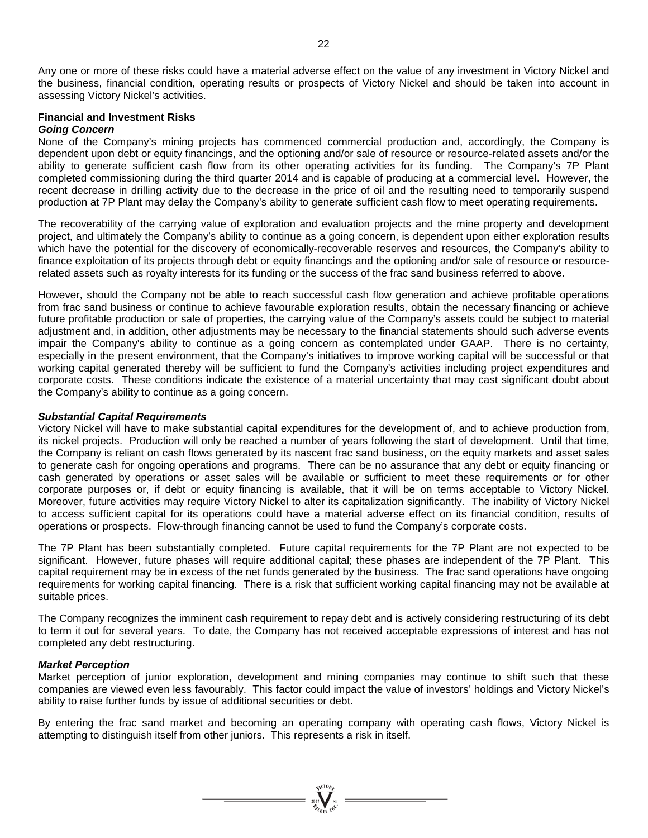Any one or more of these risks could have a material adverse effect on the value of any investment in Victory Nickel and the business, financial condition, operating results or prospects of Victory Nickel and should be taken into account in assessing Victory Nickel's activities.

#### **Financial and Investment Risks** *Going Concern*

None of the Company's mining projects has commenced commercial production and, accordingly, the Company is dependent upon debt or equity financings, and the optioning and/or sale of resource or resource-related assets and/or the ability to generate sufficient cash flow from its other operating activities for its funding. The Company's 7P Plant completed commissioning during the third quarter 2014 and is capable of producing at a commercial level. However, the recent decrease in drilling activity due to the decrease in the price of oil and the resulting need to temporarily suspend production at 7P Plant may delay the Company's ability to generate sufficient cash flow to meet operating requirements.

The recoverability of the carrying value of exploration and evaluation projects and the mine property and development project, and ultimately the Company's ability to continue as a going concern, is dependent upon either exploration results which have the potential for the discovery of economically-recoverable reserves and resources, the Company's ability to finance exploitation of its projects through debt or equity financings and the optioning and/or sale of resource or resourcerelated assets such as royalty interests for its funding or the success of the frac sand business referred to above.

However, should the Company not be able to reach successful cash flow generation and achieve profitable operations from frac sand business or continue to achieve favourable exploration results, obtain the necessary financing or achieve future profitable production or sale of properties, the carrying value of the Company's assets could be subject to material adjustment and, in addition, other adjustments may be necessary to the financial statements should such adverse events impair the Company's ability to continue as a going concern as contemplated under GAAP. There is no certainty, especially in the present environment, that the Company's initiatives to improve working capital will be successful or that working capital generated thereby will be sufficient to fund the Company's activities including project expenditures and corporate costs. These conditions indicate the existence of a material uncertainty that may cast significant doubt about the Company's ability to continue as a going concern.

#### *Substantial Capital Requirements*

Victory Nickel will have to make substantial capital expenditures for the development of, and to achieve production from, its nickel projects. Production will only be reached a number of years following the start of development. Until that time, the Company is reliant on cash flows generated by its nascent frac sand business, on the equity markets and asset sales to generate cash for ongoing operations and programs. There can be no assurance that any debt or equity financing or cash generated by operations or asset sales will be available or sufficient to meet these requirements or for other corporate purposes or, if debt or equity financing is available, that it will be on terms acceptable to Victory Nickel. Moreover, future activities may require Victory Nickel to alter its capitalization significantly. The inability of Victory Nickel to access sufficient capital for its operations could have a material adverse effect on its financial condition, results of operations or prospects. Flow-through financing cannot be used to fund the Company's corporate costs.

The 7P Plant has been substantially completed. Future capital requirements for the 7P Plant are not expected to be significant. However, future phases will require additional capital; these phases are independent of the 7P Plant. This capital requirement may be in excess of the net funds generated by the business. The frac sand operations have ongoing requirements for working capital financing. There is a risk that sufficient working capital financing may not be available at suitable prices.

The Company recognizes the imminent cash requirement to repay debt and is actively considering restructuring of its debt to term it out for several years. To date, the Company has not received acceptable expressions of interest and has not completed any debt restructuring.

#### *Market Perception*

Market perception of junior exploration, development and mining companies may continue to shift such that these companies are viewed even less favourably. This factor could impact the value of investors' holdings and Victory Nickel's ability to raise further funds by issue of additional securities or debt.

By entering the frac sand market and becoming an operating company with operating cash flows, Victory Nickel is attempting to distinguish itself from other juniors. This represents a risk in itself.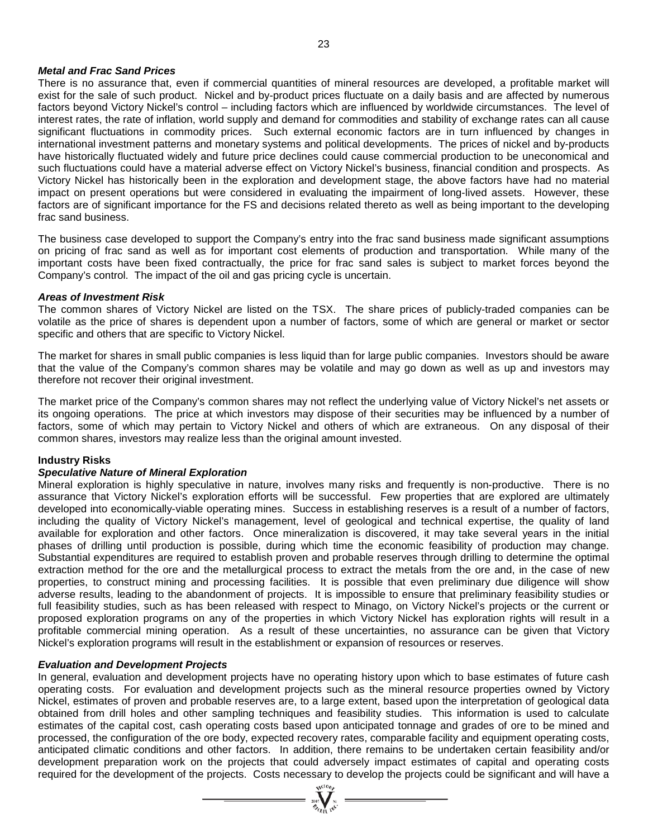#### *Metal and Frac Sand Prices*

There is no assurance that, even if commercial quantities of mineral resources are developed, a profitable market will exist for the sale of such product. Nickel and by-product prices fluctuate on a daily basis and are affected by numerous factors beyond Victory Nickel's control – including factors which are influenced by worldwide circumstances. The level of interest rates, the rate of inflation, world supply and demand for commodities and stability of exchange rates can all cause significant fluctuations in commodity prices. Such external economic factors are in turn influenced by changes in international investment patterns and monetary systems and political developments. The prices of nickel and by-products have historically fluctuated widely and future price declines could cause commercial production to be uneconomical and such fluctuations could have a material adverse effect on Victory Nickel's business, financial condition and prospects. As Victory Nickel has historically been in the exploration and development stage, the above factors have had no material impact on present operations but were considered in evaluating the impairment of long-lived assets. However, these factors are of significant importance for the FS and decisions related thereto as well as being important to the developing frac sand business.

The business case developed to support the Company's entry into the frac sand business made significant assumptions on pricing of frac sand as well as for important cost elements of production and transportation. While many of the important costs have been fixed contractually, the price for frac sand sales is subject to market forces beyond the Company's control. The impact of the oil and gas pricing cycle is uncertain.

#### *Areas of Investment Risk*

The common shares of Victory Nickel are listed on the TSX. The share prices of publicly-traded companies can be volatile as the price of shares is dependent upon a number of factors, some of which are general or market or sector specific and others that are specific to Victory Nickel.

The market for shares in small public companies is less liquid than for large public companies. Investors should be aware that the value of the Company's common shares may be volatile and may go down as well as up and investors may therefore not recover their original investment.

The market price of the Company's common shares may not reflect the underlying value of Victory Nickel's net assets or its ongoing operations. The price at which investors may dispose of their securities may be influenced by a number of factors, some of which may pertain to Victory Nickel and others of which are extraneous. On any disposal of their common shares, investors may realize less than the original amount invested.

#### **Industry Risks**

#### *Speculative Nature of Mineral Exploration*

Mineral exploration is highly speculative in nature, involves many risks and frequently is non-productive. There is no assurance that Victory Nickel's exploration efforts will be successful. Few properties that are explored are ultimately developed into economically-viable operating mines. Success in establishing reserves is a result of a number of factors, including the quality of Victory Nickel's management, level of geological and technical expertise, the quality of land available for exploration and other factors. Once mineralization is discovered, it may take several years in the initial phases of drilling until production is possible, during which time the economic feasibility of production may change. Substantial expenditures are required to establish proven and probable reserves through drilling to determine the optimal extraction method for the ore and the metallurgical process to extract the metals from the ore and, in the case of new properties, to construct mining and processing facilities. It is possible that even preliminary due diligence will show adverse results, leading to the abandonment of projects. It is impossible to ensure that preliminary feasibility studies or full feasibility studies, such as has been released with respect to Minago, on Victory Nickel's projects or the current or proposed exploration programs on any of the properties in which Victory Nickel has exploration rights will result in a profitable commercial mining operation. As a result of these uncertainties, no assurance can be given that Victory Nickel's exploration programs will result in the establishment or expansion of resources or reserves.

#### *Evaluation and Development Projects*

In general, evaluation and development projects have no operating history upon which to base estimates of future cash operating costs. For evaluation and development projects such as the mineral resource properties owned by Victory Nickel, estimates of proven and probable reserves are, to a large extent, based upon the interpretation of geological data obtained from drill holes and other sampling techniques and feasibility studies. This information is used to calculate estimates of the capital cost, cash operating costs based upon anticipated tonnage and grades of ore to be mined and processed, the configuration of the ore body, expected recovery rates, comparable facility and equipment operating costs, anticipated climatic conditions and other factors. In addition, there remains to be undertaken certain feasibility and/or development preparation work on the projects that could adversely impact estimates of capital and operating costs required for the development of the projects. Costs necessary to develop the projects could be significant and will have a

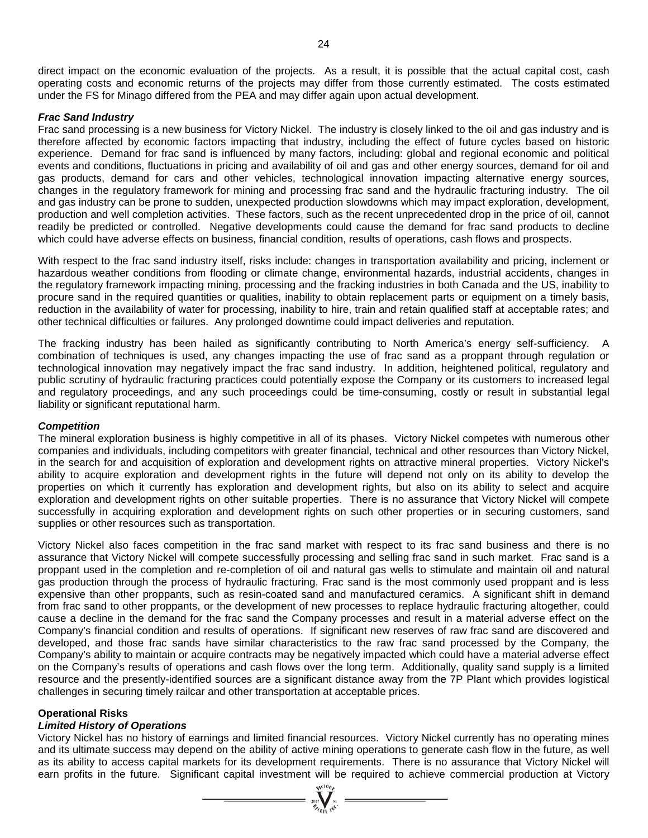direct impact on the economic evaluation of the projects. As a result, it is possible that the actual capital cost, cash operating costs and economic returns of the projects may differ from those currently estimated. The costs estimated under the FS for Minago differed from the PEA and may differ again upon actual development.

#### *Frac Sand Industry*

Frac sand processing is a new business for Victory Nickel. The industry is closely linked to the oil and gas industry and is therefore affected by economic factors impacting that industry, including the effect of future cycles based on historic experience. Demand for frac sand is influenced by many factors, including: global and regional economic and political events and conditions, fluctuations in pricing and availability of oil and gas and other energy sources, demand for oil and gas products, demand for cars and other vehicles, technological innovation impacting alternative energy sources, changes in the regulatory framework for mining and processing frac sand and the hydraulic fracturing industry. The oil and gas industry can be prone to sudden, unexpected production slowdowns which may impact exploration, development, production and well completion activities. These factors, such as the recent unprecedented drop in the price of oil, cannot readily be predicted or controlled. Negative developments could cause the demand for frac sand products to decline which could have adverse effects on business, financial condition, results of operations, cash flows and prospects.

With respect to the frac sand industry itself, risks include: changes in transportation availability and pricing, inclement or hazardous weather conditions from flooding or climate change, environmental hazards, industrial accidents, changes in the regulatory framework impacting mining, processing and the fracking industries in both Canada and the US, inability to procure sand in the required quantities or qualities, inability to obtain replacement parts or equipment on a timely basis, reduction in the availability of water for processing, inability to hire, train and retain qualified staff at acceptable rates; and other technical difficulties or failures. Any prolonged downtime could impact deliveries and reputation.

The fracking industry has been hailed as significantly contributing to North America's energy self-sufficiency. A combination of techniques is used, any changes impacting the use of frac sand as a proppant through regulation or technological innovation may negatively impact the frac sand industry. In addition, heightened political, regulatory and public scrutiny of hydraulic fracturing practices could potentially expose the Company or its customers to increased legal and regulatory proceedings, and any such proceedings could be time-consuming, costly or result in substantial legal liability or significant reputational harm.

#### *Competition*

The mineral exploration business is highly competitive in all of its phases. Victory Nickel competes with numerous other companies and individuals, including competitors with greater financial, technical and other resources than Victory Nickel, in the search for and acquisition of exploration and development rights on attractive mineral properties. Victory Nickel's ability to acquire exploration and development rights in the future will depend not only on its ability to develop the properties on which it currently has exploration and development rights, but also on its ability to select and acquire exploration and development rights on other suitable properties. There is no assurance that Victory Nickel will compete successfully in acquiring exploration and development rights on such other properties or in securing customers, sand supplies or other resources such as transportation.

Victory Nickel also faces competition in the frac sand market with respect to its frac sand business and there is no assurance that Victory Nickel will compete successfully processing and selling frac sand in such market. Frac sand is a proppant used in the completion and re-completion of oil and natural gas wells to stimulate and maintain oil and natural gas production through the process of hydraulic fracturing. Frac sand is the most commonly used proppant and is less expensive than other proppants, such as resin-coated sand and manufactured ceramics. A significant shift in demand from frac sand to other proppants, or the development of new processes to replace hydraulic fracturing altogether, could cause a decline in the demand for the frac sand the Company processes and result in a material adverse effect on the Company's financial condition and results of operations. If significant new reserves of raw frac sand are discovered and developed, and those frac sands have similar characteristics to the raw frac sand processed by the Company, the Company's ability to maintain or acquire contracts may be negatively impacted which could have a material adverse effect on the Company's results of operations and cash flows over the long term. Additionally, quality sand supply is a limited resource and the presently-identified sources are a significant distance away from the 7P Plant which provides logistical challenges in securing timely railcar and other transportation at acceptable prices.

#### **Operational Risks**

#### *Limited History of Operations*

Victory Nickel has no history of earnings and limited financial resources. Victory Nickel currently has no operating mines and its ultimate success may depend on the ability of active mining operations to generate cash flow in the future, as well as its ability to access capital markets for its development requirements. There is no assurance that Victory Nickel will earn profits in the future. Significant capital investment will be required to achieve commercial production at Victory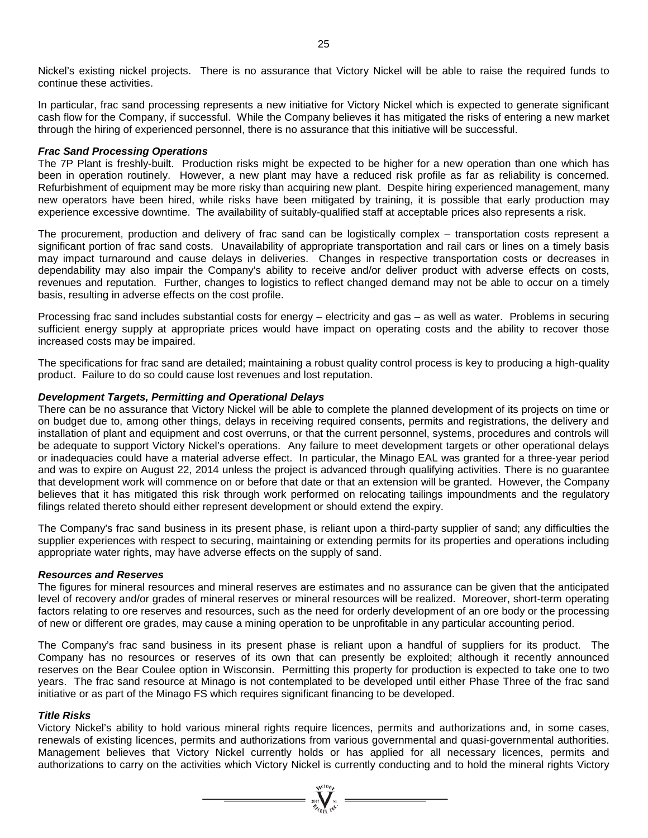Nickel's existing nickel projects. There is no assurance that Victory Nickel will be able to raise the required funds to continue these activities.

In particular, frac sand processing represents a new initiative for Victory Nickel which is expected to generate significant cash flow for the Company, if successful. While the Company believes it has mitigated the risks of entering a new market through the hiring of experienced personnel, there is no assurance that this initiative will be successful.

#### *Frac Sand Processing Operations*

The 7P Plant is freshly-built. Production risks might be expected to be higher for a new operation than one which has been in operation routinely. However, a new plant may have a reduced risk profile as far as reliability is concerned. Refurbishment of equipment may be more risky than acquiring new plant. Despite hiring experienced management, many new operators have been hired, while risks have been mitigated by training, it is possible that early production may experience excessive downtime. The availability of suitably-qualified staff at acceptable prices also represents a risk.

The procurement, production and delivery of frac sand can be logistically complex – transportation costs represent a significant portion of frac sand costs. Unavailability of appropriate transportation and rail cars or lines on a timely basis may impact turnaround and cause delays in deliveries. Changes in respective transportation costs or decreases in dependability may also impair the Company's ability to receive and/or deliver product with adverse effects on costs, revenues and reputation. Further, changes to logistics to reflect changed demand may not be able to occur on a timely basis, resulting in adverse effects on the cost profile.

Processing frac sand includes substantial costs for energy – electricity and gas – as well as water. Problems in securing sufficient energy supply at appropriate prices would have impact on operating costs and the ability to recover those increased costs may be impaired.

The specifications for frac sand are detailed; maintaining a robust quality control process is key to producing a high-quality product. Failure to do so could cause lost revenues and lost reputation.

#### *Development Targets, Permitting and Operational Delays*

There can be no assurance that Victory Nickel will be able to complete the planned development of its projects on time or on budget due to, among other things, delays in receiving required consents, permits and registrations, the delivery and installation of plant and equipment and cost overruns, or that the current personnel, systems, procedures and controls will be adequate to support Victory Nickel's operations. Any failure to meet development targets or other operational delays or inadequacies could have a material adverse effect. In particular, the Minago EAL was granted for a three-year period and was to expire on August 22, 2014 unless the project is advanced through qualifying activities. There is no guarantee that development work will commence on or before that date or that an extension will be granted. However, the Company believes that it has mitigated this risk through work performed on relocating tailings impoundments and the regulatory filings related thereto should either represent development or should extend the expiry.

The Company's frac sand business in its present phase, is reliant upon a third-party supplier of sand; any difficulties the supplier experiences with respect to securing, maintaining or extending permits for its properties and operations including appropriate water rights, may have adverse effects on the supply of sand.

#### *Resources and Reserves*

The figures for mineral resources and mineral reserves are estimates and no assurance can be given that the anticipated level of recovery and/or grades of mineral reserves or mineral resources will be realized. Moreover, short-term operating factors relating to ore reserves and resources, such as the need for orderly development of an ore body or the processing of new or different ore grades, may cause a mining operation to be unprofitable in any particular accounting period.

The Company's frac sand business in its present phase is reliant upon a handful of suppliers for its product. The Company has no resources or reserves of its own that can presently be exploited; although it recently announced reserves on the Bear Coulee option in Wisconsin. Permitting this property for production is expected to take one to two years. The frac sand resource at Minago is not contemplated to be developed until either Phase Three of the frac sand initiative or as part of the Minago FS which requires significant financing to be developed.

#### *Title Risks*

Victory Nickel's ability to hold various mineral rights require licences, permits and authorizations and, in some cases, renewals of existing licences, permits and authorizations from various governmental and quasi-governmental authorities. Management believes that Victory Nickel currently holds or has applied for all necessary licences, permits and authorizations to carry on the activities which Victory Nickel is currently conducting and to hold the mineral rights Victory

 $= \prod_{\text{sign of } \text{val}}^{\text{sub}}$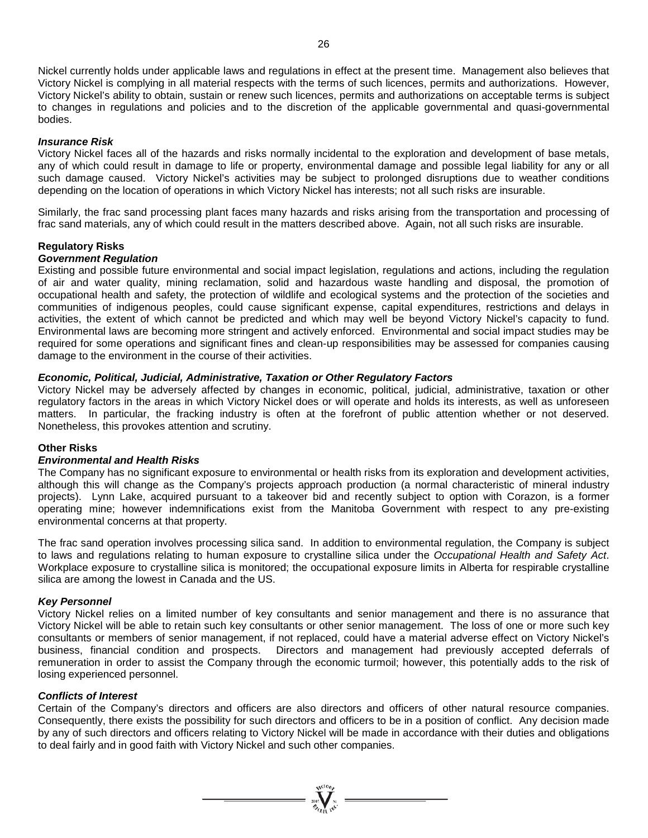Nickel currently holds under applicable laws and regulations in effect at the present time. Management also believes that Victory Nickel is complying in all material respects with the terms of such licences, permits and authorizations. However, Victory Nickel's ability to obtain, sustain or renew such licences, permits and authorizations on acceptable terms is subject to changes in regulations and policies and to the discretion of the applicable governmental and quasi-governmental bodies.

#### *Insurance Risk*

Victory Nickel faces all of the hazards and risks normally incidental to the exploration and development of base metals, any of which could result in damage to life or property, environmental damage and possible legal liability for any or all such damage caused. Victory Nickel's activities may be subject to prolonged disruptions due to weather conditions depending on the location of operations in which Victory Nickel has interests; not all such risks are insurable.

Similarly, the frac sand processing plant faces many hazards and risks arising from the transportation and processing of frac sand materials, any of which could result in the matters described above. Again, not all such risks are insurable.

#### **Regulatory Risks**

#### *Government Regulation*

Existing and possible future environmental and social impact legislation, regulations and actions, including the regulation of air and water quality, mining reclamation, solid and hazardous waste handling and disposal, the promotion of occupational health and safety, the protection of wildlife and ecological systems and the protection of the societies and communities of indigenous peoples, could cause significant expense, capital expenditures, restrictions and delays in activities, the extent of which cannot be predicted and which may well be beyond Victory Nickel's capacity to fund. Environmental laws are becoming more stringent and actively enforced. Environmental and social impact studies may be required for some operations and significant fines and clean-up responsibilities may be assessed for companies causing damage to the environment in the course of their activities.

#### *Economic, Political, Judicial, Administrative, Taxation or Other Regulatory Factors*

Victory Nickel may be adversely affected by changes in economic, political, judicial, administrative, taxation or other regulatory factors in the areas in which Victory Nickel does or will operate and holds its interests, as well as unforeseen matters. In particular, the fracking industry is often at the forefront of public attention whether or not deserved. Nonetheless, this provokes attention and scrutiny.

#### **Other Risks**

#### *Environmental and Health Risks*

The Company has no significant exposure to environmental or health risks from its exploration and development activities, although this will change as the Company's projects approach production (a normal characteristic of mineral industry projects). Lynn Lake, acquired pursuant to a takeover bid and recently subject to option with Corazon, is a former operating mine; however indemnifications exist from the Manitoba Government with respect to any pre-existing environmental concerns at that property.

The frac sand operation involves processing silica sand. In addition to environmental regulation, the Company is subject to laws and regulations relating to human exposure to crystalline silica under the *Occupational Health and Safety Act*. Workplace exposure to crystalline silica is monitored; the occupational exposure limits in Alberta for respirable crystalline silica are among the lowest in Canada and the US.

#### *Key Personnel*

Victory Nickel relies on a limited number of key consultants and senior management and there is no assurance that Victory Nickel will be able to retain such key consultants or other senior management. The loss of one or more such key consultants or members of senior management, if not replaced, could have a material adverse effect on Victory Nickel's business, financial condition and prospects. Directors and management had previously accepted deferrals of remuneration in order to assist the Company through the economic turmoil; however, this potentially adds to the risk of losing experienced personnel.

#### *Conflicts of Interest*

Certain of the Company's directors and officers are also directors and officers of other natural resource companies. Consequently, there exists the possibility for such directors and officers to be in a position of conflict. Any decision made by any of such directors and officers relating to Victory Nickel will be made in accordance with their duties and obligations to deal fairly and in good faith with Victory Nickel and such other companies.